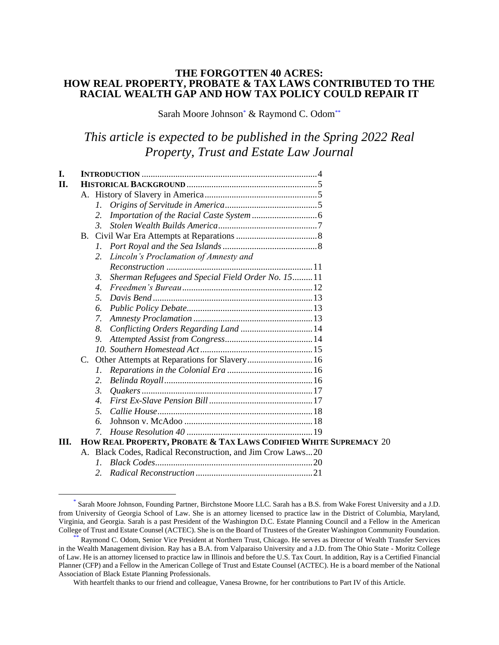## **THE FORGOTTEN 40 ACRES: HOW REAL PROPERTY, PROBATE & TAX LAWS CONTRIBUTED TO THE RACIAL WEALTH GAP AND HOW TAX POLICY COULD REPAIR IT**

Sarah Moore Johnson\* & Raymond C. Odom\*\*

# *This article is expected to be published in the Spring 2022 Real Property, Trust and Estate Law Journal*

| I.   |  |                                                                   |  |  |  |  |
|------|--|-------------------------------------------------------------------|--|--|--|--|
| П.   |  |                                                                   |  |  |  |  |
|      |  |                                                                   |  |  |  |  |
|      |  | L                                                                 |  |  |  |  |
|      |  | 2.                                                                |  |  |  |  |
|      |  | $\mathcal{Z}$                                                     |  |  |  |  |
|      |  |                                                                   |  |  |  |  |
|      |  | $l_{\cdot}$                                                       |  |  |  |  |
|      |  | Lincoln's Proclamation of Amnesty and<br>2.                       |  |  |  |  |
|      |  |                                                                   |  |  |  |  |
|      |  | Sherman Refugees and Special Field Order No. 15 11<br>3.          |  |  |  |  |
|      |  | $\mathcal{A}_{\cdot}$                                             |  |  |  |  |
|      |  | .5.                                                               |  |  |  |  |
|      |  | 6.                                                                |  |  |  |  |
|      |  | 7.                                                                |  |  |  |  |
|      |  | Conflicting Orders Regarding Land  14<br>8.                       |  |  |  |  |
|      |  | 9.                                                                |  |  |  |  |
|      |  |                                                                   |  |  |  |  |
|      |  |                                                                   |  |  |  |  |
|      |  | L.                                                                |  |  |  |  |
|      |  | 2.                                                                |  |  |  |  |
|      |  | $\mathfrak{Z}$                                                    |  |  |  |  |
|      |  | $\overline{4}$ .                                                  |  |  |  |  |
|      |  | 5.                                                                |  |  |  |  |
|      |  | 6                                                                 |  |  |  |  |
|      |  | $\mathcal{I}$                                                     |  |  |  |  |
| III. |  | HOW REAL PROPERTY, PROBATE & TAX LAWS CODIFIED WHITE SUPREMACY 20 |  |  |  |  |
|      |  | A. Black Codes, Radical Reconstruction, and Jim Crow Laws20       |  |  |  |  |
|      |  | L                                                                 |  |  |  |  |

*2. Radical Reconstruction* [....................................................21](#page-20-0)

<sup>\*</sup> Sarah Moore Johnson, Founding Partner, Birchstone Moore LLC. Sarah has a B.S. from Wake Forest University and a J.D. from University of Georgia School of Law. She is an attorney licensed to practice law in the District of Columbia, Maryland, Virginia, and Georgia. Sarah is a past President of the Washington D.C. Estate Planning Council and a Fellow in the American College of Trust and Estate Counsel (ACTEC). She is on the Board of Trustees of the Greater Washington Community Foundation.

<sup>\*\*</sup> Raymond C. Odom, Senior Vice President at Northern Trust, Chicago. He serves as Director of Wealth Transfer Services in the Wealth Management division. Ray has a B.A. from Valparaiso University and a J.D. from The Ohio State - Moritz College of Law. He is an attorney licensed to practice law in Illinois and before the U.S. Tax Court. In addition, Ray is a Certified Financial Planner (CFP) and a Fellow in the American College of Trust and Estate Counsel (ACTEC). He is a board member of the National Association of Black Estate Planning Professionals.

With heartfelt thanks to our friend and colleague, Vanesa Browne, for her contributions to Part IV of this Article.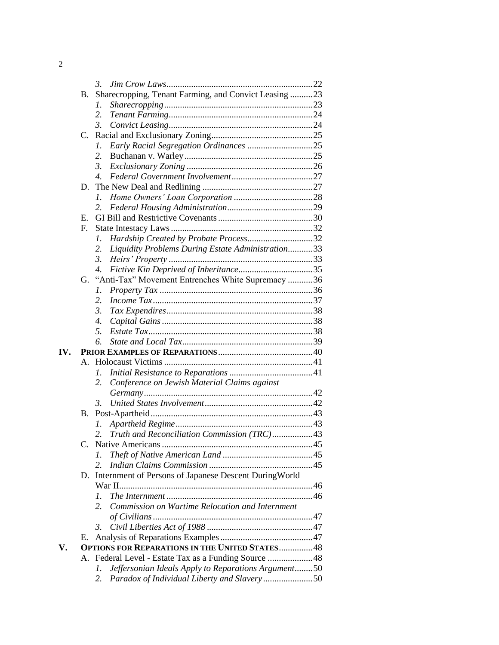|     | 3.                                                          |  |
|-----|-------------------------------------------------------------|--|
|     | Sharecropping, Tenant Farming, and Convict Leasing 23<br>В. |  |
|     | 1.                                                          |  |
|     | 2.                                                          |  |
|     | $\mathfrak{Z}$ .                                            |  |
|     | C.                                                          |  |
|     | Early Racial Segregation Ordinances 25<br>1.                |  |
|     | 2.                                                          |  |
|     | 3.                                                          |  |
|     | $\overline{4}$ .                                            |  |
|     | D.                                                          |  |
|     | L                                                           |  |
|     | 2.                                                          |  |
|     | Е.                                                          |  |
|     | $F_{\cdot}$                                                 |  |
|     | Hardship Created by Probate Process32<br>1.                 |  |
|     | Liquidity Problems During Estate Administration33<br>2.     |  |
|     | 3.                                                          |  |
|     | $\mathcal{A}_{\cdot}$                                       |  |
|     | "Anti-Tax" Movement Entrenches White Supremacy 36<br>G.     |  |
|     | Ι.                                                          |  |
|     | 2.                                                          |  |
|     | $\mathfrak{Z}$ .                                            |  |
|     | $\overline{4}$ .                                            |  |
|     | 5.                                                          |  |
|     | б.                                                          |  |
| IV. |                                                             |  |
|     | А.                                                          |  |
|     | 1.                                                          |  |
|     | Conference on Jewish Material Claims against<br>2.          |  |
|     |                                                             |  |
|     | 3.                                                          |  |
|     | B.                                                          |  |
|     | 1.                                                          |  |
|     | Truth and Reconciliation Commission (TRC)43<br>2.           |  |
|     |                                                             |  |
|     | 1.                                                          |  |
|     | 2.                                                          |  |
|     | D. Internment of Persons of Japanese Descent DuringWorld    |  |
|     |                                                             |  |
|     | 1.                                                          |  |
|     | Commission on Wartime Relocation and Internment<br>2.       |  |
|     |                                                             |  |
|     | 3.                                                          |  |
|     | Е.                                                          |  |
| V.  | <b>OPTIONS FOR REPARATIONS IN THE UNITED STATES 48</b>      |  |
|     | A. Federal Level - Estate Tax as a Funding Source  48       |  |
|     | Jeffersonian Ideals Apply to Reparations Argument50<br>1.   |  |
|     | 2.                                                          |  |

| $\mathcal{D}$<br>, |  |  |
|--------------------|--|--|
|                    |  |  |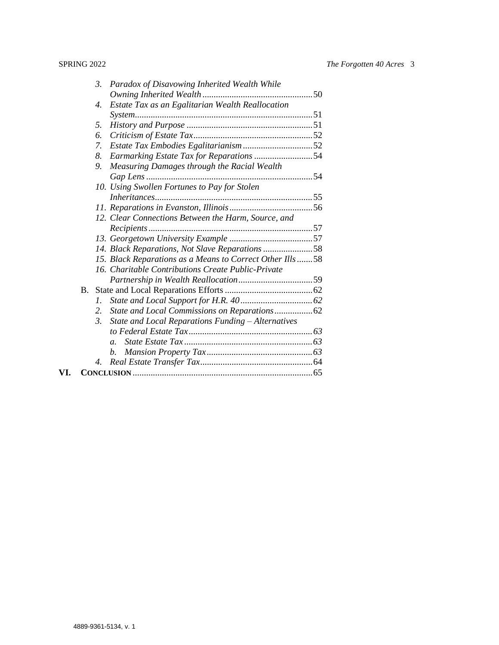|     |           | $\mathfrak{Z}$   | Paradox of Disavowing Inherited Wealth While             |
|-----|-----------|------------------|----------------------------------------------------------|
|     |           |                  |                                                          |
|     |           | 4.               | Estate Tax as an Egalitarian Wealth Reallocation         |
|     |           |                  |                                                          |
|     |           | 5.               |                                                          |
|     |           | 6.               |                                                          |
|     |           | 7.               |                                                          |
|     |           | 8.               |                                                          |
|     |           | 9.               | Measuring Damages through the Racial Wealth              |
|     |           |                  |                                                          |
|     |           |                  | 10. Using Swollen Fortunes to Pay for Stolen             |
|     |           |                  |                                                          |
|     |           |                  |                                                          |
|     |           |                  | 12. Clear Connections Between the Harm, Source, and      |
|     |           |                  |                                                          |
|     |           |                  |                                                          |
|     |           |                  | 14. Black Reparations, Not Slave Reparations 58          |
|     |           |                  | 15. Black Reparations as a Means to Correct Other Ills58 |
|     |           |                  | 16. Charitable Contributions Create Public-Private       |
|     |           |                  |                                                          |
|     | <b>B.</b> |                  |                                                          |
|     |           | L.               |                                                          |
|     |           | 2.               |                                                          |
|     |           | $\mathfrak{Z}$ . | State and Local Reparations Funding - Alternatives       |
|     |           |                  |                                                          |
|     |           |                  | $a_{-}$                                                  |
|     |           |                  | b.                                                       |
|     |           | 4.               |                                                          |
| VI. |           |                  |                                                          |
|     |           |                  |                                                          |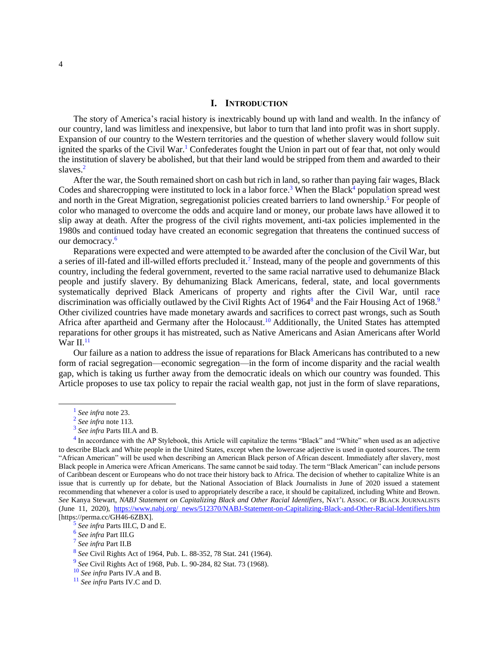## <span id="page-3-1"></span>**I. INTRODUCTION**

<span id="page-3-0"></span>The story of America's racial history is inextricably bound up with land and wealth. In the infancy of our country, land was limitless and inexpensive, but labor to turn that land into profit was in short supply. Expansion of our country to the Western territories and the question of whether slavery would follow suit ignited the sparks of the Civil War.<sup>1</sup> Confederates fought the Union in part out of fear that, not only would the institution of slavery be abolished, but that their land would be stripped from them and awarded to their slaves.<sup>2</sup>

After the war, the South remained short on cash but rich in land, so rather than paying fair wages, Black Codes and sharecropping were instituted to lock in a labor force.<sup>3</sup> When the Black<sup>4</sup> population spread west and north in the Great Migration, segregationist policies created barriers to land ownership.<sup>5</sup> For people of color who managed to overcome the odds and acquire land or money, our probate laws have allowed it to slip away at death. After the progress of the civil rights movement, anti-tax policies implemented in the 1980s and continued today have created an economic segregation that threatens the continued success of our democracy.<sup>6</sup>

Reparations were expected and were attempted to be awarded after the conclusion of the Civil War, but a series of ill-fated and ill-willed efforts precluded it.<sup>7</sup> Instead, many of the people and governments of this country, including the federal government, reverted to the same racial narrative used to dehumanize Black people and justify slavery. By dehumanizing Black Americans, federal, state, and local governments systematically deprived Black Americans of property and rights after the Civil War, until race discrimination was officially outlawed by the Civil Rights Act of 1964<sup>8</sup> and the Fair Housing Act of 1968.<sup>9</sup> Other civilized countries have made monetary awards and sacrifices to correct past wrongs, such as South Africa after apartheid and Germany after the Holocaust.<sup>10</sup> Additionally, the United States has attempted reparations for other groups it has mistreated, such as Native Americans and Asian Americans after World War II. $11$ 

Our failure as a nation to address the issue of reparations for Black Americans has contributed to a new form of racial segregation—economic segregation—in the form of income disparity and the racial wealth gap, which is taking us further away from the democratic ideals on which our country was founded. This Article proposes to use tax policy to repair the racial wealth gap, not just in the form of slave reparations,

<sup>1</sup> *See infra* note 23.

<sup>2</sup> *See infra* note 113.

<sup>3</sup> *See infra* Parts III.A and B.

 $4$  In accordance with the AP Stylebook, this Article will capitalize the terms "Black" and "White" when used as an adjective to describe Black and White people in the United States, except when the lowercase adjective is used in quoted sources. The term "African American" will be used when describing an American Black person of African descent. Immediately after slavery, most Black people in America were African Americans. The same cannot be said today. The term "Black American" can include persons of Caribbean descent or Europeans who do not trace their history back to Africa. The decision of whether to capitalize White is an issue that is currently up for debate, but the National Association of Black Journalists in June of 2020 issued a statement recommending that whenever a color is used to appropriately describe a race, it should be capitalized, including White and Brown. *See* Kanya Stewart, *NABJ Statement on Capitalizing Black and Other Racial Identifiers*, NAT'L ASSOC. OF BLACK JOURNALISTS (June 11, 2020), [https://www.nabj.org/ news/512370/NABJ-Statement-on-Capitalizing-Black-and-Other-Racial-Identifiers.htm](https://perma.cc/GH46-6ZBX) [https://perma.cc/GH46-6ZBX].

<sup>5</sup> *See infra* Parts III.C, D and E.

<sup>6</sup> *See infra* Part III.G

<sup>7</sup> *See infra* Part II.B

<sup>8</sup> *See* Civil Rights Act of 1964, [Pub. L.](https://en.wikipedia.org/wiki/Public_Law_(United_States)) [88-352,](https://uslaw.link/citation/us-law/public/88/352) 7[8 Stat.](https://en.wikipedia.org/wiki/United_States_Statutes_at_Large) [241](http://legislink.org/us/stat-78-241) (1964).

<sup>9</sup> *See* Civil Rights Act of 1968, [Pub. L.](https://en.wikipedia.org/wiki/Public_Law_(United_States)) [90-284,](https://uslaw.link/citation/us-law/public/90/284) 8[2 Stat.](https://en.wikipedia.org/wiki/United_States_Statutes_at_Large) [73](http://legislink.org/us/stat-82-73) (1968).

<sup>10</sup> *See infra* Parts IV.A and B.

<sup>11</sup> *See infra* Parts IV.C and D.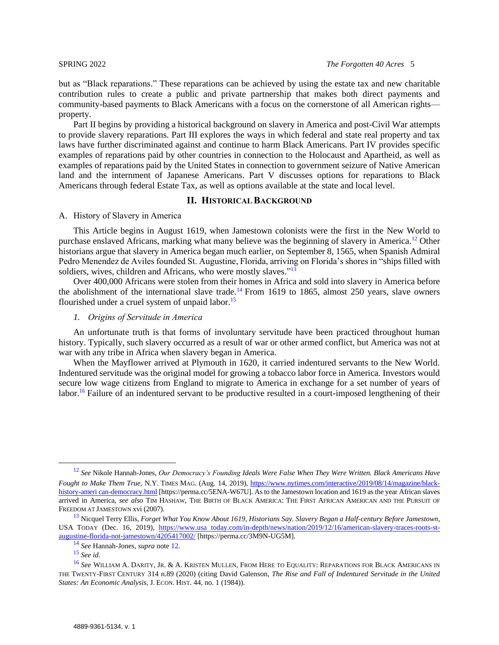but as "Black reparations." These reparations can be achieved by using the estate tax and new charitable contribution rules to create a public and private partnership that makes both direct payments and community-based payments to Black Americans with a focus on the cornerstone of all American rights property.

Part II begins by providing a historical background on slavery in America and post-Civil War attempts to provide slavery reparations. Part III explores the ways in which federal and state real property and tax laws have further discriminated against and continue to harm Black Americans. Part IV provides specific examples of reparations paid by other countries in connection to the Holocaust and Apartheid, as well as examples of reparations paid by the United States in connection to government seizure of Native American land and the internment of Japanese Americans. Part V discusses options for reparations to Black Americans through federal Estate Tax, as well as options available at the state and local level.

### <span id="page-4-3"></span>**II. HISTORICAL BACKGROUND**

## <span id="page-4-1"></span><span id="page-4-0"></span>A. History of Slavery in America

This Article begins in August 1619, when Jamestown colonists were the first in the New World to purchase enslaved Africans, marking what many believe was the beginning of slavery in America.<sup>12</sup> Other historians argue that slavery in America began much earlier, on September 8, 1565, when Spanish Admiral Pedro Menendez de Aviles founded St. Augustine, Florida, arriving on Florida's shores in "ships filled with soldiers, wives, children and Africans, who were mostly slaves."<sup>13</sup>

Over 400,000 Africans were stolen from their homes in Africa and sold into slavery in America before the abolishment of the international slave trade.<sup>14</sup> From 1619 to 1865, almost 250 years, slave owners flourished under a cruel system of unpaid labor.<sup>15</sup>

### <span id="page-4-2"></span>*1. Origins of Servitude in America*

An unfortunate truth is that forms of involuntary servitude have been practiced throughout human history. Typically, such slavery occurred as a result of war or other armed conflict, but America was not at war with any tribe in Africa when slavery began in America.

<span id="page-4-4"></span>When the Mayflower arrived at Plymouth in 1620, it carried indentured servants to the New World. Indentured servitude was the original model for growing a tobacco labor force in America. Investors would secure low wage citizens from England to migrate to America in exchange for a set number of years of labor.<sup>16</sup> Failure of an indentured servant to be productive resulted in a court-imposed lengthening of their

<sup>12</sup> *See* Nikole Hannah-Jones, *[Our Democracy's Founding](https://www.nytimes.com/interactive/2019/08/14/magazine/black-history-american-democracy.html) Ideals Were False When They Were Written. Black Americans Have Fought to Make Them True*, N.Y. TIMES MAG. (Aug. 14, 2019), [https://www.nytimes.com/interactive/2019/08/14/magazine/black](https://perma.cc/5ENA-W67U)[history-ameri can-democracy.html](https://perma.cc/5ENA-W67U) [https://perma.cc/5ENA-W67U]. As to the Jamestown location and 1619 as the year African slaves arrived in America, *see also* TIM HASHAW, THE BIRTH OF BLACK AMERICA: THE FIRST AFRICAN AMERICAN AND THE PURSUIT OF FREEDOM AT JAMESTOWN xvi (2007).

<sup>13</sup> Nicquel Terry Ellis, *Forget What You Know About 1619, Historians Say. Slavery Began a Half-century Before Jamestown*, USA TODAY (Dec. 16, 2019), [https://www.usa today.com/in-depth/news/nation/2019/12/16/american-slavery-traces-roots-st](https://perma.cc/3M9N-UG5M)[augustine-florida-not-jamestown/4205417002/](https://perma.cc/3M9N-UG5M) [https://perma.cc/3M9N-UG5M].

<sup>14</sup> *See* Hannah-Jones, *supra* note [12](#page-4-3)*.*

<sup>15</sup> *See id*.

<sup>16</sup> *See* WILLIAM A. DARITY, JR. & A. KRISTEN MULLEN, FROM HERE TO EQUALITY: REPARATIONS FOR BLACK AMERICANS IN THE TWENTY-FIRST CENTURY 314 n.89 (2020) (citing David Galenson, *The Rise and Fall of Indentured Servitude in the United States: An Economic Analysis*, J. ECON. HIST. 44, no. 1 (1984)).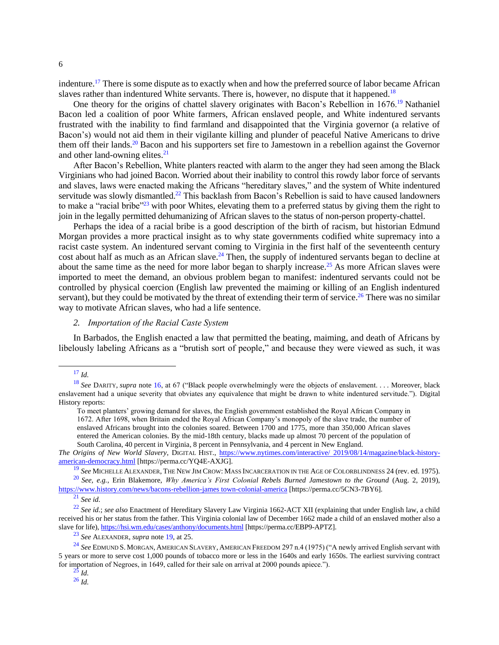indenture.<sup>17</sup> There is some dispute as to exactly when and how the preferred source of labor became African slaves rather than indentured White servants. There is, however, no dispute that it happened.<sup>18</sup>

<span id="page-5-1"></span>One theory for the origins of chattel slavery originates with Bacon's Rebellion in 1676.<sup>19</sup> Nathaniel Bacon led a coalition of poor White farmers, African enslaved people, and White indentured servants frustrated with the inability to find farmland and disappointed that the Virginia governor (a relative of Bacon's) would not aid them in their vigilante killing and plunder of peaceful Native Americans to drive them off their lands.<sup>20</sup> Bacon and his supporters set fire to Jamestown in a rebellion against the Governor and other land-owning elites.<sup>21</sup>

After Bacon's Rebellion, White planters reacted with alarm to the anger they had seen among the Black Virginians who had joined Bacon. Worried about their inability to control this rowdy labor force of servants and slaves, laws were enacted making the Africans "hereditary slaves," and the system of White indentured servitude was slowly dismantled.<sup>22</sup> This backlash from Bacon's Rebellion is said to have caused landowners to make a "racial bribe"<sup>23</sup> with poor Whites, elevating them to a preferred status by giving them the right to join in the legally permitted dehumanizing of African slaves to the status of non-person property-chattel.

Perhaps the idea of a racial bribe is a good description of the birth of racism, but historian Edmund Morgan provides a more practical insight as to why state governments codified white supremacy into a racist caste system. An indentured servant coming to Virginia in the first half of the seventeenth century cost about half as much as an African slave.<sup>24</sup> Then, the supply of indentured servants began to decline at about the same time as the need for more labor began to sharply increase.<sup>25</sup> As more African slaves were imported to meet the demand, an obvious problem began to manifest: indentured servants could not be controlled by physical coercion (English law prevented the maiming or killing of an English indentured servant), but they could be motivated by the threat of extending their term of service.<sup>26</sup> There was no similar way to motivate African slaves, who had a life sentence.

<span id="page-5-2"></span><span id="page-5-0"></span>*2. Importation of the Racial Caste System*

In Barbados, the English enacted a law that permitted the beating, maiming, and death of Africans by libelously labeling Africans as a "brutish sort of people," and because they were viewed as such, it was

<sup>20</sup> *See, e.g.*, Erin Blakemore, *Why America's First Colonial Rebels Burned Jamestown to the Ground* (Aug. 2, 2019), [https://www.history.com/news/bacons-rebellion-james town-colonial-america](https://perma.cc/5CN3-7BY6) [https://perma.cc/5CN3-7BY6].

<sup>17</sup> *Id.*

<sup>18</sup> *See* DARITY, *supra* note [16,](#page-4-4) at 67 ("Black people overwhelmingly were the objects of enslavement. . . . Moreover, black enslavement had a unique severity that obviates any equivalence that might be drawn to white indentured servitude."). Digital History reports:

To meet planters' growing demand for slaves, the English government established the Royal African Company in 1672. After 1698, when Britain ended the Royal African Company's monopoly of the slave trade, the number of enslaved Africans brought into the colonies soared. Between 1700 and 1775, more than 350,000 African slaves entered the American colonies. By the mid-18th century, blacks made up almost 70 percent of the population of South Carolina, 40 percent in Virginia, 8 percent in Pennsylvania, and 4 percent in New England.

*The Origins of New World Slavery*, DIGITAL HIST., [https://www.nytimes.com/interactive/ 2019/08/14/magazine/black-history](https://perma.cc/YQ4E-AXJG)[american-democracy.html](https://perma.cc/YQ4E-AXJG) [https://perma.cc/YQ4E-AXJG].

<sup>19</sup> *See* MICHELLE ALEXANDER, THE NEW JIM CROW: MASS INCARCERATION IN THE AGE OF COLORBLINDNESS 24 (rev. ed. 1975).

<sup>21</sup> *See id.*

<sup>22</sup> *See id.*; *see also* Enactment of Hereditary Slavery Law Virginia 1662-ACT XII (explaining that under English law, a child received his or her status from the father. This Virginia colonial law of December 1662 made a child of an enslaved mother also a slave for life), [https://hsi.wm.edu/cases/anthony/documents.html](https://perma.cc/EBP9-APTZ) [https://perma.cc/EBP9-APTZ].

<sup>23</sup> *See* ALEXANDER, *supra* not[e 19,](#page-5-1) at 25.

<sup>24</sup> *See* EDMUND S. MORGAN, AMERICAN SLAVERY, AMERICAN FREEDOM 297 n.4 (1975) ("A newly arrived English servant with 5 years or more to serve cost 1,000 pounds of tobacco more or less in the 1640s and early 1650s. The earliest surviving contract for importation of Negroes, in 1649, called for their sale on arrival at 2000 pounds apiece.").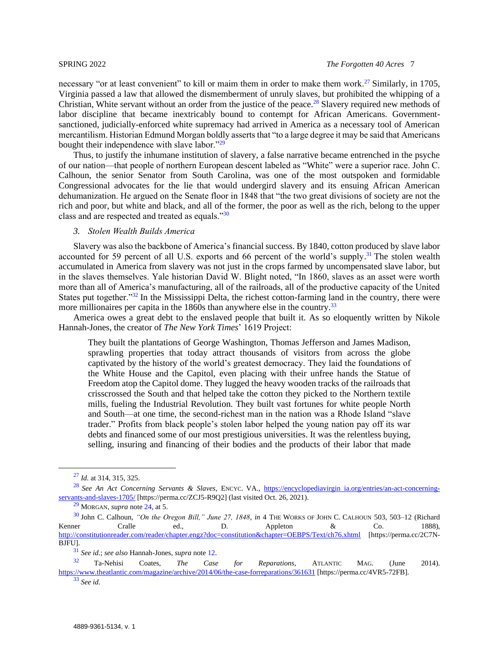necessary "or at least convenient" to kill or maim them in order to make them work.<sup>27</sup> Similarly, in 1705, Virginia passed a law that allowed the dismemberment of unruly slaves, but prohibited the whipping of a Christian, White servant without an order from the justice of the peace.<sup>28</sup> Slavery required new methods of labor discipline that became inextricably bound to contempt for African Americans. Governmentsanctioned, judicially-enforced white supremacy had arrived in America as a necessary tool of American mercantilism. Historian Edmund Morgan boldly asserts that "to a large degree it may be said that Americans bought their independence with slave labor."<sup>29</sup>

Thus, to justify the inhumane institution of slavery, a false narrative became entrenched in the psyche of our nation—that people of northern European descent labeled as "White" were a superior race. John C. Calhoun, the senior Senator from South Carolina, was one of the most outspoken and formidable Congressional advocates for the lie that would undergird slavery and its ensuing African American dehumanization. He argued on the Senate floor in 1848 that "the two great divisions of society are not the rich and poor, but white and black, and all of the former, the poor as well as the rich, belong to the upper class and are respected and treated as equals."<sup>30</sup>

## <span id="page-6-0"></span>*3. Stolen Wealth Builds America*

Slavery was also the backbone of America's financial success. By 1840, cotton produced by slave labor accounted for 59 percent of all U.S. exports and 66 percent of the world's supply.<sup>31</sup> The stolen wealth accumulated in America from slavery was not just in the crops farmed by uncompensated slave labor, but in the slaves themselves. Yale historian David W. Blight noted, "In 1860, slaves as an asset were worth more than all of America's manufacturing, all of the railroads, all of the productive capacity of the United States put together.<sup>"32</sup> In the Mississippi Delta, the richest cotton-farming land in the country, there were more millionaires per capita in the 1860s than anywhere else in the country.<sup>33</sup>

America owes a great debt to the enslaved people that built it. As so eloquently written by Nikole Hannah-Jones, the creator of *The New York Times*' 1619 Project:

<span id="page-6-1"></span>They built the plantations of George Washington, Thomas Jefferson and James Madison, sprawling properties that today attract thousands of visitors from across the globe captivated by the history of the world's greatest democracy. They laid the foundations of the White House and the Capitol, even placing with their unfree hands the Statue of Freedom atop the Capitol dome. They lugged the heavy wooden tracks of the railroads that crisscrossed the South and that helped take the cotton they picked to the Northern textile mills, fueling the Industrial Revolution. They built vast fortunes for white people North and South—at one time, the second-richest man in the nation was a Rhode Island "slave trader." Profits from black people's stolen labor helped the young nation pay off its war debts and financed some of our most prestigious universities. It was the relentless buying, selling, insuring and financing of their bodies and the products of their labor that made

<sup>27</sup> *Id.* at 314, 315, 325.

<sup>28</sup> *See An Act Concerning Servants & Slaves*, ENCYC. VA., [https://encyclopediavirgin ia.org/entries/an-act-concerning](https://perma.cc/ZCJ5-R9Q2)[servants-and-slaves-1705/](https://perma.cc/ZCJ5-R9Q2) [https://perma.cc/ZCJ5-R9Q2] (last visited Oct. 26, 2021).

<sup>29</sup> MORGAN, *supra* note [24,](#page-5-2) at 5.

<sup>30</sup> John C. Calhoun, *"On the Oregon Bill," June 27, 1848*, *in* 4 THE WORKS OF JOHN C. CALHOUN 503, 503–12 (Richard Kenner Cralle ed., D. Appleton & Co. 1888), [http://constitutionreader.com/reader/chapter.engz?doc=constitution&chapter=OEBPS/Text/ch76.xhtml](https://perma.cc/2C7N-BJFU) [https://perma.cc/2C7N-BJFU].

<sup>31</sup> *See id.*; *see also* Hannah-Jones, *supra* note [12.](#page-4-3)

<sup>32</sup> Ta-Nehisi Coates, *The Case for Reparations*, ATLANTIC MAG. (June 2014). [https://www.theatlantic.com/magazine/archive/2014/06/the-case-forreparations/361631](https://perma.cc/4VR5-72FB) [https://perma.cc/4VR5-72FB].

<sup>33</sup> *See id.*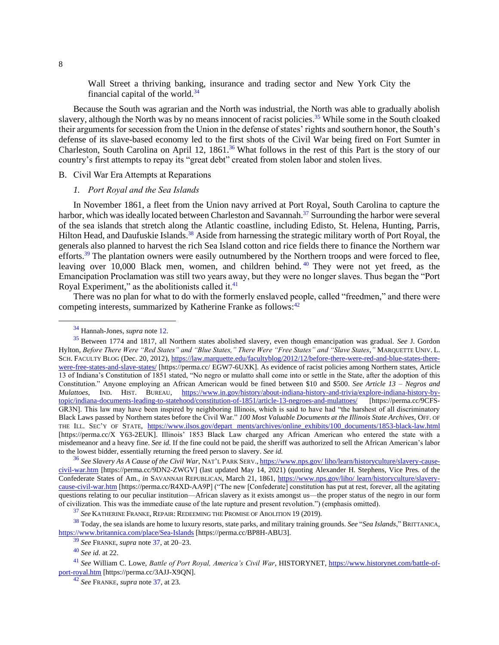Wall Street a thriving banking, insurance and trading sector and New York City the financial capital of the world.<sup>34</sup>

Because the South was agrarian and the North was industrial, the North was able to gradually abolish slavery, although the North was by no means innocent of racist policies.<sup>35</sup> While some in the South cloaked their arguments for secession from the Union in the defense of states' rights and southern honor, the South's defense of its slave-based economy led to the first shots of the Civil War being fired on Fort Sumter in Charleston, South Carolina on April 12, 1861.<sup>36</sup> What follows in the rest of this Part is the story of our country's first attempts to repay its "great debt" created from stolen labor and stolen lives.

## <span id="page-7-1"></span><span id="page-7-0"></span>B. Civil War Era Attempts at Reparations

## <span id="page-7-2"></span>*1. Port Royal and the Sea Islands*

In November 1861, a fleet from the Union navy arrived at Port Royal, South Carolina to capture the harbor, which was ideally located between Charleston and Savannah.<sup>37</sup> Surrounding the harbor were several of the sea islands that stretch along the Atlantic coastline, including Edisto, St. Helena, Hunting, Parris, Hilton Head, and Daufuskie Islands.<sup>38</sup> Aside from harnessing the strategic military worth of Port Royal, the generals also planned to harvest the rich Sea Island cotton and rice fields there to finance the Northern war efforts.<sup>39</sup> The plantation owners were easily outnumbered by the Northern troops and were forced to flee, leaving over 10,000 Black men, women, and children behind. <sup>40</sup> They were not yet freed, as the Emancipation Proclamation was still two years away, but they were no longer slaves. Thus began the "Port Royal Experiment," as the abolitionists called it. $41$ 

There was no plan for what to do with the formerly enslaved people, called "freedmen," and there were competing interests, summarized by Katherine Franke as follows:<sup>42</sup>

<sup>34</sup> Hannah-Jones, *supra* not[e 12.](#page-4-3)

<sup>35</sup> Between 1774 and 1817, all Northern states abolished slavery, even though emancipation was gradual. *See* J. Gordon Hylton, *Before There Were "Red States" and "Blue States," There Were "Free States" and "Slave States*,*"* MARQUETTE UNIV. L. SCH. FACULTY BLOG (Dec. 20, 2012), [https://law.marquette.edu/facultyblog/2012/12/before-there-were-red-and-blue-states-there](https://perma.cc/EGW7-6UXK)[were-free-states-and-slave-states/](https://perma.cc/EGW7-6UXK) [https://perma.cc/ EGW7-6UXK]. As evidence of racist policies among Northern states, Article 13 of Indiana's Constitution of 1851 stated, "No negro or mulatto shall come into or settle in the State, after the adoption of this Constitution." Anyone employing an African American would be fined between \$10 and \$500. *See Article 13 – Negros and Mulattoes*, IND. HIST. BUREAU, [https://www.in.gov/history/about-indiana-history-and-trivia/explore-indiana-history-by](https://perma.cc/9CFS-GR3N)[topic/indiana-documents-leading-to-statehood/constitution-of-1851/article-13-negroes-and-mulattoes/](https://perma.cc/9CFS-GR3N) [https://perma.cc/9CFS-GR3N]. This law may have been inspired by neighboring Illinois, which is said to have had "the harshest of all discriminatory Black Laws passed by Northern states before the Civil War." *100 Most Valuable Documents at the Illinois State Archives*, OFF. OF THE ILL. SEC'Y OF STATE, [https://www.ilsos.gov/depart ments/archives/online\\_exhibits/100\\_documents/1853-black-law.html](https://perma.cc/XY63-2EUK) [https://perma.cc/X Y63-2EUK]. Illinois' 1853 Black Law charged any African American who entered the state with a misdemeanor and a heavy fine. *See id.* If the fine could not be paid, the sheriff was authorized to sell the African American's labor to the lowest bidder, essentially returning the freed person to slavery. *See id.*

<sup>36</sup> *See Slavery As A Cause of the Civil War*, NAT'L PARK SERV., [https://www.nps.gov/ liho/learn/historyculture/slavery-cause](https://perma.cc/9DN2-ZWGV)[civil-war.htm](https://perma.cc/9DN2-ZWGV) [https://perma.cc/9DN2-ZWGV] (last updated May 14, 2021) (quoting Alexander H. Stephens, Vice Pres. of the Confederate States of Am., *in* SAVANNAH REPUBLICAN, March 21, 1861, [https://www.nps.gov/liho/ learn/historyculture/slavery](https://perma.cc/R4XD-AA9P)[cause-civil-war.htm](https://perma.cc/R4XD-AA9P) [https://perma.cc/R4XD-AA9P] ("The new [Confederate] constitution has put at rest, forever, all the agitating questions relating to our peculiar institution—African slavery as it exists amongst us—the proper status of the negro in our form of civilization. This was the immediate cause of the late rupture and present revolution.") (emphasis omitted).

<sup>37</sup> *See* KATHERINE FRANKE, REPAIR: REDEEMING THE PROMISE OF ABOLITION 19 (2019).

<sup>38</sup> Today, the sea islands are home to luxury resorts, state parks, and military training grounds. *See* "*Sea Islands*," BRITTANICA, [https://www.britannica.com/place/Sea-Islands](https://perma.cc/BP8H-ABU3) [https://perma.cc/BP8H-ABU3].

<sup>39</sup> *See* FRANKE, *supra* not[e 37,](#page-7-2) at 20–23.

<sup>40</sup> *See id.* at 22.

<sup>41</sup> *See* William C. Lowe, *Battle of Port Royal, America's Civil War*, HISTORYNET, [https://www.historynet.com/battle-of](https://perma.cc/3AJJ-X9QN)[port-royal.htm](https://perma.cc/3AJJ-X9QN) [https://perma.cc/3AJJ-X9QN].

<sup>42</sup> *See* FRANKE, *supra* note [37,](#page-7-2) at 23.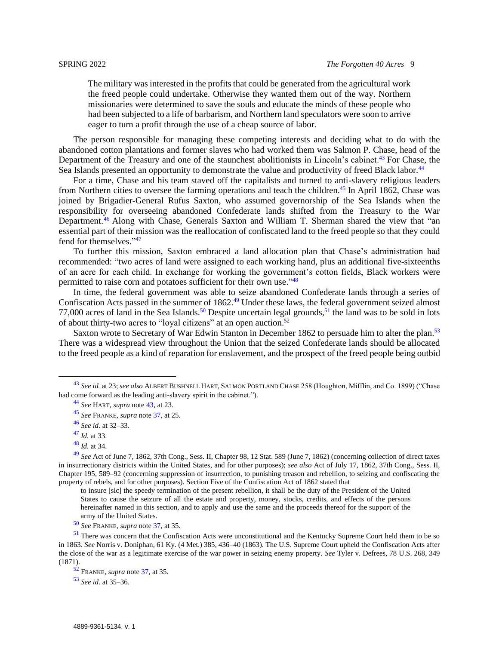<span id="page-8-0"></span>The military was interested in the profits that could be generated from the agricultural work the freed people could undertake. Otherwise they wanted them out of the way. Northern missionaries were determined to save the souls and educate the minds of these people who had been subjected to a life of barbarism, and Northern land speculators were soon to arrive eager to turn a profit through the use of a cheap source of labor.

The person responsible for managing these competing interests and deciding what to do with the abandoned cotton plantations and former slaves who had worked them was Salmon P. Chase, head of the Department of the Treasury and one of the staunchest abolitionists in Lincoln's cabinet.<sup>43</sup> For Chase, the Sea Islands presented an opportunity to demonstrate the value and productivity of freed Black labor.<sup>44</sup>

For a time, Chase and his team staved off the capitalists and turned to anti-slavery religious leaders from Northern cities to oversee the farming operations and teach the children.<sup>45</sup> In April 1862, Chase was joined by Brigadier-General Rufus Saxton, who assumed governorship of the Sea Islands when the responsibility for overseeing abandoned Confederate lands shifted from the Treasury to the War Department.<sup>46</sup> Along with Chase, Generals Saxton and William T. Sherman shared the view that "an essential part of their mission was the reallocation of confiscated land to the freed people so that they could fend for themselves."<sup>47</sup>

To further this mission, Saxton embraced a land allocation plan that Chase's administration had recommended: "two acres of land were assigned to each working hand, plus an additional five-sixteenths of an acre for each child. In exchange for working the government's cotton fields, Black workers were permitted to raise corn and potatoes sufficient for their own use."<sup>48</sup>

In time, the federal government was able to seize abandoned Confederate lands through a series of Confiscation Acts passed in the summer of 1862.<sup>49</sup> Under these laws, the federal government seized almost 77,000 acres of land in the Sea Islands.<sup>50</sup> Despite uncertain legal grounds,<sup>51</sup> the land was to be sold in lots of about thirty-two acres to "loyal citizens" at an open auction.<sup>52</sup>

Saxton wrote to Secretary of War Edwin Stanton in December 1862 to persuade him to alter the plan.<sup>53</sup> There was a widespread view throughout the Union that the seized Confederate lands should be allocated to the freed people as a kind of reparation for enslavement, and the prospect of the freed people being outbid

<sup>53</sup> *See id.* at 35–36.

<sup>43</sup> *See id.* at 23; *see also* ALBERT BUSHNELL HART, SALMON PORTLAND CHASE 258 (Houghton, Mifflin, and Co. 1899) ("Chase had come forward as the leading anti-slavery spirit in the cabinet.").

<sup>44</sup> *See* HART, *supra* not[e 43,](#page-8-0) at 23.

<sup>45</sup> *See* FRANKE, *supra* note [37,](#page-7-2) at 25.

<sup>46</sup> *See id.* at 32–33.

<sup>47</sup> *Id.* at 33.

<sup>48</sup> *Id.* at 34.

<sup>49</sup> *See* Act of June 7, 1862, 37th Cong., Sess. II, Chapter 98, 12 Stat. 589 (June 7, 1862) (concerning collection of direct taxes in insurrectionary districts within the United States, and for other purposes); *see also* Act of July 17, 1862, 37th Cong., Sess. II, Chapter 195, 589–92 (concerning suppression of insurrection, to punishing treason and rebellion, to seizing and confiscating the property of rebels, and for other purposes). Section Five of the Confiscation Act of 1862 stated that

to insure [sic] the speedy termination of the present rebellion, it shall be the duty of the President of the United States to cause the seizure of all the estate and property, money, stocks, credits, and effects of the persons hereinafter named in this section, and to apply and use the same and the proceeds thereof for the support of the army of the United States.

<sup>50</sup> *See* FRANKE, *supra* note [37,](#page-7-2) at 35.

<sup>&</sup>lt;sup>51</sup> There was concern that the Confiscation Acts were unconstitutional and the Kentucky Supreme Court held them to be so in 1863. *See* Norris v. Doniphan, 61 Ky. (4 Met.) 385, 436–40 (1863). The U.S. Supreme Court upheld the Confiscation Acts after the close of the war as a legitimate exercise of the war power in seizing enemy property. *See* Tyler v. Defrees, 78 U.S. 268, 349 (1871).

<sup>52</sup> FRANKE, *supra* not[e 37,](#page-7-2) at 35.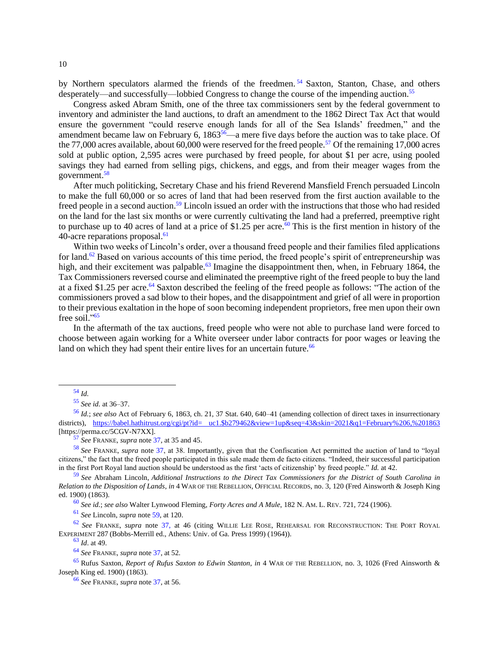by Northern speculators alarmed the friends of the freedmen.<sup>54</sup> Saxton, Stanton, Chase, and others desperately—and successfully—lobbied Congress to change the course of the impending auction.<sup>55</sup>

Congress asked Abram Smith, one of the three tax commissioners sent by the federal government to inventory and administer the land auctions, to draft an amendment to the 1862 Direct Tax Act that would ensure the government "could reserve enough lands for all of the Sea Islands' freedmen," and the amendment became law on February 6, 1863<sup>56</sup>—a mere five days before the auction was to take place. Of the 77,000 acres available, about 60,000 were reserved for the freed people.<sup>57</sup> Of the remaining 17,000 acres sold at public option, 2,595 acres were purchased by freed people, for about \$1 per acre, using pooled savings they had earned from selling pigs, chickens, and eggs, and from their meager wages from the government.<sup>58</sup>

<span id="page-9-0"></span>After much politicking, Secretary Chase and his friend Reverend Mansfield French persuaded Lincoln to make the full 60,000 or so acres of land that had been reserved from the first auction available to the freed people in a second auction.<sup>59</sup> Lincoln issued an order with the instructions that those who had resided on the land for the last six months or were currently cultivating the land had a preferred, preemptive right to purchase up to 40 acres of land at a price of \$1.25 per acre.<sup>60</sup> This is the first mention in history of the 40-acre reparations proposal.<sup>61</sup>

<span id="page-9-2"></span>Within two weeks of Lincoln's order, over a thousand freed people and their families filed applications for land.<sup>62</sup> Based on various accounts of this time period, the freed people's spirit of entrepreneurship was high, and their excitement was palpable.<sup>63</sup> Imagine the disappointment then, when, in February 1864, the Tax Commissioners reversed course and eliminated the preemptive right of the freed people to buy the land at a fixed \$1.25 per acre.<sup>64</sup> Saxton described the feeling of the freed people as follows: "The action of the commissioners proved a sad blow to their hopes, and the disappointment and grief of all were in proportion to their previous exaltation in the hope of soon becoming independent proprietors, free men upon their own free soil."<sup>65</sup>

<span id="page-9-1"></span>In the aftermath of the tax auctions, freed people who were not able to purchase land were forced to choose between again working for a White overseer under labor contracts for poor wages or leaving the land on which they had spent their entire lives for an uncertain future.<sup>66</sup>

<sup>61</sup> *See* Lincoln, *supra* note [59,](#page-9-0) at 120.

<sup>62</sup> *See* FRANKE, *supra* note [37,](#page-7-2) at 46 (citing WILLIE LEE ROSE, REHEARSAL FOR RECONSTRUCTION: THE PORT ROYAL EXPERIMENT 287 (Bobbs-Merrill ed., Athens: Univ. of Ga. Press 1999) (1964)).

<sup>63</sup> *Id*. at 49.

<sup>66</sup> *See* FRANKE, *supra* note [37,](#page-7-2) at 56.

<sup>54</sup> *Id.* 

<sup>55</sup> *See id.* at 36–37.

<sup>56</sup> *Id.*; *see also* Act of February 6, 1863, ch. 21, 37 Stat. 640, 640–41 (amending collection of direct taxes in insurrectionary districts), [https://babel.hathitrust.org/cgi/pt?id= uc1.\\$b279462&view=1up&seq=43&skin=2021&q1=February%206,%201863](https://perma.cc/5CGV-N7XX) [https://perma.cc/5CGV-N7XX].

<sup>57</sup> *See* FRANKE, *supra* note [37,](#page-7-2) at 35 and 45.

<sup>58</sup> *See* FRANKE, *supra* note [37,](#page-7-2) at 38. Importantly, given that the Confiscation Act permitted the auction of land to "loyal citizens," the fact that the freed people participated in this sale made them de facto citizens. "Indeed, their successful participation in the first Port Royal land auction should be understood as the first 'acts of citizenship' by freed people." *Id.* at 42.

<sup>59</sup> *See* Abraham Lincoln, *Additional Instructions to the Direct Tax Commissioners for the District of South Carolina in Relation to the Disposition of Lands*, *in* 4 WAR OF THE REBELLION, OFFICIAL RECORDS, no. 3, 120 (Fred Ainsworth & Joseph King ed. 1900) (1863).

<sup>60</sup> *See id.*; *see also* Walter Lynwood Fleming, *Forty Acres and A Mule*, 182 N. AM. L. REV. 721, 724 (1906).

<sup>64</sup> *See* FRANKE, *supra* note [37,](#page-7-2) at 52.

<sup>65</sup> Rufus Saxton, *Report of Rufus Saxton to Edwin Stanton*, *in* 4 WAR OF THE REBELLION, no. 3, 1026 (Fred Ainsworth & Joseph King ed. 1900) (1863).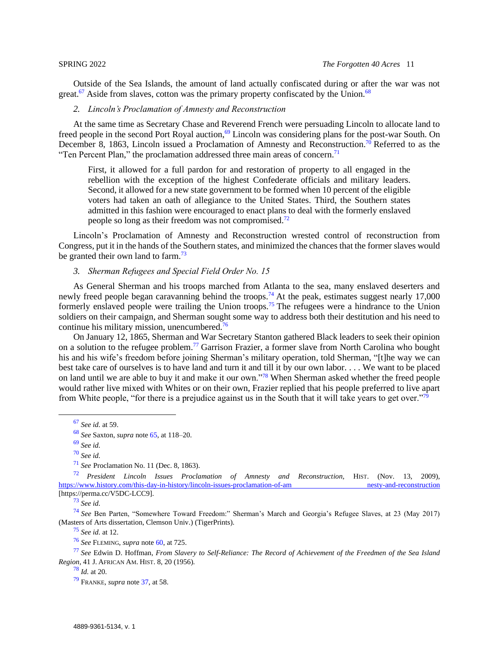Outside of the Sea Islands, the amount of land actually confiscated during or after the war was not great.<sup>67</sup> Aside from slaves, cotton was the primary property confiscated by the Union.<sup>68</sup>

## <span id="page-10-0"></span>*2. Lincoln's Proclamation of Amnesty and Reconstruction*

At the same time as Secretary Chase and Reverend French were persuading Lincoln to allocate land to freed people in the second Port Royal auction,<sup>69</sup> Lincoln was considering plans for the post-war South. On December 8, 1863, Lincoln issued a Proclamation of Amnesty and [Reconstruction.](https://www.history.com/topics/american-civil-war/reconstruction)<sup>70</sup> Referred to as the "Ten Percent Plan," the proclamation addressed three main areas of concern.<sup>71</sup>

First, it allowed for a full pardon for and restoration of property to all engaged in the rebellion with the exception of the highest Confederate officials and military leaders. Second, it allowed for a new state government to be formed when 10 percent of the eligible voters had taken an oath of allegiance to the United States. Third, the Southern states admitted in this fashion were encouraged to enact plans to deal with the formerly enslaved people so long as their freedom was not compromised.<sup>72</sup>

Lincoln's Proclamation of Amnesty and Reconstruction wrested control of reconstruction from Congress, put it in the hands of the Southern states, and minimized the chances that the former slaves would be granted their own land to farm.<sup>73</sup>

## <span id="page-10-1"></span>*3. Sherman Refugees and Special Field Order No. 15*

As General Sherman and his troops marched from Atlanta to the sea, many enslaved deserters and newly freed people began caravanning behind the troops.<sup>74</sup> At the peak, estimates suggest nearly 17,000 formerly enslaved people were trailing the Union troops.<sup>75</sup> The refugees were a hindrance to the Union soldiers on their campaign, and Sherman sought some way to address both their destitution and his need to continue his military mission, unencumbered.<sup>76</sup>

On January 12, 1865, Sherman and War Secretary Stanton gathered Black leaders to seek their opinion on a solution to the refugee problem.<sup>77</sup> Garrison Frazier, a former slave from North Carolina who bought his and his wife's freedom before joining Sherman's military operation, told Sherman, "[t]he way we can best take care of ourselves is to have land and turn it and till it by our own labor. . . . We want to be placed on land until we are able to buy it and make it our own."<sup>78</sup> When Sherman asked whether the freed people would rather live mixed with Whites or on their own, Frazier replied that his people preferred to live apart from White people, "for there is a prejudice against us in the South that it will take years to get over."<sup>79</sup>

<sup>73</sup> *See id.*

<sup>74</sup> *See* Ben Parten, "Somewhere Toward Freedom:" Sherman's March and Georgia's Refugee Slaves, at 23 (May 2017) (Masters of Arts dissertation, Clemson Univ.) (TigerPrints).

<sup>75</sup> *See id.* at 12.

<sup>77</sup> *See* Edwin D. Hoffman, *From Slavery to Self-Reliance: The Record of Achievement of the Freedmen of the Sea Island Region*, 41 J. AFRICAN AM. HIST. 8, 20 (1956).

<sup>67</sup> *See id.* at 59.

<sup>68</sup> *See* Saxton, *supra* note [65,](#page-9-1) at 118–20.

<sup>69</sup> *See id.*

<sup>70</sup> *See id.*

<sup>71</sup> *See* Proclamation No. 11 (Dec. 8, 1863).

<sup>72</sup> *President Lincoln Issues Proclamation of Amnesty and Reconstruction*, HIST. (Nov. 13, 2009), [https://www.history.com/this-day-in-history/lincoln-issues-proclamation-of-am nesty-and-reconstruction](https://perma.cc/V5DC-LCC9) [https://perma.cc/V5DC-LCC9].

<sup>76</sup> *See* FLEMING, *supra* not[e 60,](#page-9-2) at 725.

 $^{78}$  *Id.* at 20.

<sup>79</sup> FRANKE, *supra* not[e 37,](#page-7-2) at 58.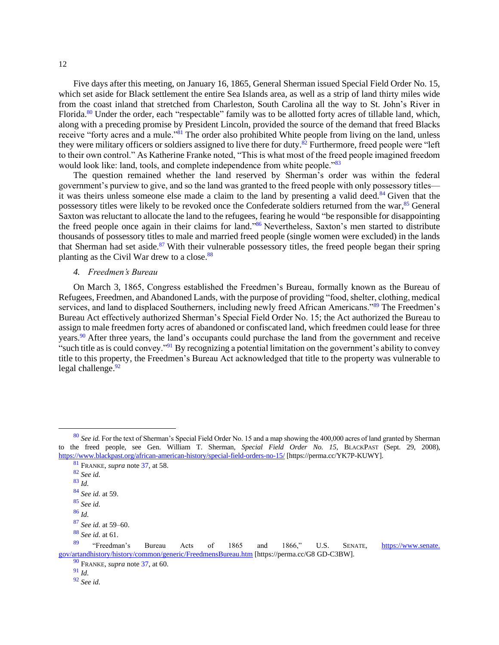Five days after this meeting, on January 16, 1865, General Sherman issued Special Field Order No. 15, which set aside for Black settlement the entire Sea Islands area, as well as a strip of land thirty miles wide from the coast inland that stretched from Charleston, South Carolina all the way to St. John's River in Florida.<sup>80</sup> Under the order, each "respectable" family was to be allotted forty acres of tillable land, which, along with a preceding promise by President Lincoln, provided the source of the demand that freed Blacks receive "forty acres and a mule."<sup>81</sup> The order also prohibited White people from living on the land, unless they were military officers or soldiers assigned to live there for duty.<sup>82</sup> Furthermore, freed people were "left" to their own control." As Katherine Franke noted, "This is what most of the freed people imagined freedom would look like: land, tools, and complete independence from white people."<sup>83</sup>

The question remained whether the land reserved by Sherman's order was within the federal government's purview to give, and so the land was granted to the freed people with only possessory titles it was theirs unless someone else made a claim to the land by presenting a valid deed.<sup>84</sup> Given that the possessory titles were likely to be revoked once the Confederate soldiers returned from the war,<sup>85</sup> General Saxton was reluctant to allocate the land to the refugees, fearing he would "be responsible for disappointing the freed people once again in their claims for land."<sup>86</sup> Nevertheless, Saxton's men started to distribute thousands of possessory titles to male and married freed people (single women were excluded) in the lands that Sherman had set aside. $87$  With their vulnerable possessory titles, the freed people began their spring planting as the Civil War drew to a close.<sup>88</sup>

### <span id="page-11-0"></span>*4. Freedmen's Bureau*

On March 3, 1865, Congress established the Freedmen's Bureau, formally known as the Bureau of Refugees, Freedmen, and Abandoned Lands, with the purpose of providing "food, shelter, clothing, medical services, and land to displaced Southerners, including newly freed African Americans."<sup>89</sup> The Freedmen's Bureau Act effectively authorized Sherman's Special Field Order No. 15; the Act authorized the Bureau to assign to male freedmen forty acres of abandoned or confiscated land, which freedmen could lease for three years.<sup>90</sup> After three years, the land's occupants could purchase the land from the government and receive "such title as is could convey."<sup>91</sup> By recognizing a potential limitation on the government's ability to convey title to this property, the Freedmen's Bureau Act acknowledged that title to the property was vulnerable to legal challenge. $92$ 

<sup>92</sup> *See id.*

<sup>80</sup> *See id.* For the text of Sherman's Special Field Order No. 15 and a map showing the 400,000 acres of land granted by Sherman to the freed people, see Gen. William T. Sherman, *Special Field Order No. 15*, BLACKPAST (Sept. 29, 2008), [https://www.blackpast.org/african-american-history/special-field-orders-no-15/](https://perma.cc/YK7P-KUWY) [https://perma.cc/YK7P-KUWY].

<sup>81</sup> FRANKE, *supra* not[e 37,](#page-7-2) at 58.

<sup>82</sup> *See id.*

<sup>83</sup> *Id.*

<sup>84</sup> *See id.* at 59.

<sup>85</sup> *See id.*

<sup>86</sup> *Id.*

<sup>87</sup> *See id.* at 59–60.

<sup>88</sup> *See id.* at 61.

<sup>89</sup> "Freedman's Bureau Acts of 1865 and 1866," U.S. SENATE, [https://www.senate.](https://perma.cc/G8GD-C3BW)  [gov/artandhistory/history/common/generic/FreedmensBureau.htm](https://perma.cc/G8GD-C3BW) [https://perma.cc/G8 GD-C3BW].

<sup>90</sup> FRANKE, *supra* not[e 37,](#page-7-2) at 60.

<sup>91</sup> *Id.*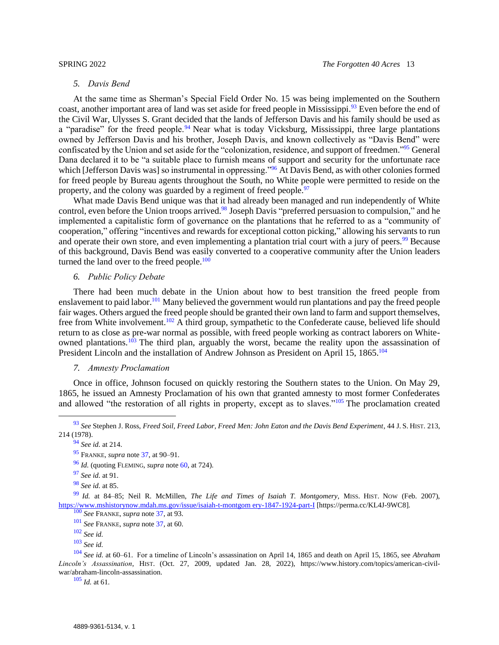### *5. Davis Bend*

<span id="page-12-0"></span>At the same time as Sherman's Special Field Order No. 15 was being implemented on the Southern coast, another important area of land was set aside for freed people in Mississippi.<sup>93</sup> Even before the end of the Civil War, Ulysses S. Grant decided that the lands of Jefferson Davis and his family should be used as a "paradise" for the freed people.<sup>94</sup> Near what is today Vicksburg, Mississippi, three large plantations owned by Jefferson Davis and his brother, Joseph Davis, and known collectively as "Davis Bend" were confiscated by the Union and set aside for the "colonization, residence, and support of freedmen."<sup>95</sup> General Dana declared it to be "a suitable place to furnish means of support and security for the unfortunate race which [Jefferson Davis was] so instrumental in oppressing."<sup>96</sup> At Davis Bend, as with other colonies formed for freed people by Bureau agents throughout the South, no White people were permitted to reside on the property, and the colony was guarded by a regiment of freed people.<sup>97</sup>

What made Davis Bend unique was that it had already been managed and run independently of White control, even before the Union troops arrived.<sup>98</sup> Joseph Davis "preferred persuasion to compulsion," and he implemented a capitalistic form of governance on the plantations that he referred to as a "community of cooperation," offering "incentives and rewards for exceptional cotton picking," allowing his servants to run and operate their own store, and even implementing a plantation trial court with a jury of peers.<sup>99</sup> Because of this background, Davis Bend was easily converted to a cooperative community after the Union leaders turned the land over to the freed people. $100$ 

## <span id="page-12-3"></span><span id="page-12-1"></span>*6. Public Policy Debate*

There had been much debate in the Union about how to best transition the freed people from enslavement to paid labor.<sup>101</sup> Many believed the government would run plantations and pay the freed people fair wages. Others argued the freed people should be granted their own land to farm and support themselves, free from White involvement.<sup>102</sup> A third group, sympathetic to the Confederate cause, believed life should return to as close as pre-war normal as possible, with freed people working as contract laborers on Whiteowned plantations.<sup>103</sup> The third plan, arguably the worst, became the reality upon the assassination of President Lincoln and the installation of Andrew Johnson as President on April 15, 1865.<sup>104</sup>

### <span id="page-12-2"></span>*7. Amnesty Proclamation*

Once in office, Johnson focused on quickly restoring the Southern states to the Union. On May 29, 1865, he issued an Amnesty Proclamation of his own that granted amnesty to most former Confederates and allowed "the restoration of all rights in property, except as to slaves."<sup>105</sup> The proclamation created

<sup>99</sup> *Id.* at 84–85; Neil R. McMillen, *The Life and Times of Isaiah T. Montgomery*, MISS. HIST. NOW (Feb. 2007), [https://www.mshistorynow.mdah.ms.gov/issue/isaiah-t-montgom ery-1847-1924-part-I](https://perma.cc/KL4J-9WC8) [https://perma.cc/KL4J-9WC8].

<sup>101</sup> *See* FRANKE, *supra* not[e 37,](#page-7-2) at 60.

<sup>104</sup> *See id.* at 60–61. For a timeline of Lincoln's assassination on April 14, 1865 and death on April 15, 1865, see *Abraham Lincoln's Assassination*, HIST. (Oct. 27, 2009, updated Jan. 28, 2022), https://www.history.com/topics/american-civilwar/abraham-lincoln-assassination.

<sup>105</sup> *Id.* at 61.

<sup>93</sup> *See* Stephen J. Ross, *Freed Soil, Freed Labor, Freed Men: John Eaton and the Davis Bend Experiment*, 44 J. S. HIST. 213, 214 (1978).

<sup>94</sup> *See id.* at 214.

<sup>95</sup> FRANKE, *supra* not[e 37,](#page-7-2) at 90–91.

<sup>96</sup> *Id.* (quoting FLEMING, *supra* not[e 60,](#page-9-2) at 724).

<sup>97</sup> *See id.* at 91.

<sup>98</sup> *See id.* at 85.

<sup>100</sup> *See* FRANKE, *supra* not[e 37,](#page-7-2) at 93.

<sup>102</sup> *See id.*

<sup>103</sup> *See id.*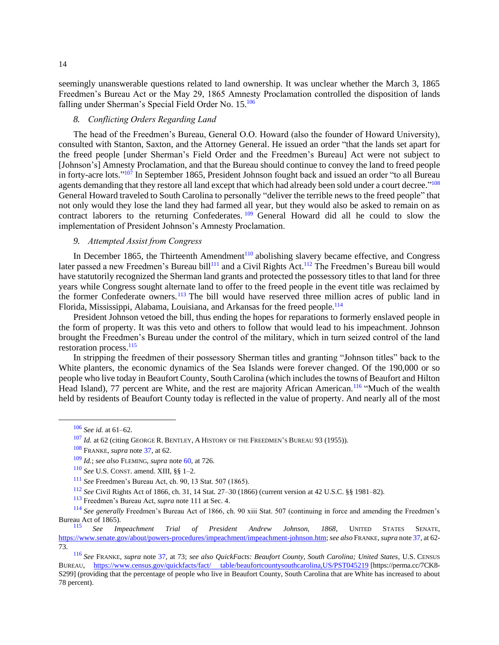seemingly unanswerable questions related to land ownership. It was unclear whether the March 3, 1865 Freedmen's Bureau Act or the May 29, 1865 Amnesty Proclamation controlled the disposition of lands falling under Sherman's Special Field Order No. 15.<sup>106</sup>

## <span id="page-13-0"></span>*8. Conflicting Orders Regarding Land*

The head of the Freedmen's Bureau, General O.O. Howard (also the founder of Howard University), consulted with Stanton, Saxton, and the Attorney General. He issued an order "that the lands set apart for the freed people [under Sherman's Field Order and the Freedmen's Bureau] Act were not subject to [Johnson's] Amnesty Proclamation, and that the Bureau should continue to convey the land to freed people in forty-acre lots."<sup>107</sup> In September 1865, President Johnson fought back and issued an order "to all Bureau agents demanding that they restore all land except that which had already been sold under a court decree."<sup>108</sup> General Howard traveled to South Carolina to personally "deliver the terrible news to the freed people" that not only would they lose the land they had farmed all year, but they would also be asked to remain on as contract laborers to the returning Confederates. <sup>109</sup> General Howard did all he could to slow the implementation of President Johnson's Amnesty Proclamation.

## <span id="page-13-1"></span>*9. Attempted Assist from Congress*

In December 1865, the Thirteenth Amendment<sup>110</sup> abolishing slavery became effective, and Congress later passed a new Freedmen's Bureau bill<sup>111</sup> and a Civil Rights Act.<sup>112</sup> The Freedmen's Bureau bill would have statutorily recognized the Sherman land grants and protected the possessory titles to that land for three years while Congress sought alternate land to offer to the freed people in the event title was reclaimed by the former Confederate owners.<sup>113</sup> The bill would have reserved three million acres of public land in Florida, Mississippi, Alabama, Louisiana, and Arkansas for the freed people.<sup>114</sup>

President Johnson vetoed the bill, thus ending the hopes for reparations to formerly enslaved people in the form of property. It was this veto and others to follow that would lead to his impeachment. Johnson brought the Freedmen's Bureau under the control of the military, which in turn seized control of the land restoration process.<sup>115</sup>

In stripping the freedmen of their possessory Sherman titles and granting "Johnson titles" back to the White planters, the economic dynamics of the Sea Islands were forever changed. Of the 190,000 or so people who live today in Beaufort County, South Carolina (which includes the towns of Beaufort and Hilton Head Island), 77 percent are White, and the rest are majority African American.<sup>116</sup> "Much of the wealth held by residents of Beaufort County today is reflected in the value of property. And nearly all of the most

<sup>106</sup> *See id.* at 61–62.

<sup>107</sup> *Id.* at 62 (citing GEORGE R. BENTLEY, A HISTORY OF THE FREEDMEN'S BUREAU 93 (1955)).

<sup>108</sup> FRANKE, *supra* note [37,](#page-7-2) at 62.

<sup>109</sup> *Id.*; *see also* FLEMING, *supra* not[e 60,](#page-9-2) at 726.

<sup>110</sup> *See* U.S. CONST. amend. XIII, §§ 1–2.

<sup>111</sup> *See* Freedmen's Bureau Act, ch. 90, 13 Stat. 507 (1865).

<sup>112</sup> *See* Civil Rights Act of 1866, ch. 31, 14 Stat. 27–30 (1866) (current version at 42 U.S.C. §§ 1981–82).

<sup>113</sup> Freedmen's Bureau Act, *supra* note 111 at Sec. 4.

<sup>114</sup> *See generally* Freedmen's Bureau Act of 1866, ch. 90 xiii Stat. 507 (continuing in force and amending the Freedmen's Bureau Act of 1865).

<sup>115</sup> *See Impeachment Trial of President Andrew Johnson, 1868*, UNITED STATES SENATE, [https://www.senate.gov/about/powers-procedures/impeachment/impeachment-johnson.htm;](https://www.senate.gov/about/powers-procedures/impeachment/impeachment-johnson.htm) *see also* FRANKE, *supra* not[e 37,](#page-7-2) at 62- 73.

<sup>116</sup> *See* FRANKE, *supra* note [37,](#page-7-2) at 73; *see also QuickFacts: Beaufort County, South Carolina; United States*, U.S. CENSUS BUREAU, [https://www.census.gov/quickfacts/fact/ table/beaufortcountysouthcarolina,US/PST045219](https://perma.cc/7CK8-S299) [https://perma.cc/7CK8- S299] (providing that the percentage of people who live in Beaufort County, South Carolina that are White has increased to about 78 percent).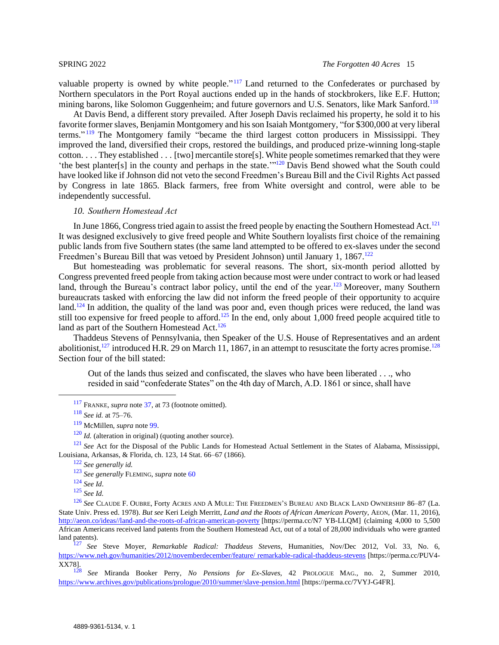valuable property is owned by white people." $117$  Land returned to the Confederates or purchased by Northern speculators in the Port Royal auctions ended up in the hands of stockbrokers, like E.F. Hutton; mining barons, like Solomon Guggenheim; and future governors and U.S. Senators, like Mark Sanford.<sup>118</sup>

At Davis Bend, a different story prevailed. After Joseph Davis reclaimed his property, he sold it to his favorite former slaves, Benjamin Montgomery and his son Isaiah Montgomery, "for \$300,000 at very liberal terms."<sup>119</sup> The Montgomery family "became the third largest cotton producers in Mississippi. They improved the land, diversified their crops, restored the buildings, and produced prize-winning long-staple cotton. . . . They established . . . [two] mercantile store[s]. White people sometimes remarked that they were 'the best planter[s] in the county and perhaps in the state.'"<sup>120</sup> Davis Bend showed what the South could have looked like if Johnson did not veto the second Freedmen's Bureau Bill and the Civil Rights Act passed by Congress in late 1865. Black farmers, free from White oversight and control, were able to be independently successful.

### <span id="page-14-0"></span>*10. Southern Homestead Act*

In June 1866, Congress tried again to assist the freed people by enacting the Southern Homestead Act.<sup>121</sup> It was designed exclusively to give freed people and White Southern loyalists first choice of the remaining public lands from five Southern states (the same land attempted to be offered to ex-slaves under the second Freedmen's Bureau Bill that was vetoed by President Johnson) until January 1, 1867.<sup>122</sup>

But homesteading was problematic for several reasons. The short, six-month period allotted by Congress prevented freed people from taking action because most were under contract to work or had leased land, through the Bureau's contract labor policy, until the end of the year.<sup>123</sup> Moreover, many Southern bureaucrats tasked with enforcing the law did not inform the freed people of their opportunity to acquire land.<sup>124</sup> In addition, the quality of the land was poor and, even though prices were reduced, the land was still too expensive for freed people to afford.<sup>125</sup> In the end, only about 1,000 freed people acquired title to land as part of the Southern Homestead Act.<sup>126</sup>

Thaddeus Stevens of Pennsylvania, then Speaker of the U.S. House of Representatives and an ardent abolitionist,<sup>127</sup> introduced H.R. 29 on March 11, 1867, in an attempt to resuscitate the forty acres promise.<sup>128</sup> Section four of the bill stated:

<span id="page-14-1"></span>Out of the lands thus seized and confiscated, the slaves who have been liberated . . ., who resided in said "confederate States" on the 4th day of March, A.D. 1861 or since, shall have

<sup>121</sup> *See* Act for the Disposal of the Public Lands for Homestead Actual Settlement in the States of Alabama. Mississippi. Louisiana, Arkansas, & Florida, ch. 123, 14 Stat. 66–67 (1866).

<sup>117</sup> FRANKE, *supra* note [37,](#page-7-2) at 73 (footnote omitted).

<sup>118</sup> *See id.* at 75–76.

<sup>119</sup> McMillen, *supra* note [99.](#page-12-3)

<sup>&</sup>lt;sup>120</sup> *Id.* (alteration in original) (quoting another source).

<sup>122</sup> *See generally id.*

<sup>123</sup> *See generally* FLEMING, *supra* note [60](#page-9-2)

<sup>124</sup> *See Id*.

<sup>125</sup> *See Id.*

<sup>126</sup> *See* CLAUDE F. OUBRE, Forty ACRES AND A MULE: THE FREEDMEN'S BUREAU AND BLACK LAND OWNERSHIP 86–87 (La. State Univ. Press ed. 1978). *But see* Keri Leigh Merritt, *Land and the Roots of African American Poverty*, AEON, (Mar. 11, 2016), [http://aeon.co/ideas//land-and-the-roots-of-african-american-poverty](https://perma.cc/N7YB-LLQM) [https://perma.cc/N7 YB-LLQM] (claiming 4,000 to 5,500 African Americans received land patents from the Southern Homestead Act, out of a total of 28,000 individuals who were granted land patents).

<sup>127</sup> *See* Steve Moyer, *Remarkable Radical: Thaddeus Stevens*, Humanities, Nov/Dec 2012, Vol. 33, No. 6, [https://www.neh.gov/humanities/2012/novemberdecember/feature/ remarkable-radical-thaddeus-stevens](https://perma.cc/PUV4-XX78) [https://perma.cc/PUV4- XX78].

<sup>128</sup> *See* Miranda Booker Perry, *No Pensions for Ex-Slaves*, 42 PROLOGUE MAG., no. 2, Summer 2010, [https://www.archives.gov/publications/prologue/2010/summer/slave-pension.html](https://perma.cc/PUV4-XX78) [https://perma.cc/7VYJ-G4FR].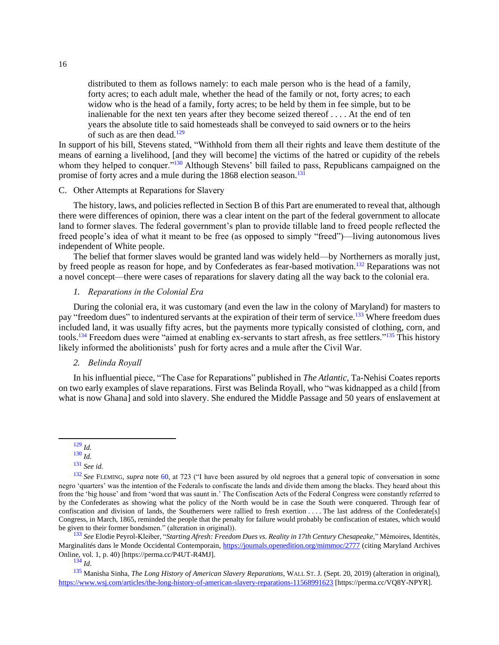distributed to them as follows namely: to each male person who is the head of a family, forty acres; to each adult male, whether the head of the family or not, forty acres; to each widow who is the head of a family, forty acres; to be held by them in fee simple, but to be inalienable for the next ten years after they become seized thereof . . . . At the end of ten years the absolute title to said homesteads shall be conveyed to said owners or to the heirs of such as are then dead. $129$ 

In support of his bill, Stevens stated, "Withhold from them all their rights and leave them destitute of the means of earning a livelihood, [and they will become] the victims of the hatred or cupidity of the rebels whom they helped to conquer."<sup>130</sup> Although Stevens' bill failed to pass, Republicans campaigned on the promise of forty acres and a mule during the  $1868$  election season.<sup>131</sup>

### <span id="page-15-0"></span>C. Other Attempts at Reparations for Slavery

The history, laws, and policies reflected in Section B of this Part are enumerated to reveal that, although there were differences of opinion, there was a clear intent on the part of the federal government to allocate land to former slaves. The federal government's plan to provide tillable land to freed people reflected the freed people's idea of what it meant to be free (as opposed to simply "freed")—living autonomous lives independent of White people.

The belief that former slaves would be granted land was widely held—by Northerners as morally just, by freed people as reason for hope, and by Confederates as fear-based motivation.<sup>132</sup> Reparations was not a novel concept—there were cases of reparations for slavery dating all the way back to the colonial era.

#### <span id="page-15-1"></span>*1. Reparations in the Colonial Era*

During the colonial era, it was customary (and even the law in the colony of Maryland) for masters to pay "freedom dues" to indentured servants at the expiration of their term of service.<sup>133</sup> Where freedom dues included land, it was usually fifty acres, but the payments more typically consisted of clothing, corn, and tools.<sup>134</sup> Freedom dues were "aimed at enabling ex-servants to start afresh, as free settlers."<sup>135</sup> This history likely informed the abolitionists' push for forty acres and a mule after the Civil War.

## <span id="page-15-2"></span>*2. Belinda Royall*

In his influential piece, "The Case for Reparations" published in *The Atlantic*, Ta-Nehisi Coates reports on two early examples of slave reparations. First was Belinda Royall, who "was kidnapped as a child [from what is now Ghana] and sold into slavery. She endured the Middle Passage and 50 years of enslavement at

<sup>129</sup> *Id.*

<sup>133</sup> *See* Elodie Peyrol-Kleiber, "*Starting Afresh: Freedom Dues vs. Reality in 17th Century Chesapeake,*" Mémoires, Identités, Marginalités dans le Monde Occidental Contemporain[, https://journals.openedition.org/mimmoc/2777](https://perma.cc/P4UT-R4MJ) (citing Maryland Archives Online, vol. 1, p. 40) [https://perma.cc/P4UT-R4MJ].

<sup>130</sup> *Id.*

<sup>131</sup> *See id.*

<sup>&</sup>lt;sup>132</sup> See FLEMING, *supra* note [60,](#page-9-2) at 723 ("I have been assured by old negroes that a general topic of conversation in some negro 'quarters' was the intention of the Federals to confiscate the lands and divide them among the blacks. They heard about this from the 'big house' and from 'word that was saunt in.' The Confiscation Acts of the Federal Congress were constantly referred to by the Confederates as showing what the policy of the North would be in case the South were conquered. Through fear of confiscation and division of lands, the Southerners were rallied to fresh exertion . . . . The last address of the Confederate[s] Congress, in March, 1865, reminded the people that the penalty for failure would probably be confiscation of estates, which would be given to their former bondsmen." (alteration in original)).

 $\frac{13}{134}$  *Id.* 

<sup>135</sup> Manisha Sinha, *The Long History of American Slavery Reparations*, WALL ST. J. (Sept. 20, 2019) (alteration in original), [https://www.wsj.com/articles/the-long-history-of-american-slavery-reparations-11568991623](https://perma.cc/VQ8Y-NPYR) [https://perma.cc/VQ8Y-NPYR].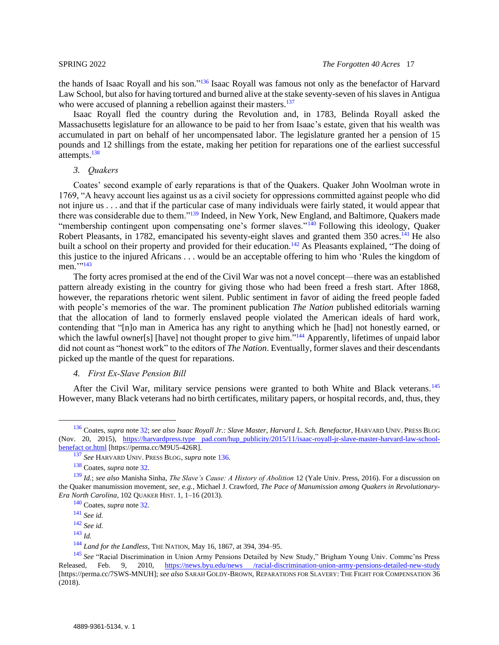<span id="page-16-2"></span>the hands of Isaac Royall and his son."<sup>136</sup> Isaac Royall was famous not only as the benefactor of Harvard Law School, but also for having tortured and burned alive at the stake seventy-seven of his slaves in Antigua who were accused of planning a rebellion against their masters.<sup>137</sup>

Isaac Royall fled the country during the Revolution and, in 1783, Belinda Royall asked the Massachusetts legislature for an allowance to be paid to her from Isaac's estate, given that his wealth was accumulated in part on behalf of her uncompensated labor. The legislature granted her a pension of 15 pounds and 12 shillings from the estate, making her petition for reparations one of the earliest successful attempts.<sup>138</sup>

### <span id="page-16-0"></span>*3. Quakers*

Coates' second example of early reparations is that of the Quakers. Quaker John Woolman wrote in 1769, "A heavy account lies against us as a civil society for oppressions committed against people who did not injure us . . . and that if the particular case of many individuals were fairly stated, it would appear that there was considerable due to them."<sup>139</sup> Indeed, in New York, New England, and Baltimore, Quakers made "membership contingent upon compensating one's former slaves."<sup>140</sup> Following this ideology, Quaker Robert Pleasants, in 1782, emancipated his seventy-eight slaves and granted them 350 acres.<sup>141</sup> He also built a school on their property and provided for their education.<sup>142</sup> As Pleasants explained, "The doing of this justice to the injured Africans . . . would be an acceptable offering to him who 'Rules the kingdom of men.'''<sup>143</sup>

The forty acres promised at the end of the Civil War was not a novel concept—there was an established pattern already existing in the country for giving those who had been freed a fresh start. After 1868, however, the reparations rhetoric went silent. Public sentiment in favor of aiding the freed people faded with people's memories of the war. The prominent publication *The Nation* published editorials warning that the allocation of land to formerly enslaved people violated the American ideals of hard work, contending that "[n]o man in America has any right to anything which he [had] not honestly earned, or which the lawful owner[s] [have] not thought proper to give him."<sup>144</sup> Apparently, lifetimes of unpaid labor did not count as "honest work" to the editors of *The Nation*. Eventually, former slaves and their descendants picked up the mantle of the quest for reparations.

## <span id="page-16-3"></span><span id="page-16-1"></span>*4. First Ex-Slave Pension Bill*

After the Civil War, military service pensions were granted to both White and Black veterans.<sup>145</sup> However, many Black veterans had no birth certificates, military papers, or hospital records, and, thus, they

<sup>136</sup> Coates, *supra* not[e 32;](#page-6-1) *see also Isaac Royall Jr.: Slave Master*, *Harvard L. Sch. Benefactor*, HARVARD UNIV. PRESS BLOG (Nov. 20, 2015), [https://harvardpress.type pad.com/hup\\_publicity/2015/11/isaac-royall-jr-slave-master-harvard-law-school](https://perma.cc/M9U5-426R)[benefact or.html](https://perma.cc/M9U5-426R) [https://perma.cc/M9U5-426R].

<sup>137</sup> *See* HARVARD UNIV. PRESS BLOG, *supra* not[e 136.](#page-16-2)

<sup>138</sup> Coates, *supra* not[e 32.](#page-6-1)

<sup>139</sup> *Id.*; *see also* Manisha Sinha, *The Slave's Cause: A History of Abolition* 12 (Yale Univ. Press, 2016). For a discussion on the Quaker manumission movement, *see, e.g.*, Michael J. Crawford, *The Pace of Manumission among Quakers in Revolutionary-Era North Carolina*, 102 QUAKER HIST. 1, 1–16 (2013).

<sup>140</sup> Coates, *supra* not[e 32.](#page-6-1)

<sup>141</sup> *See id.*

<sup>142</sup> *See id.*

<sup>143</sup> *Id.*

<sup>144</sup> *Land for the Landless*, THE NATION, May 16, 1867, at 394, 394–95.

<sup>145</sup> *See* "Racial Discrimination in Union Army Pensions Detailed by New Study," Brigham Young Univ. Commc'ns Press Released, Feb. 9, 2010, [https://news.byu.edu/news /racial-discrimination-union-army-pensions-detailed-new-study](https://perma.cc/7SWS-MNUH) [https://perma.cc/7SWS-MNUH]; *see also* SARAH GOLDY-BROWN, REPARATIONS FOR SLAVERY: THE FIGHT FOR COMPENSATION 36 (2018).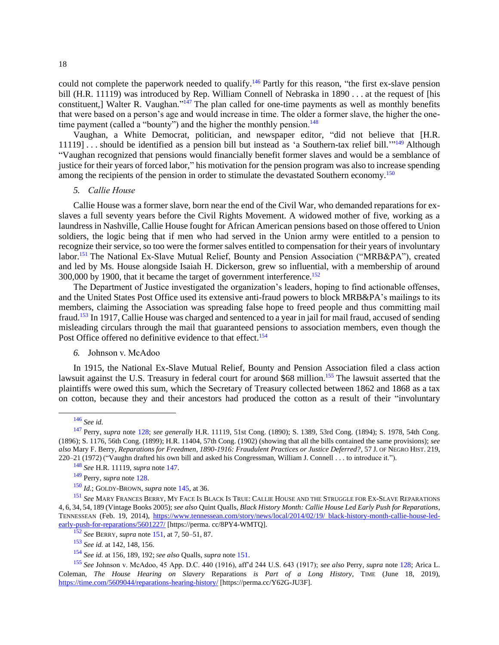<span id="page-17-2"></span>could not complete the paperwork needed to qualify.<sup>146</sup> Partly for this reason, "the first ex-slave pension bill (H.R. 11119) was introduced by Rep. William Connell of Nebraska in 1890 . . . at the request of [his constituent,] Walter R. Vaughan."<sup>147</sup> The plan called for one-time payments as well as monthly benefits that were based on a person's age and would increase in time. The older a former slave, the higher the onetime payment (called a "bounty") and the higher the monthly pension.<sup>148</sup>

Vaughan, a White Democrat, politician, and newspaper editor, "did not believe that [H.R. 11119] . . . should be identified as a pension bill but instead as 'a Southern-tax relief bill."<sup>149</sup> Although "Vaughan recognized that pensions would financially benefit former slaves and would be a semblance of justice for their years of forced labor," his motivation for the pension program was also to increase spending among the recipients of the pension in order to stimulate the devastated Southern economy.<sup>150</sup>

#### <span id="page-17-0"></span>*5. Callie House*

Callie House was a former slave, born near the end of the Civil War, who demanded reparations for exslaves a full seventy years before the Civil Rights Movement. A widowed mother of five, working as a laundress in Nashville, Callie House fought for African American pensions based on those offered to Union soldiers, the logic being that if men who had served in the Union army were entitled to a pension to recognize their service, so too were the former salves entitled to compensation for their years of involuntary labor.<sup>151</sup> The National Ex-Slave Mutual Relief, Bounty and Pension Association ("MRB&PA"), created and led by Ms. House alongside Isaiah H. Dickerson, grew so influential, with a membership of around 300,000 by 1900, that it became the target of government interference.<sup>152</sup>

<span id="page-17-3"></span>The Department of Justice investigated the organization's leaders, hoping to find actionable offenses, and the United States Post Office used its extensive anti-fraud powers to block MRB&PA's mailings to its members, claiming the Association was spreading false hope to freed people and thus committing mail fraud.<sup>153</sup> In 1917, Callie House was charged and sentenced to a year in jail for mail fraud, accused of sending misleading circulars through the mail that guaranteed pensions to association members, even though the Post Office offered no definitive evidence to that effect.<sup>154</sup>

## <span id="page-17-4"></span><span id="page-17-1"></span>*6.* Johnson v. McAdoo

In 1915, the National Ex-Slave Mutual Relief, Bounty and Pension Association filed a class action lawsuit against the U.S. Treasury in federal court for around \$68 million.<sup>155</sup> The lawsuit asserted that the plaintiffs were owed this sum, which the Secretary of Treasury collected between 1862 and 1868 as a tax on cotton, because they and their ancestors had produced the cotton as a result of their "involuntary

<sup>146</sup> *See id.*

<sup>147</sup> Perry, *supra* note [128;](#page-14-1) *see generally* H.R. 11119, 51st Cong. (1890); S. 1389, 53rd Cong. (1894); S. 1978, 54th Cong. (1896); S. 1176, 56th Cong. (1899); H.R. 11404, 57th Cong. (1902) (showing that all the bills contained the same provisions); *see also* Mary F. Berry, *Reparations for Freedmen, 1890-1916: Fraudulent Practices or Justice Deferred?*, 57 J. OF NEGRO HIST. 219, 220–21 (1972) ("Vaughn drafted his own bill and asked his Congressman, William J. Connell . . . to introduce it.").

<sup>148</sup> *See* H.R. 11119, *supra* not[e 147.](#page-17-2)

<sup>149</sup> Perry, *supra* not[e 128.](#page-14-1)

<sup>150</sup> *Id.*; GOLDY-BROWN, *supra* not[e 145,](#page-16-3) at 36.

<sup>151</sup> *See* MARY FRANCES BERRY, MY FACE IS BLACK IS TRUE: CALLIE HOUSE AND THE STRUGGLE FOR EX-SLAVE REPARATIONS 4, 6, 34, 54, 189 (Vintage Books 2005); *see also* Quint Qualls, *Black History Month: Callie House Led Early Push for Reparations*, TENNESSEAN (Feb. 19, 2014), [https://www.tennessean.com/story/news/local/2014/02/19/ black-history-month-callie-house-led](https://perma.cc/8PY4-WMTQ)[early-push-for-reparations/5601227/](https://perma.cc/8PY4-WMTQ) [https://perma. cc/8PY4-WMTQ].

<sup>152</sup> *See* BERRY, *supra* note [151,](#page-17-3) at 7, 50–51, 87.

<sup>153</sup> *See id.* at 142, 148, 156.

<sup>154</sup> *See id.* at 156, 189, 192; *<sup>S</sup>ee also* Qualls, *supra* note [151.](#page-17-3)

<sup>155</sup> *See* Johnson v. McAdoo, 45 App. D.C. 440 (1916), aff'd 244 U.S. 643 (1917); *see also* Perry, *supra* note [128;](#page-14-1) Arica L. Coleman, *The House Hearing on Slavery* Reparations *is Part of a Long History*, TIME (June 18, 2019), [https://time.com/5609044/reparations-hearing-history/](https://perma.cc/Y62G-JU3F) [https://perma.cc/Y62G-JU3F].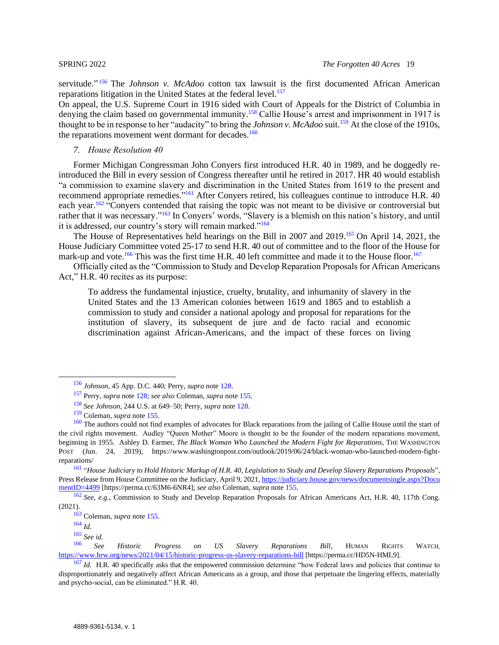servitude."<sup>156</sup> The *Johnson v. McAdoo* cotton tax lawsuit is the first documented African American reparations litigation in the United States at the federal level.<sup>157</sup>

On appeal, the U.S. Supreme Court in 1916 sided with Court of Appeals for the District of Columbia in denying the claim based on governmental immunity.<sup>158</sup> Callie House's arrest and imprisonment in 1917 is thought to be in response to her "audacity" to bring the *Johnson v. McAdoo* suit.<sup>159</sup> At the close of the 1910s, the reparations movement went dormant for decades. $160$ 

## <span id="page-18-0"></span>*7. House Resolution 40*

Former Michigan Congressman John Conyers first introduced [H.R.](https://www.govtrack.us/congress/bills/114/hr40/text) 40 in 1989, and he doggedly reintroduced the Bill in every session of Congress thereafter until he retired in 2017. HR 40 would establish "a commission to examine slavery and discrimination in the United States from 1619 to the present and recommend appropriate remedies."<sup>161</sup> After Conyers retired, his colleagues continue to introduce H.R. 40 each year.<sup>162</sup> "Conyers [contended](http://www.finalcall.com/artman/publish/National_News_2/Congressional_hearing_held_on_reparations_bill_4267.shtml) that raising the topic was not meant to be divisive or controversial but rather that it was necessary."<sup>163</sup> In Conyers' words, "Slavery is a blemish on this nation's history, and until it is addressed, our country's story will remain marked."<sup>164</sup>

The House of Representatives held hearings on the Bill in 2007 and 2019.<sup>165</sup> On April 14, 2021, the House Judiciary Committee voted 25-17 to send H.R. 40 out of committee and to the floor of the House for mark-up and vote.<sup>166</sup> This was the first time H.R. 40 left committee and made it to the House floor.<sup>167</sup>

Officially cited as the "Commission to Study and Develop Reparation Proposals for African Americans Act," H.R. 40 recites as its purpose:

To address the fundamental injustice, cruelty, brutality, and inhumanity of slavery in the United States and the 13 American colonies between 1619 and 1865 and to establish a commission to study and consider a national apology and proposal for reparations for the institution of slavery, its subsequent de jure and de facto racial and economic discrimination against African-Americans, and the impact of these forces on living

<sup>161</sup> "*House Judiciary to Hold Historic Markup of H.R. 40, Legislation to Study and Develop Slavery Reparations Proposals*", Press Release from House Committee on the Judiciary, April 9, 2021[, https://judiciary.house.gov/news/documentsingle.aspx?Docu](https://perma.cc/63M6-6NR4)  [mentID=4499](https://perma.cc/63M6-6NR4) [https://perma.cc/63M6-6NR4]; *see also* Coleman, *supra* not[e 155.](#page-17-4)

<sup>162</sup> *See, e.g.*, Commission to Study and Develop Reparation Proposals for African Americans Act, H.R. 40, 117th Cong. (2021).

<sup>156</sup> *Johnson*, 45 App. D.C. 440; Perry, *supra* not[e 128.](#page-14-1)

<sup>157</sup> Perry, *supra* not[e 128;](#page-14-1) *see also* Coleman, *supra* note [155.](#page-17-4)

<sup>158</sup> *See Johnson*, 244 U.S. at 649–50; Perry, *supra* note [128.](#page-14-1)

<sup>159</sup> Coleman, *supra* not[e 155.](#page-17-4)

<sup>&</sup>lt;sup>160</sup> The authors could not find examples of advocates for Black reparations from the jailing of Callie House until the start of the civil rights movement. Audley "Queen Mother" Moore is thought to be the founder of the modern reparations movement, beginning in 1955. Ashley D. Farmer, *The Black Woman Who Launched the Modern Fight for Reparations*, THE WASHINGTON POST (Jun. 24, 2019), https://www.washingtonpost.com/outlook/2019/06/24/black-woman-who-launched-modern-fightreparations/

<sup>163</sup> Coleman, *supra* not[e 155.](#page-17-4)

<sup>164</sup> *Id.*

<sup>165</sup> *See id.*

<sup>166</sup> *See Historic Progress on US Slavery Reparations Bill*, HUMAN RIGHTS WATCH, [https://www.hrw.org/news/2021/04/15/historic-progress-us-slavery-reparations-bill](https://perma.cc/HD5N-HML9) [https://perma.cc/HD5N-HML9].

<sup>&</sup>lt;sup>167</sup> *Id.* H.R. 40 specifically asks that the empowered commission determine "how Federal laws and policies that continue to disproportionately and negatively affect African Americans as a group, and those that perpetuate the lingering effects, materially and psycho-social, can be eliminated." H.R. 40.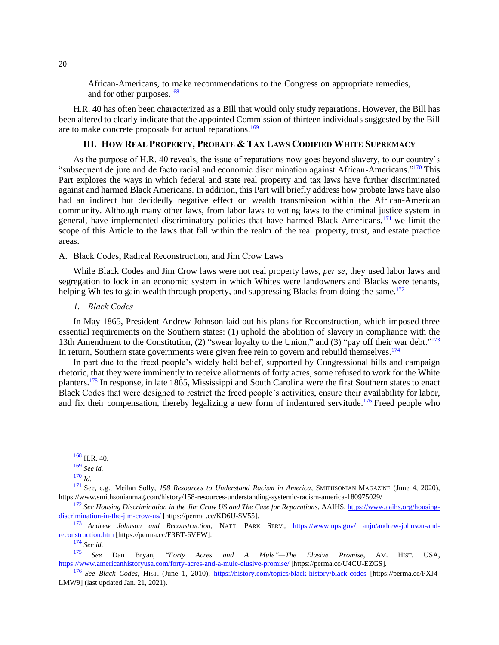African-Americans, to make recommendations to the Congress on appropriate remedies, and for other purposes.<sup>168</sup>

H.R. 40 has often been characterized as a Bill that would only study reparations. However, the Bill has been altered to clearly indicate that the appointed Commission of thirteen individuals suggested by the Bill are to make concrete proposals for actual reparations.<sup>169</sup>

## <span id="page-19-0"></span>**III. HOW REAL PROPERTY, PROBATE & TAX LAWS CODIFIED WHITE SUPREMACY**

As the purpose of H.R. 40 reveals, the issue of reparations now goes beyond slavery, to our country's "subsequent de jure and de facto racial and economic discrimination against African-Americans."<sup>170</sup> This Part explores the ways in which federal and state real property and tax laws have further discriminated against and harmed Black Americans. In addition, this Part will briefly address how probate laws have also had an indirect but decidedly negative effect on wealth transmission within the African-American community. Although many other laws, from labor laws to voting laws to the criminal justice system in general, have implemented discriminatory policies that have harmed Black Americans,<sup>171</sup> we limit the scope of this Article to the laws that fall within the realm of the real property, trust, and estate practice areas.

## <span id="page-19-1"></span>A. Black Codes, Radical Reconstruction, and Jim Crow Laws

While Black Codes and Jim Crow laws were not real property laws, *per se*, they used labor laws and segregation to lock in an economic system in which Whites were landowners and Blacks were tenants, helping Whites to gain wealth through property, and suppressing Blacks from doing the same.<sup>172</sup>

## <span id="page-19-2"></span>*1. Black Codes*

In May 1865, President Andrew Johnson laid out his plans for Reconstruction, which imposed three essential requirements on the Southern states: (1) uphold the abolition of slavery in compliance with the 13th Amendment to the Constitution, (2) "swear loyalty to the Union," and (3) "pay off their war debt."<sup>173</sup> In return, Southern state governments were given free rein to govern and rebuild themselves.<sup>174</sup>

In part due to the freed people's widely held belief, supported by Congressional bills and campaign rhetoric, that they were imminently to receive allotments of forty acres, some refused to work for the White planters.<sup>175</sup> In response, in late 1865, Mississippi and South Carolina were the first Southern states to enact Black Codes that were designed to restrict the freed people's activities, ensure their availability for labor, and fix their compensation, thereby legalizing a new form of indentured servitude.<sup>176</sup> Freed people who

<sup>174</sup> *See id.*

<sup>175</sup> *See* Dan Bryan, "*Forty Acres and A Mule"—The Elusive Promise*, AM. HIST. USA, [https://www.americanhistoryusa.com/forty-acres-and-a-mule-elusive-promise/](https://perma.cc/U4CU-EZGS) [https://perma.cc/U4CU-EZGS].

<span id="page-19-3"></span> $168$  H.R. 40.

<sup>169</sup> *See id.*

<sup>170</sup> *Id.*

<sup>171</sup> See, e.g., Meilan Solly, *158 Resources to Understand Racism in America*, SMITHSONIAN MAGAZINE (June 4, 2020), https://www.smithsonianmag.com/history/158-resources-understanding-systemic-racism-america-180975029/

<sup>172</sup> *See Housing Discrimination in the Jim Crow US and The Case for Reparations*, AAIHS, [https://www.aaihs.org/housing](https://perma.cc/KD6U-SV55)[discrimination-in-the-jim-crow-us/](https://perma.cc/KD6U-SV55) [https://perma .cc/KD6U-SV55].

<sup>173</sup> *Andrew Johnson and Reconstruction*, NAT'L PARK SERV., [https://www.nps.gov/ anjo/andrew-johnson-and](https://perma.cc/E3BT-6VEW)[reconstruction.htm](https://perma.cc/E3BT-6VEW) [https://perma.cc/E3BT-6VEW].

<sup>176</sup> *See Black Codes*, HIST. (June 1, 2010), [https://history.com/topics/black-history/black-codes](https://perma.cc/PXJ4-LMW9) [https://perma.cc/PXJ4- LMW9] (last updated Jan. 21, 2021).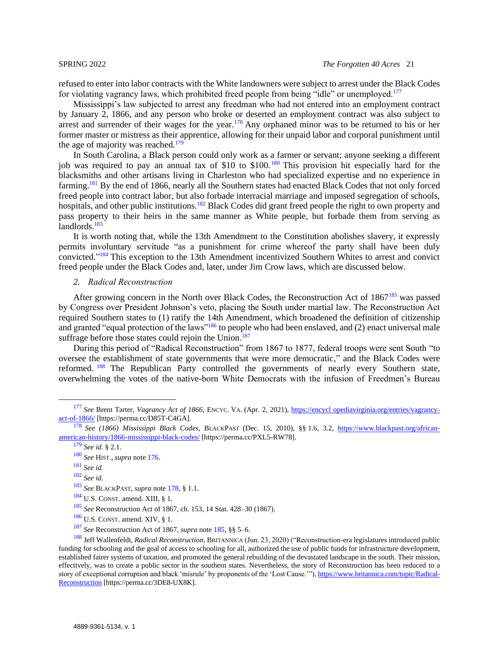refused to enter into labor contracts with the White landowners were subject to arrest under the Black Codes for violating vagrancy laws, which prohibited freed people from being "idle" or unemployed.<sup>177</sup>

<span id="page-20-1"></span>Mississippi's law subjected to arrest any freedman who had not entered into an employment contract by January 2, 1866, and any person who broke or deserted an employment contract was also subject to arrest and surrender of their wages for the year.<sup>178</sup> Any orphaned minor was to be returned to his or her former master or mistress as their apprentice, allowing for their unpaid labor and corporal punishment until the age of majority was reached. $179$ 

In South Carolina, a Black person could only work as a farmer or servant; anyone seeking a different job was required to pay an annual tax of \$10 to \$100. <sup>180</sup> This provision hit especially hard for the blacksmiths and other artisans living in Charleston who had specialized expertise and no experience in farming.<sup>181</sup> By the end of 1866, nearly all the Southern states had enacted Black Codes that not only forced freed people into contract labor, but also forbade interracial marriage and imposed segregation of schools, hospitals, and other public institutions.<sup>182</sup> Black Codes did grant freed people the right to own property and pass property to their heirs in the same manner as White people, but forbade them from serving as landlords.<sup>183</sup>

It is worth noting that, while the 13th Amendment to the Constitution abolishes slavery, it expressly permits involuntary servitude "as a punishment for crime whereof the party shall have been duly convicted."<sup>184</sup> This exception to the 13th Amendment incentivized Southern Whites to arrest and convict freed people under the Black Codes and, later, under Jim Crow laws, which are discussed below.

## <span id="page-20-2"></span><span id="page-20-0"></span>*2. Radical Reconstruction*

After growing concern in the North over Black Codes, the Reconstruction Act of 1867<sup>185</sup> was passed by Congress over President Johnson's veto, placing the South under martial law. The Reconstruction Act required Southern states to (1) ratify the 14th Amendment, which broadened the definition of citizenship and granted "equal protection of the laws"<sup>186</sup> to people who had been enslaved, and (2) enact universal male suffrage before those states could rejoin the Union. $187$ 

During this period of "Radical Reconstruction" from 1867 to 1877, federal troops were sent South "to oversee the establishment of state governments that were more democratic," and the Black Codes were reformed. <sup>188</sup> The Republican Party controlled the governments of nearly every Southern state, overwhelming the votes of the native-born White Democrats with the infusion of Freedmen's Bureau

<sup>177</sup> *See* Brent Tarter, *Vagrancy Act of 1866*, ENCYC. VA. (Apr. 2, 2021), [https://encycl opediavirginia.org/entries/vagrancy](https://perma.cc/D85T-C4GA)[act-of-1866/](https://perma.cc/D85T-C4GA) [https://perma.cc/D85T-C4GA].

<sup>178</sup> *See (1866) Mississippi Black Codes*, BLACKPAST (Dec. 15, 2010), §§ 1.6, 3.2, [https://www.blackpast.org/african](https://perma.cc/PXL5-RW78)[american-history/1866-mississippi-black-codes/](https://perma.cc/PXL5-RW78) [https://perma.cc/PXL5-RW78].

<sup>179</sup> *See id.* § 2.1.

<sup>180</sup> *See* HIST., *supra* note [176.](#page-19-3)

<sup>181</sup> *See id.*

<sup>182</sup> *See id.*

<sup>183</sup> *See* BLACKPAST, *supra* note [178,](#page-20-1) § 1.1.

 $184$  U.S. CONST. amend. XIII, § 1.

<sup>185</sup> *See* Reconstruction Act of 1867, ch. 153, 14 Stat. 428–30 (1867).

 $186$  U.S. CONST. amend. XIV, § 1.

<sup>187</sup> *See* Reconstruction Act of 1867, *supra* note [185,](#page-20-2) §§ 5–6.

<sup>188</sup> Jeff Wallenfeldt, *Radical Reconstruction*, BRITANNICA (Jun. 23, 2020) ("Reconstruction-era legislatures introduced public funding for schooling and the goal of access to schooling for all, authorized the use of public funds for infrastructure development. established fairer systems of taxation, and promoted the general rebuilding of the devastated landscape in the south. Their mission, effectively, was to create a public sector in the southern states. Nevertheless, the story of Reconstruction has been reduced to a story of exceptional corruption and black 'misrule' by proponents of the 'Lost Cause.'")[, https://www.britannica.com/topic/Radical-](https://perma.cc/3DE8-UX8K)[Reconstruction](https://perma.cc/3DE8-UX8K) [https://perma.cc/3DE8-UX8K].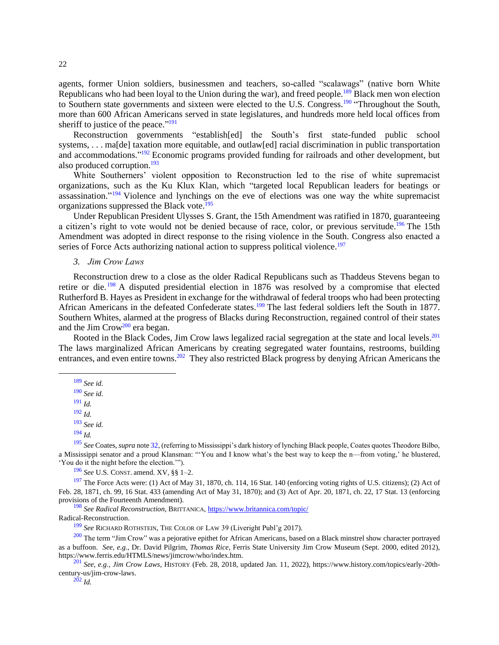agents, former Union soldiers, businessmen and teachers, so-called "scalawags" (native born White Republicans who had been loyal to the Union during the war), and freed people.<sup>189</sup> Black men won election to Southern state governments and sixteen were elected to the U.S. Congress.<sup>190</sup> "Throughout the South, more than 600 African Americans served in state legislatures, and hundreds more held local offices from sheriff to justice of the peace."<sup>191</sup>

Reconstruction governments "establish[ed] the South's first state-funded public school systems, . . . ma<sup>[de]</sup> taxation more equitable, and outlaw<sup>[ed]</sup> racial discrimination in public transportation and accommodations."<sup>192</sup> Economic programs provided funding for railroads and other development, but also produced corruption. $193$ 

White Southerners' violent opposition to Reconstruction led to the rise of white supremacist organizations, such as the Ku Klux Klan, which "targeted local Republican leaders for beatings or assassination."<sup>194</sup> Violence and lynchings on the eve of elections was one way the white supremacist organizations suppressed the Black vote.<sup>195</sup>

Under Republican President Ulysses S. Grant, the 15th Amendment was ratified in 1870, guaranteeing a citizen's right to vote would not be denied because of race, color, or previous servitude.<sup>196</sup> The 15th Amendment was adopted in direct response to the rising violence in the South. Congress also enacted a series of Force Acts authorizing national action to suppress political violence.<sup>197</sup>

## <span id="page-21-1"></span><span id="page-21-0"></span>*3. Jim Crow Laws*

Reconstruction drew to a close as the older Radical Republicans such as Thaddeus Stevens began to retire or die. <sup>198</sup> A disputed presidential election in 1876 was resolved by a compromise that elected Rutherford B. Hayes as President in exchange for the withdrawal of federal troops who had been protecting African Americans in the defeated Confederate states.<sup>199</sup> The last federal soldiers left the South in 1877. Southern Whites, alarmed at the progress of Blacks during Reconstruction, regained control of their states and the Jim Crow<sup>200</sup> era began.

Rooted in the Black Codes, Jim Crow laws legalized racial segregation at the state and local levels.<sup>201</sup> The laws marginalized African Americans by creating segregated water fountains, restrooms, building entrances, and even entire towns.<sup>202</sup> They also restricted Black progress by denying African Americans the

<sup>193</sup> *See id.*

<sup>195</sup> *See* Coates, *supra* not[e 32,](#page-6-1) (referring to Mississippi's dark history of lynching Black people, Coates quotes Theodore Bilbo, a Mississippi senator and a proud Klansman: "'You and I know what's the best way to keep the n—from voting,' he blustered, 'You do it the night before the election.'").

<sup>196</sup> *See* U.S. CONST. amend. XV, §§ 1–2.

 $197$  The Force Acts were: (1) Act of May 31, 1870, ch. 114, 16 Stat. 140 (enforcing voting rights of U.S. citizens); (2) Act of Feb. 28, 1871, ch. 99, 16 Stat. 433 (amending Act of May 31, 1870); and (3) Act of Apr. 20, 1871, ch. 22, 17 Stat. 13 (enforcing provisions of the Fourteenth Amendment).

<sup>198</sup> *See Radical Reconstruction*, BRITTANICA,<https://www.britannica.com/topic/>

Radical-Reconstruction.

<sup>199</sup> *See* RICHARD ROTHSTEIN, THE COLOR OF LAW 39 (Liveright Publ'g 2017).

<sup>200</sup> The term "Jim Crow" was a pejorative epithet for African Americans, based on a Black minstrel show character portrayed as a buffoon. *See, e.g.,* Dr. David Pilgrim, *Thomas Rice*, Ferris State University Jim Crow Museum (Sept. 2000, edited 2012), https://www.ferris.edu/HTMLS/news/jimcrow/who/index.htm.

<sup>201</sup> *See, e.g., Jim Crow Laws*, HISTORY (Feb. 28, 2018, updated Jan. 11, 2022), https://www.history.com/topics/early-20thcentury-us/jim-crow-laws.

<sup>189</sup> *See id.*

<sup>190</sup> *See id.*

<sup>191</sup> *Id.*

<sup>192</sup> *Id.*

<sup>194</sup> *Id.*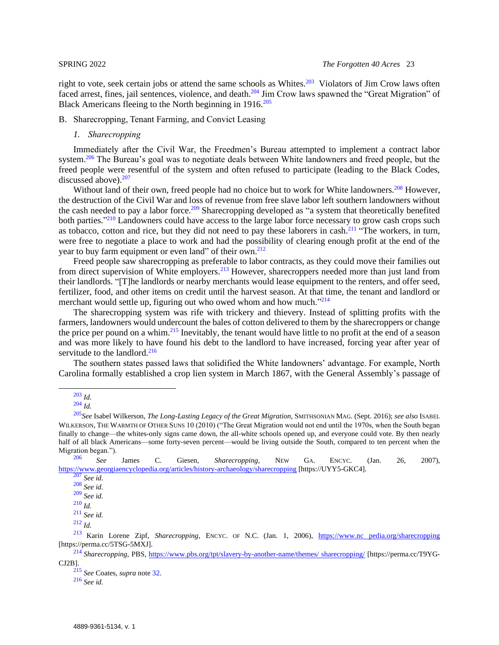right to vote, seek certain jobs or attend the same schools as Whites.<sup>203</sup> Violators of Jim Crow laws often faced arrest, fines, jail sentences, violence, and death.<sup>204</sup> Jim Crow laws spawned the "Great Migration" of Black Americans fleeing to the North beginning in 1916.<sup>205</sup>

## <span id="page-22-1"></span><span id="page-22-0"></span>B. Sharecropping, Tenant Farming, and Convict Leasing

## *1. Sharecropping*

Immediately after the Civil War, the Freedmen's Bureau attempted to implement a contract labor system.<sup>206</sup> The Bureau's goal was to negotiate deals between White landowners and freed people, but the freed people were resentful of the system and often refused to participate (leading to the Black Codes, discussed above).<sup>207</sup>

Without land of their own, freed people had no choice but to work for White landowners.<sup>208</sup> However, the destruction of the Civil War and loss of revenue from free slave labor left southern landowners without the cash needed to pay a labor force.<sup>209</sup> Sharecropping developed as "a system that theoretically benefited both parties."<sup>210</sup> Landowners could have access to the large labor force necessary to grow cash crops such as tobacco, [cotton](https://www.georgiaencyclopedia.org/articles/business-economy/cotton) and rice, but they did not need to pay these laborers in cash.<sup>211</sup> "The workers, in turn, were free to negotiate a place to work and had the possibility of clearing enough profit at the end of the year to buy farm equipment or even land" of their own.<sup>212</sup>

<span id="page-22-2"></span>Freed people saw sharecropping as preferable to labor contracts, as they could move their families out from direct supervision of White employers.<sup>213</sup> However, sharecroppers needed more than just land from their landlords. "[T]he landlords or nearby merchants would lease equipment to the renters, and offer seed, fertilizer, food, and other items on credit until the harvest season. At that time, the tenant and landlord or merchant would settle up, figuring out who owed whom and how much."<sup>214</sup>

The sharecropping system was rife with trickery and thievery. Instead of splitting profits with the farmers, landowners would undercount the bales of cotton delivered to them by the sharecroppers or change the price per pound on a whim.<sup>215</sup> Inevitably, the tenant would have little to no profit at the end of a season and was more likely to have found his debt to the landlord to have increased, forcing year after year of servitude to the landlord.<sup>216</sup>

The southern states passed laws that solidified the White landowners' advantage. For example, North Carolina formally established a crop lien system in March 1867, with the General Assembly's passage of

<sup>206</sup> *See* James C. Giesen, *Sharecropping*, NEW GA. ENCYC. (Jan. 26, 2007), <https://www.georgiaencyclopedia.org/articles/history-archaeology/sharecropping> [https://UYY5-GKC4].

<sup>213</sup> Karin Lorene Zipf, *Sharecropping*, ENCYC. OF N.C. (Jan. 1, 2006), [https://www.nc pedia.org/sharecropping](https://perma.cc/5TSG-5MXJ) [https://perma.cc/5TSG-5MXJ].

<sup>214</sup> *Sharecropping*, PBS, [https://www.pbs.org/tpt/slavery-by-another-name/themes/ sharecropping/](https://perma.cc/T9YG-CJ2B) [https://perma.cc/T9YG-CJ2B].

<sup>215</sup> *See* Coates, *supra* note [32.](#page-6-1)

<sup>203</sup> *Id.*

<sup>204</sup> *Id.*

<sup>205</sup>*See* Isabel Wilkerson, *The Long-Lasting Legacy of the Great Migration*, SMITHSONIAN MAG. (Sept. 2016); *see also* ISABEL WILKERSON, THE WARMTH OF OTHER SUNS 10 (2010) ("The Great Migration would not end until the 1970s, when the South began finally to change—the whites-only signs came down, the all-white schools opened up, and everyone could vote. By then nearly half of all black Americans—some forty-seven percent—would be living outside the South, compared to ten percent when the Migration began.").

<sup>207</sup> *See id.* <sup>208</sup> *See id.*

<sup>209</sup> *See id.*

<sup>210</sup> *Id.*

<sup>211</sup> *See id.*  $^{212}$  *Id.* 

<sup>216</sup> *See id.*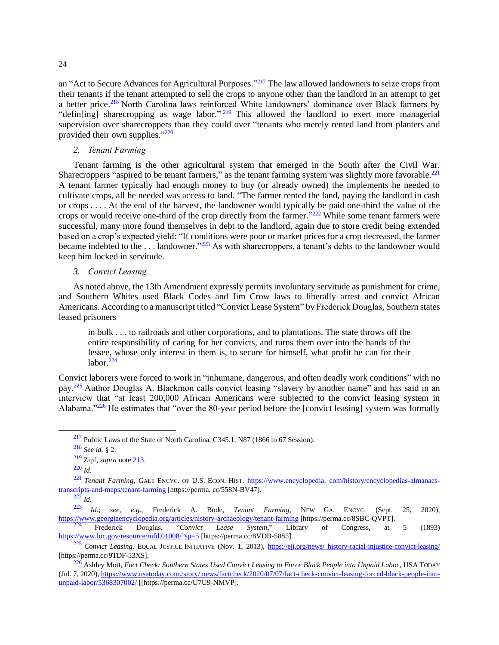an "Act to Secure Advances for Agricultural Purposes."<sup>217</sup> The law allowed landowners to seize crops from their tenants if the tenant attempted to sell the crops to anyone other than the landlord in an attempt to get a better price.<sup>218</sup> North Carolina laws reinforced White landowners' dominance over Black farmers by "defin[ing] sharecropping as wage labor."<sup>219</sup> This allowed the landlord to exert more managerial supervision over sharecroppers than they could over "tenants who merely rented land from planters and provided their own supplies."<sup>220</sup>

<span id="page-23-0"></span>*2. Tenant Farming*

Tenant farming is the other agricultural system that emerged in the South after the Civil War. Sharecroppers "aspired to be tenant farmers," as the tenant farming system was slightly more favorable.<sup>221</sup> A tenant farmer typically had enough money to buy (or already owned) the implements he needed to cultivate crops, all he needed was access to land. "The farmer rented the land, paying the landlord in cash or crops . . . . At the end of the harvest, the landowner would typically be paid one-third the value of the crops or would receive one-third of the crop directly from the farmer."<sup>222</sup> While some tenant farmers were successful, many more found themselves in debt to the landlord, again due to store credit being extended based on a crop's expected yield: "If conditions were poor or market prices for a crop decreased, the farmer became indebted to the ... landowner.<sup>"223</sup> As with sharecroppers, a tenant's debts to the landowner would keep him locked in servitude.

<span id="page-23-1"></span>*3. Convict Leasing*

As noted above, the 13th Amendment expressly permits involuntary servitude as punishment for crime, and Southern Whites used Black Codes and Jim Crow laws to liberally arrest and convict African Americans. According to a manuscript titled "Convict Lease System" by Frederick Douglas, Southern states leased prisoners

in bulk . . . to railroads and other corporations, and to plantations. The state throws off the entire responsibility of caring for her convicts, and turns them over into the hands of the lessee, whose only interest in them is, to secure for himself, what profit he can for their labor.<sup>224</sup>

Convict laborers were forced to work in "inhumane, dangerous, and often deadly work conditions" with no pay.<sup>225</sup> Author Douglas A. Blackmon calls convict leasing "slavery by another name" and has said in an interview that "at least 200,000 African Americans were subjected to the convict leasing system in Alabama."<sup>226</sup> He estimates that "over the 80-year period before the [convict leasing] system was formally

 $217$  Public Laws of the State of North Carolina, C345.1, N87 (1866 to 67 Session).

<sup>218</sup> *See id.* § 2.

<sup>219</sup> Zipf, *supra* note [213.](#page-22-2)

<sup>220</sup> *Id.*

<sup>221</sup> *Tenant Farming*, GALE ENCYC. OF U.S. ECON. HIST. [https://www.encyclopedia. com/history/encyclopedias-almanacs](https://perma.cc/558N-BV47)[transcripts-and-maps/tenant-farming](https://perma.cc/558N-BV47) [https://perma. cc/558N-BV47].

 $\frac{222}{223}$  *Id.*; *see*, <sup>223</sup> *Id.*; *see, e.g*., Frederick A. Bode, *Tenant Farming*, NEW GA. ENCYC. (Sept. 25, 2020), [https://www.georgiaencyclopedia.org/articles/history-archaeology/tenant-farming](https://perma.cc/8SBC-QVPT) [https://perma.cc/8SBC-QVPT].

<sup>224</sup> Frederick Douglas, "*Convict Lease System*," Library of Congress, at 5 (1893) [https://www.loc.gov/resource/mfd.01008/?sp=5](https://perma.cc/8VDB-5885) [https://perma.cc/8VDB-5885].

<sup>225</sup> *Convict Leasing*, EQUAL JUSTICE INITIATIVE (Nov. 1, 2013), [https://eji.org/news/ history-racial-injustice-convict-leasing/](https://perma.cc/9TDF-53XS) [https://perma.cc/9TDF-53XS].

<sup>226</sup> [Ashley Mott,](https://www.thenewsstar.com/staff/4406916002/ashley-mott/) *Fact Check: Southern States Used Convict Leasing to Force Black People into Unpaid Labor*, USA TODAY (Jul. 7, 2020), [https://www.usatoday.com./story/ news/factcheck/2020/07/07/fact-check-convict-leasing-forced-black-people-into](https://perma.cc/U7U9-NMVP)[unpaid-labor/5368307002/](https://perma.cc/U7U9-NMVP) [[https://perma.cc/U7U9-NMVP].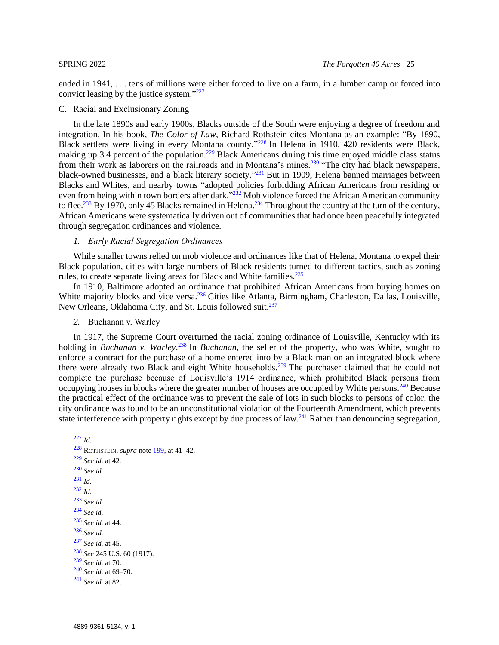ended in 1941, . . . tens of millions were either forced to live on a farm, in a lumber camp or forced into convict leasing by the justice system."<sup>227</sup>

## <span id="page-24-0"></span>C. Racial and Exclusionary Zoning

In the late 1890s and early 1900s, Blacks outside of the South were enjoying a degree of freedom and integration. In his book, *The Color of Law*, Richard Rothstein cites Montana as an example: "By 1890, Black settlers were living in every Montana county."<sup>228</sup> In Helena in 1910, 420 residents were Black, making up 3.4 percent of the population.<sup>229</sup> Black Americans during this time enjoyed middle class status from their work as laborers on the railroads and in Montana's mines.<sup>230</sup> "The city had black newspapers, black-owned businesses, and a black literary society."<sup>231</sup> But in 1909, Helena banned marriages between Blacks and Whites, and nearby towns "adopted policies forbidding African Americans from residing or even from being within town borders after dark."<sup>232</sup> Mob violence forced the African American community to flee.<sup>233</sup> By 1970, only 45 Blacks remained in Helena.<sup>234</sup> Throughout the country at the turn of the century, African Americans were systematically driven out of communities that had once been peacefully integrated through segregation ordinances and violence.

### <span id="page-24-1"></span>*1. Early Racial Segregation Ordinances*

While smaller towns relied on mob violence and ordinances like that of Helena, Montana to expel their Black population, cities with large numbers of Black residents turned to different tactics, such as zoning rules, to create separate living areas for Black and White families.<sup>235</sup>

In 1910, Baltimore adopted an ordinance that prohibited African Americans from buying homes on White majority blocks and vice versa.<sup>236</sup> Cities like Atlanta, Birmingham, Charleston, Dallas, Louisville, New Orleans, Oklahoma City, and St. Louis followed suit.<sup>237</sup>

<span id="page-24-2"></span>*2.* Buchanan v. Warley

In 1917, the Supreme Court overturned the racial zoning ordinance of Louisville, Kentucky with its holding in *Buchanan v. Warley*. <sup>238</sup> In *Buchanan*, the seller of the property, who was White, sought to enforce a contract for the purchase of a home entered into by a Black man on an integrated block where there were already two Black and eight White households.<sup>239</sup> The purchaser claimed that he could not complete the purchase because of Louisville's 1914 ordinance, which prohibited Black persons from occupying houses in blocks where the greater number of houses are occupied by White persons.<sup>240</sup> Because the practical effect of the ordinance was to prevent the sale of lots in such blocks to persons of color, the city ordinance was found to be an unconstitutional violation of the Fourteenth Amendment, which prevents state interference with property rights except by due process of law.<sup>241</sup> Rather than denouncing segregation,

```
228 ROTHSTEIN, supra note 199, at 41–42.
229 See id. at 42.
230 See id.
231 Id.
232 Id.
233 See id.
234 See id.
235 See id. at 44.
236 See id.
237 See id. at 45.
238 See 245 U.S. 60 (1917).
239 See id. at 70.
240 See id. at 69–70.
241 See id. at 82.
```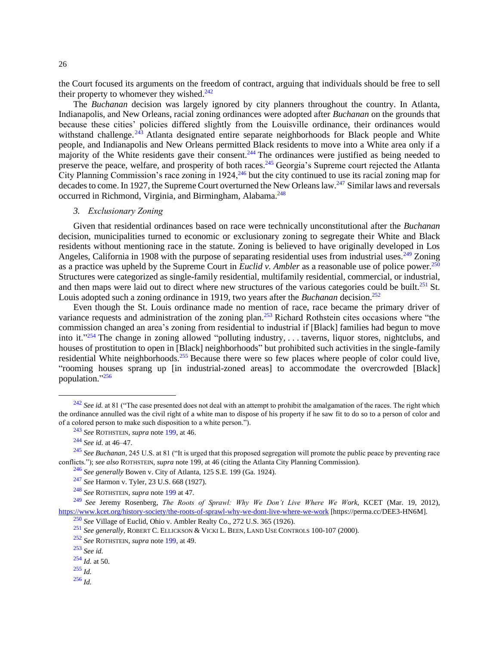the Court focused its arguments on the freedom of contract, arguing that individuals should be free to sell their property to whomever they wished. $242$ 

The *Buchanan* decision was largely ignored by city planners throughout the country. In Atlanta, Indianapolis, and New Orleans, racial zoning ordinances were adopted after *Buchanan* on the grounds that because these cities' policies differed slightly from the Louisville ordinance, their ordinances would withstand challenge. <sup>243</sup> Atlanta designated entire separate neighborhoods for Black people and White people, and Indianapolis and New Orleans permitted Black residents to move into a White area only if a majority of the White residents gave their consent.<sup>244</sup> The ordinances were justified as being needed to preserve the peace, welfare, and prosperity of both races.<sup>245</sup> Georgia's Supreme court rejected the Atlanta City Planning Commission's race zoning in 1924, $246$  but the city continued to use its racial zoning map for decades to come. In 1927, the Supreme Court overturned the New Orleans law.<sup>247</sup> Similar laws and reversals occurred in Richmond, Virginia, and Birmingham, Alabama.<sup>248</sup>

## <span id="page-25-0"></span>*3. Exclusionary Zoning*

Given that residential ordinances based on race were technically unconstitutional after the *Buchanan* decision, municipalities turned to economic or exclusionary zoning to segregate their White and Black residents without mentioning race in the statute. Zoning is believed to have originally developed in Los Angeles, California in 1908 with the purpose of separating residential uses from industrial uses.<sup>249</sup> Zoning as a practice was upheld by the Supreme Court in *Euclid v. Ambler* as a reasonable use of police power.<sup>250</sup> Structures were categorized as single-family residential, multifamily residential, commercial, or industrial, and then maps were laid out to direct where new structures of the various categories could be built.<sup>251</sup> St. Louis adopted such a zoning ordinance in 1919, two years after the *Buchanan* decision.<sup>252</sup>

Even though the St. Louis ordinance made no mention of race, race became the primary driver of variance requests and administration of the zoning plan.<sup>253</sup> Richard Rothstein cites occasions where "the commission changed an area's zoning from residential to industrial if [Black] families had begun to move into it."<sup>254</sup> The change in zoning allowed "polluting industry, ... taverns, liquor stores, nightclubs, and houses of prostitution to open in [Black] neighborhoods" but prohibited such activities in the single-family residential White neighborhoods.<sup>255</sup> Because there were so few places where people of color could live, "rooming houses sprang up [in industrial-zoned areas] to accommodate the overcrowded [Black] population." 256

<sup>&</sup>lt;sup>242</sup> See id. at 81 ("The case presented does not deal with an attempt to prohibit the amalgamation of the races. The right which the ordinance annulled was the civil right of a white man to dispose of his property if he saw fit to do so to a person of color and of a colored person to make such disposition to a white person.").

<sup>243</sup> *See* ROTHSTEIN, *supra* note [199,](#page-21-1) at 46.

<sup>244</sup> *See id.* at 46–47.

<sup>245</sup> *See Buchanan*, 245 U.S. at 81 ("It is urged that this proposed segregation will promote the public peace by preventing race conflicts."); *see also* ROTHSTEIN, *supra* not[e 199,](#page-21-1) at 46 (citing the Atlanta City Planning Commission).

<sup>246</sup> *See generally* Bowen v. City of Atlanta, 125 S.E. 199 (Ga. 1924).

<sup>247</sup> *See* Harmon v. Tyler, 23 U.S. 668 (1927).

<sup>248</sup> *See* ROTHSTEIN, *supra* note [199](#page-21-1) at 47.

<sup>249</sup> *See* Jeremy Rosenberg, *The Roots of Sprawl: Why We Don't Live Where We Work*, KCET (Mar. 19, 2012), [https://www.kcet.org/history-society/the-roots-of-sprawl-why-we-dont-live-where-we-work](https://perma.cc/DEE3-HN6M) [https://perma.cc/DEE3-HN6M].

<sup>250</sup> *See* Village of Euclid, Ohio v. Ambler Realty Co., 272 U.S. 365 (1926).

<sup>251</sup> *See generally*, ROBERT C. ELLICKSON & VICKI L. BEEN, LAND USE CONTROLS 100-107 (2000).

<sup>252</sup> *See* ROTHSTEIN, *supra* note [199,](#page-21-1) at 49.

<sup>253</sup> *See id.*

<sup>254</sup> *Id.* at 50.

<sup>255</sup> *Id.*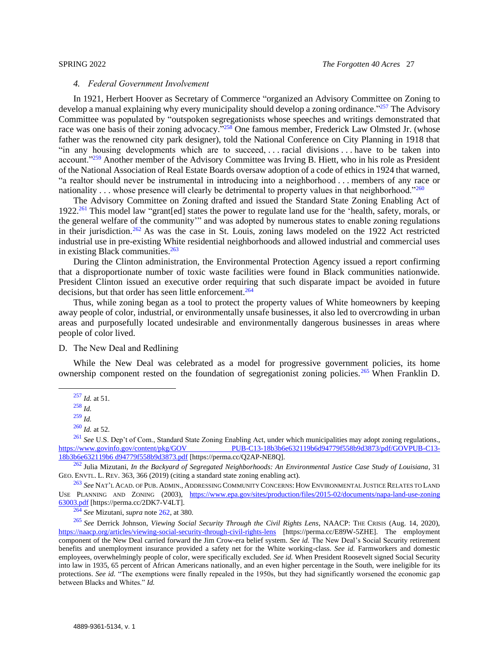#### *4. Federal Government Involvement*

<span id="page-26-0"></span>In 1921, Herbert Hoover as Secretary of Commerce "organized an Advisory Committee on Zoning to develop a manual explaining why every municipality should develop a zoning ordinance."<sup>257</sup> The Advisory Committee was populated by "outspoken segregationists whose speeches and writings demonstrated that race was one basis of their zoning advocacy."<sup>258</sup> One famous member, Frederick Law Olmsted Jr. (whose father was the renowned city park designer), told the National Conference on City Planning in 1918 that "in any housing developments which are to succeed, . . . racial divisions . . . have to be taken into account."<sup>259</sup> Another member of the Advisory Committee was Irving B. Hiett, who in his role as President of the National Association of Real Estate Boards oversaw adoption of a code of ethics in 1924 that warned, "a realtor should never be instrumental in introducing into a neighborhood . . . members of any race or nationality . . . whose presence will clearly be detrimental to property values in that neighborhood."<sup>260</sup>

<span id="page-26-2"></span>The Advisory Committee on Zoning drafted and issued the Standard State Zoning Enabling Act of 1922.<sup>261</sup> This model law "grant[ed] states the power to regulate land use for the 'health, safety, morals, or the general welfare of the community'" and was adopted by numerous states to enable zoning regulations in their jurisdiction.<sup>262</sup> As was the case in St. Louis, zoning laws modeled on the 1922 Act restricted industrial use in pre-existing White residential neighborhoods and allowed industrial and commercial uses in existing Black communities. $263$ 

During the Clinton administration, the Environmental Protection Agency issued a report confirming that a disproportionate number of toxic waste facilities were found in Black communities nationwide. President Clinton issued an executive order requiring that such disparate impact be avoided in future decisions, but that order has seen little enforcement.<sup>264</sup>

Thus, while zoning began as a tool to protect the property values of White homeowners by keeping away people of color, industrial, or environmentally unsafe businesses, it also led to overcrowding in urban areas and purposefully located undesirable and environmentally dangerous businesses in areas where people of color lived.

<span id="page-26-1"></span>D. The New Deal and Redlining

While the New Deal was celebrated as a model for progressive government policies, its home ownership component rested on the foundation of segregationist zoning policies.<sup>265</sup> When Franklin D.

<sup>264</sup> *See* Mizutani, *supra* note [262,](#page-26-2) at 380.

<sup>257</sup> *Id.* at 51.

<sup>258</sup> *Id.*

<sup>259</sup> *Id.*

<sup>260</sup> *Id.* at 52.

<sup>&</sup>lt;sup>261</sup> *See* U.S. Dep't of Com., Standard State Zoning Enabling Act, under which municipalities may adopt zoning regulations., https://www.govinfo.gov/content/pkg/GOV PUB-C13-18b3b6e632119b6d94779f558b9d3873/pdf/GOVPUB-C13-PUB-C13-18b3b6e632119b6d94779f558b9d3873/pdf/GOVPUB-C13-[18b3b6e632119b6 d94779f558b9d3873.pdf](https://perma.cc/Q2AP-NE8Q) [https://perma.cc/Q2AP-NE8Q].

<sup>262</sup> Julia Mizutani, *In the Backyard of Segregated Neighborhoods: An Environmental Justice Case Study of Louisiana*, 31 GEO. ENVTL. L. REV. 363, 366 (2019) (citing a standard state zoning enabling act).

<sup>263</sup> *See* NAT'L ACAD. OF PUB. ADMIN., ADDRESSING COMMUNITY CONCERNS: HOW ENVIRONMENTAL JUSTICE RELATES TO LAND USE PLANNING AND ZONING (2003), [https://www.epa.gov/sites/production/files/2015-02/documents/napa-land-use-zoning](https://perma.cc/2DK7-V4LT)  [63003.pdf](https://perma.cc/2DK7-V4LT) [https://perma.cc/2DK7-V4LT].

<sup>265</sup> *See* Derrick Johnson, *Viewing Social Security Through the Civil Rights Lens*, NAACP: THE CRISIS (Aug. 14, 2020), [https://naacp.org/articles/viewing-social-security-through-civil-rights-lens](https://perma.cc/E89W-5ZHE) [https://perma.cc/E89W-5ZHE]. The employment component of the New Deal carried forward the Jim Crow-era belief system. *See id.* The New Deal's Social Security retirement benefits and unemployment insurance provided a safety net for the White working-class. *See id.* Farmworkers and domestic employees, overwhelmingly people of color, were specifically excluded. *See id.* When President Roosevelt signed Social Security into law in 1935, 65 percent of African Americans nationally, and an even higher percentage in the South, were ineligible for its protections. *See id.* "The exemptions were finally repealed in the 1950s, but they had significantly worsened the economic gap between Blacks and Whites." *Id.*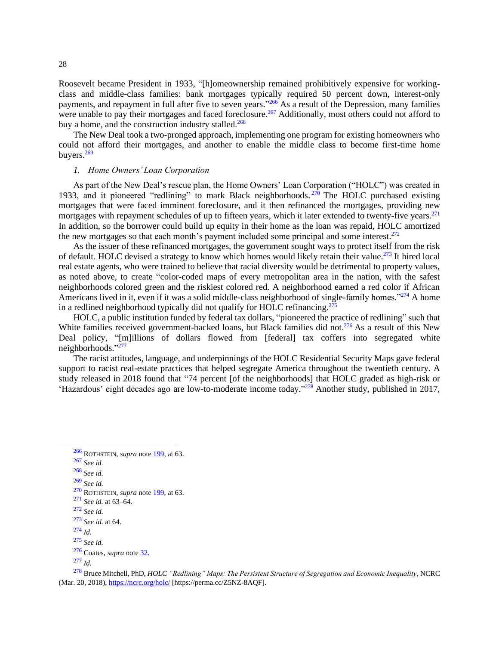Roosevelt became President in 1933, "[h]omeownership remained prohibitively expensive for workingclass and middle-class families: bank mortgages typically required 50 percent down, interest-only payments, and repayment in full after five to seven years."<sup>266</sup> As a result of the Depression, many families were unable to pay their mortgages and faced foreclosure.<sup>267</sup> Additionally, most others could not afford to buy a home, and the construction industry stalled.<sup>268</sup>

The New Deal took a two-pronged approach, implementing one program for existing homeowners who could not afford their mortgages, and another to enable the middle class to become first-time home buyers.<sup>269</sup>

## <span id="page-27-0"></span>*1. Home Owners' Loan Corporation*

As part of the New Deal's rescue plan, the Home Owners' Loan Corporation ("HOLC") was created in 1933, and it pioneered "redlining" to mark Black neighborhoods.  $270$  The HOLC purchased existing mortgages that were faced imminent foreclosure, and it then refinanced the mortgages, providing new mortgages with repayment schedules of up to fifteen years, which it later extended to twenty-five years.<sup>271</sup> In addition, so the borrower could build up equity in their home as the loan was repaid, HOLC amortized the new mortgages so that each month's payment included some principal and some interest.<sup>272</sup>

As the issuer of these refinanced mortgages, the government sought ways to protect itself from the risk of default. HOLC devised a strategy to know which homes would likely retain their value.<sup>273</sup> It hired local real estate agents, who were trained to believe that racial diversity would be detrimental to property values, as noted above, to create "color-coded maps of every metropolitan area in the nation, with the safest neighborhoods colored green and the riskiest colored red. A neighborhood earned a red color if African Americans lived in it, even if it was a solid middle-class neighborhood of single-family homes."<sup>274</sup> A home in a redlined neighborhood typically did not qualify for HOLC refinancing.<sup>275</sup>

HOLC, a public institution funded by federal tax dollars, "pioneered the practice of redlining" such that White families received government-backed loans, but Black families did not.<sup>276</sup> As a result of this New Deal policy, "[m]illions of dollars flowed from [federal] tax coffers into segregated white neighborhoods."<sup>277</sup>

The racist attitudes, language, and underpinnings of the HOLC Residential Security Maps gave federal support to racist real-estate practices that helped segregate America throughout the twentieth century. A study released in 2018 found that "74 percent [of the neighborhoods] that HOLC graded as high-risk or 'Hazardous' eight decades ago are low-to-moderate income today." <sup>278</sup> Another study, published in 2017,

<sup>268</sup> *See id.*

<sup>272</sup> *See id.*

<sup>266</sup> ROTHSTEIN, *supra* note [199,](#page-21-1) at 63.

<sup>267</sup> *See id.*

<sup>269</sup> *See id.*

<sup>270</sup> ROTHSTEIN, *supra* note [199,](#page-21-1) at 63.

<sup>271</sup> *See id.* at 63–64.

<sup>273</sup> *See id.* at 64.

<sup>275</sup> *See id.*

<sup>276</sup> Coates, *supra* not[e 32.](#page-6-1)

<sup>277</sup> *Id.*

<sup>278</sup> Bruce Mitchell, PhD, *HOLC "Redlining" Maps: The Persistent Structure of Segregation and Economic Inequality*, NCRC (Mar. 20, 2018)[, https://ncrc.org/holc/](https://perma.cc/Z5NZ-8AQF) [https://perma.cc/Z5NZ-8AQF].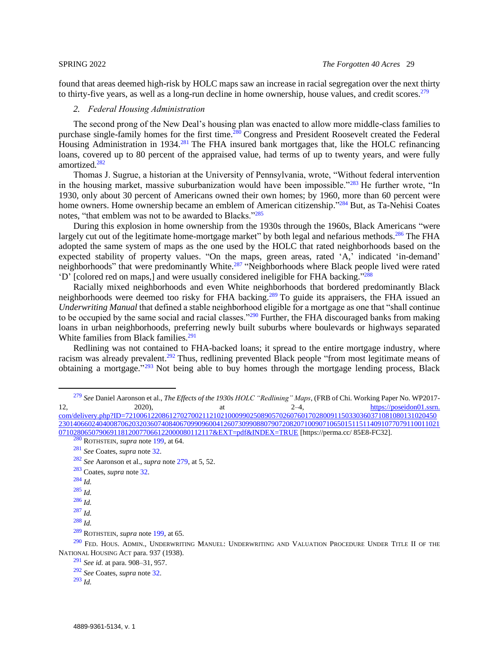found that areas deemed high-risk by HOLC maps saw an increase in racial segregation over the next thirty to thirty-five years, as well as a long-run decline in home ownership, house values, and credit scores.<sup>279</sup>

## <span id="page-28-1"></span><span id="page-28-0"></span>*2. Federal Housing Administration*

The second prong of the New Deal's housing plan was enacted to allow more middle-class families to purchase single-family homes for the first time.<sup>280</sup> Congress and President Roosevelt created the Federal Housing Administration in 1934.<sup>281</sup> The FHA insured bank mortgages that, like the HOLC refinancing loans, covered up to 80 percent of the appraised value, had terms of up to twenty years, and were fully amortized.<sup>282</sup>

Thomas J. Sugrue, a historian at the University of Pennsylvania, wrote, "Without federal intervention in the housing market, massive suburbanization would have been impossible."<sup>283</sup> He further wrote, "In 1930, only about 30 percent of Americans owned their own homes; by 1960, more than 60 percent were home owners. Home ownership became an emblem of American citizenship."<sup>284</sup> But, as Ta-Nehisi Coates notes, "that emblem was not to be awarded to Blacks."<sup>285</sup>

During this explosion in home ownership from the 1930s through the 1960s, Black Americans "were largely cut out of the legitimate home-mortgage market" by both legal and nefarious methods.<sup>286</sup> The FHA adopted the same system of maps as the one used by the HOLC that rated neighborhoods based on the expected stability of property values. "On the maps, green areas, rated 'A,' indicated 'in-demand' neighborhoods" that were predominantly White.<sup>287</sup> "Neighborhoods where Black people lived were rated 'D' [colored red on maps,] and were usually considered ineligible for FHA backing." 288

Racially mixed neighborhoods and even White neighborhoods that bordered predominantly Black neighborhoods were deemed too risky for FHA backing.<sup>289</sup> To guide its appraisers, the FHA issued an *Underwriting Manual* that defined a stable neighborhood eligible for a mortgage as one that "shall continue to be occupied by the same social and racial classes."<sup>290</sup> Further, the FHA discouraged banks from making loans in urban neighborhoods, preferring newly built suburbs where boulevards or highways separated White families from Black families.<sup>291</sup>

Redlining was not contained to FHA-backed loans; it spread to the entire mortgage industry, where racism was already prevalent.<sup>292</sup> Thus, redlining prevented Black people "from most legitimate means of obtaining a mortgage."<sup>293</sup> Not being able to buy homes through the mortgage lending process, Black

[071028065079069118120077066122000080112117&EXT=pdf&INDEX=TRUE](https://perma.cc/85E8-FC32) [https://perma.cc/ 85E8-FC32].

- <sup>284</sup> *Id.*
- $^{285}$  *Id.*

<sup>279</sup> *See* Daniel Aaronson et al., *The Effects of the 1930s HOLC "Redlining" Maps*, (FRB of Chi. Working Paper No. WP2017- 12, 2020), at  $2-4$ ,  $\frac{https://poseidon01.ssrn.}{https://poseidon01.ssrn.}$ [com/delivery.php?ID=7210061220861270270021121021000990250890570260760170280091150330360371081080131020450](https://perma.cc/85E8-FC32) [23014066024040087062032036074084067099096004126073099088079072082071009071065015115114091077079110011021](https://perma.cc/85E8-FC32)

<sup>280</sup> ROTHSTEIN, *supra* note [199,](#page-21-1) at 64. <sup>281</sup> *See* Coates, *supra* note [32.](#page-6-1)

<sup>282</sup> *See* Aaronson et al., *supra* not[e 279,](#page-28-1) at 5, 52.

<sup>283</sup> Coates, *supra* not[e 32.](#page-6-1)

<sup>286</sup> *Id.*

<sup>287</sup> *Id.*

<sup>289</sup> ROTHSTEIN, *supra* note [199,](#page-21-1) at 65.

 $^{290}$  Fed. Hous. Admin., Underwriting Manuel: Underwriting and Valuation Procedure Under Title II of the NATIONAL HOUSING ACT para. 937 (1938).

<sup>291</sup> *See id.* at para. 908–31, 957.

<sup>292</sup> *See* Coates, *supra* note [32.](#page-6-1)

<sup>293</sup> *Id.*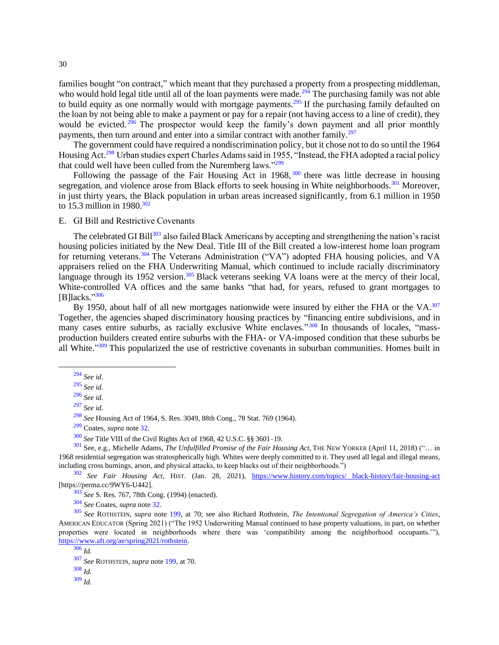families bought "on contract," which meant that they purchased a property from a prospecting middleman, who would hold legal title until all of the loan payments were made.<sup>294</sup> The purchasing family was not able to build equity as one normally would with mortgage payments.<sup>295</sup> If the purchasing family defaulted on the loan by not being able to make a payment or pay for a repair (not having access to a line of credit), they would be evicted.<sup>296</sup> The prospector would keep the family's down payment and all prior monthly payments, then turn around and enter into a similar contract with another family.<sup>297</sup>

The government could have required a nondiscrimination policy, but it chose not to do so until the 1964 Housing Act.<sup>298</sup> Urban studies expert Charles Adams said in 1955, "Instead, the FHA adopted a racial policy that could well have been culled from the Nuremberg laws."<sup>299</sup>

Following the passage of the Fair Housing Act in 1968,  $300$  there was little decrease in housing segregation, and violence arose from Black efforts to seek housing in White neighborhoods.<sup>301</sup> Moreover, in just thirty years, the Black population in urban areas increased significantly, from 6.1 million in 1950 to 15.3 million in 1980.<sup>302</sup>

<span id="page-29-0"></span>E. GI Bill and Restrictive Covenants

The celebrated GI Bill<sup>303</sup> also failed Black Americans by accepting and strengthening the nation's racist housing policies initiated by the New Deal. Title III of the Bill created a low-interest home loan program for returning veterans.<sup>304</sup> The Veterans Administration ("VA") adopted FHA housing policies, and VA appraisers relied on the FHA Underwriting Manual, which continued to include racially discriminatory language through its 1952 version.<sup>305</sup> Black veterans seeking VA loans were at the mercy of their local, White-controlled VA offices and the same banks "that had, for years, refused to grant mortgages to [B]lacks." 306

By 1950, about half of all new mortgages nationwide were insured by either the FHA or the VA.<sup>307</sup> Together, the agencies shaped discriminatory housing practices by "financing entire subdivisions, and in many cases entire suburbs, as racially exclusive White enclaves."<sup>308</sup> In thousands of locales, "massproduction builders created entire suburbs with the FHA- or VA-imposed condition that these suburbs be all White."<sup>309</sup> This popularized the use of restrictive covenants in suburban communities. Homes built in

<sup>302</sup> *See Fair Housing Act*, HIST. (Jan. 28, 2021), [https://www.history.com/topics/ black-history/fair-housing-act](https://perma.cc/9WY6-U442) [https://perma.cc/9WY6-U442].

<sup>303</sup> *See* S. Res. 767, 78th Cong. (1994) (enacted).

<sup>304</sup> *See* Coates, *supra* note [32.](#page-6-1)

<sup>305</sup> *See* ROTHSTEIN, *supra* note [199,](#page-21-1) at 70; see also Richard Rothstein, *The Intentional Segregation of America's Cities*, AMERICAN EDUCATOR (Spring 2021) ("The 1952 Underwriting Manual continued to base property valuations, in part, on whether properties were located in neighborhoods where there was 'compatibility among the neighborhood occupants.'"), [https://www.aft.org/ae/spring2021/rothstein.](https://www.aft.org/ae/spring2021/rothstein)

<sup>294</sup> *See id.*

<sup>295</sup> *See id.*

<sup>296</sup> *See id.*

<sup>297</sup> *See id.*

<sup>298</sup> *See* Housing Act of 1964, S. Res. 3049, 88th Cong., 78 Stat. 769 (1964).

<sup>299</sup> Coates, *supra* not[e 32.](#page-6-1)

<sup>300</sup> *See* Title VIII of the Civil Rights Act of 1968, 42 U.S.C. §§ 3601–19.

<sup>301</sup> See, e.g., Michelle Adams, *The Unfulfilled Promise of the Fair Housing Act*, THE NEW YORKER (April 11, 2018) ("… in 1968 residential segregation was stratospherically high. Whites were deeply committed to it. They used all legal and illegal means, including cross burnings, arson, and physical attacks, to keep blacks out of their neighborhoods.")

<sup>306</sup> *Id.*

<sup>307</sup> *See* ROTHSTEIN, *supra* note [199,](#page-21-1) at 70.

<sup>309</sup> *Id.*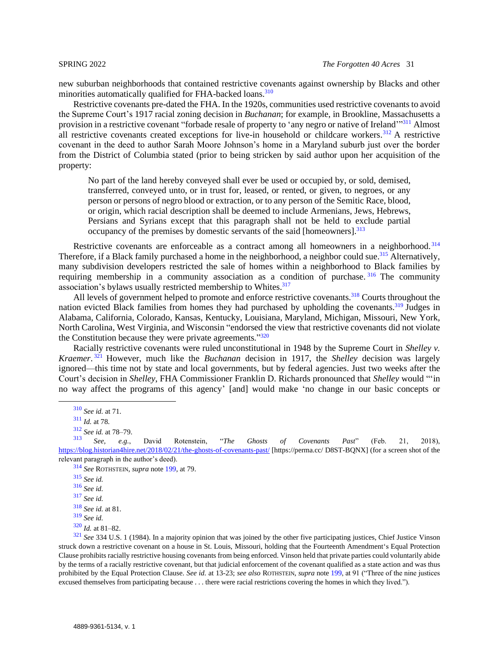new suburban neighborhoods that contained restrictive covenants against ownership by Blacks and other minorities automatically qualified for FHA-backed loans.<sup>310</sup>

Restrictive covenants pre-dated the FHA. In the 1920s, communities used restrictive covenants to avoid the Supreme Court's 1917 racial zoning decision in *Buchanan*; for example, in Brookline, Massachusetts a provision in a restrictive covenant "forbade resale of property to 'any negro or native of Ireland'"<sup>311</sup> Almost all restrictive covenants created exceptions for live-in household or childcare workers.<sup>312</sup> A restrictive covenant in the deed to author Sarah Moore Johnson's home in a Maryland suburb just over the border from the District of Columbia stated (prior to being stricken by said author upon her acquisition of the property:

No part of the land hereby conveyed shall ever be used or occupied by, or sold, demised, transferred, conveyed unto, or in trust for, leased, or rented, or given, to negroes, or any person or persons of negro blood or extraction, or to any person of the Semitic Race, blood, or origin, which racial description shall be deemed to include Armenians, Jews, Hebrews, Persians and Syrians except that this paragraph shall not be held to exclude partial occupancy of the premises by domestic servants of the said [homeowners].<sup>313</sup>

Restrictive covenants are enforceable as a contract among all homeowners in a neighborhood.<sup>314</sup> Therefore, if a Black family purchased a home in the neighborhood, a neighbor could sue.<sup>315</sup> Alternatively, many subdivision developers restricted the sale of homes within a neighborhood to Black families by requiring membership in a community association as a condition of purchase.<sup>316</sup> The community association's bylaws usually restricted membership to Whites.<sup>317</sup>

All levels of government helped to promote and enforce restrictive covenants.<sup>318</sup> Courts throughout the nation evicted Black families from homes they had purchased by upholding the covenants.<sup>319</sup> Judges in Alabama, California, Colorado, Kansas, Kentucky, Louisiana, Maryland, Michigan, Missouri, New York, North Carolina, West Virginia, and Wisconsin "endorsed the view that restrictive covenants did not violate the Constitution because they were private agreements."<sup>320</sup>

Racially restrictive covenants were ruled unconstitutional in 1948 by the Supreme Court in *Shelley v. Kraemer*. <sup>321</sup> However, much like the *Buchanan* decision in 1917, the *Shelley* decision was largely ignored—this time not by state and local governments, but by federal agencies. Just two weeks after the Court's decision in *Shelley*, FHA Commissioner Franklin D. Richards pronounced that *Shelley* would "'in no way affect the programs of this agency' [and] would make 'no change in our basic concepts or

<sup>314</sup> *See* ROTHSTEIN, *supra* note [199,](#page-21-1) at 79.

<sup>317</sup> *See id.*

<sup>321</sup> *See* 334 U.S. 1 (1984). In a majority opinion that was joined by the other five participating justices, Chief Justice [Vinson](https://en.wikipedia.org/wiki/Fred_Vinson) struck down a restrictive covenant on a house in St. Louis, Missouri, holding that the [Fourteenth Amendment'](https://en.wikipedia.org/wiki/Fourteenth_Amendment_to_the_United_States_Constitution)[s Equal Protection](https://en.wikipedia.org/wiki/Equal_Protection_Clause)  [Clause](https://en.wikipedia.org/wiki/Equal_Protection_Clause) prohibits racially restrictive housing covenants from being enforced. Vinson held that private parties could voluntarily abide by the terms of a racially restrictive covenant, but that judicial enforcement of the covenant qualified as a [state action](https://en.wikipedia.org/wiki/State_action) and was thus prohibited by the Equal Protection Clause. *See id.* at 13-23; *see also* ROTHSTEIN, *supra* note [199,](#page-21-1) at 91 ("Three of the nine justices excused themselves from participating because . . . there were racial restrictions covering the homes in which they lived.").

<sup>310</sup> *See id.* at 71.

<sup>311</sup> *Id.* at 78.

<sup>312</sup> *See id.* at 78–79.

<sup>313</sup> *See, e.g.*, David Rotenstein, "*The Ghosts of Covenants Past*" (Feb. 21, 2018), [https://blog.historian4hire.net/2018/02/21/the-ghosts-of-covenants-past/](https://perma.cc/D8ST-BQNX) [https://perma.cc/ D8ST-BQNX] (for a screen shot of the relevant paragraph in the author's deed).

<sup>315</sup> *See id.*

<sup>316</sup> *See id.*

<sup>318</sup> *See id.* at 81.

<sup>319</sup> *See id.*

<sup>320</sup> *Id.* at 81–82.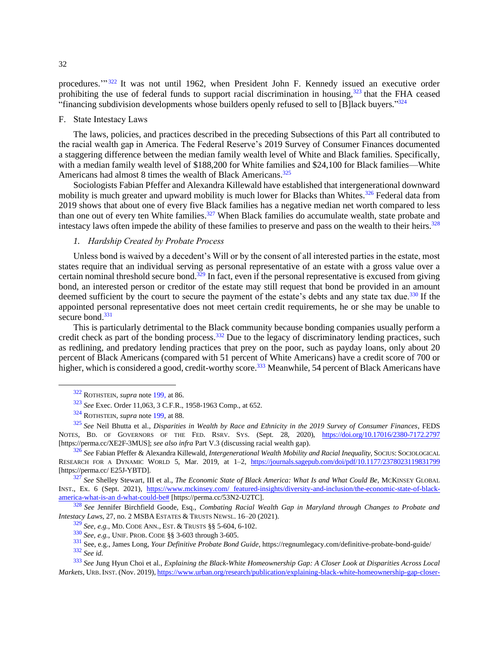procedures."<sup>322</sup> It was not until 1962, when President John F. Kennedy issued an executive order prohibiting the use of federal funds to support racial discrimination in housing,<sup>323</sup> that the FHA ceased "financing subdivision developments whose builders openly refused to sell to [B]lack buyers."<sup>324</sup>

## <span id="page-31-0"></span>F. State Intestacy Laws

The laws, policies, and practices described in the preceding Subsections of this Part all contributed to the racial wealth gap in America. The Federal Reserve's 2019 Survey of Consumer Finances documented a staggering difference between the median family wealth level of White and Black families. Specifically, with a median family wealth level of \$188,200 for White families and \$24,100 for Black families—White Americans had almost 8 times the wealth of Black Americans.<sup>325</sup>

Sociologists Fabian Pfeffer and Alexandra Killewald have established that intergenerational downward mobility is much greater and upward mobility is much lower for Blacks than Whites.<sup>326</sup> Federal data from 2019 shows that about one of every five Black families has a negative median net worth compared to less than one out of every ten White families.<sup>327</sup> When Black families do accumulate wealth, state probate and intestacy laws often impede the ability of these families to preserve and pass on the wealth to their heirs.<sup>328</sup>

## <span id="page-31-3"></span><span id="page-31-2"></span><span id="page-31-1"></span>*1. Hardship Created by Probate Process*

Unless bond is waived by a decedent's Will or by the consent of all interested parties in the estate, most states require that an individual serving as personal representative of an estate with a gross value over a certain nominal threshold secure bond.<sup>329</sup> In fact, even if the personal representative is excused from giving bond, an interested person or creditor of the estate may still request that bond be provided in an amount deemed sufficient by the court to secure the payment of the estate's debts and any state tax due.<sup>330</sup> If the appointed personal representative does not meet certain credit requirements, he or she may be unable to secure bond.<sup>331</sup>

This is particularly detrimental to the Black community because bonding companies usually perform a credit check as part of the bonding process.<sup>332</sup> Due to the legacy of discriminatory lending practices, such as redlining, and predatory lending practices that prey on the poor, such as payday loans, only about 20 percent of Black Americans (compared with 51 percent of White Americans) have a credit score of 700 or higher, which is considered a good, credit-worthy score.<sup>333</sup> Meanwhile, 54 percent of Black Americans have

<sup>327</sup> *See* Shelley Stewart, III et al., *The Economic State of Black America: What Is and What Could Be*, MCKINSEY GLOBAL INST., Ex. 6 (Sept. 2021), [https://www.mckinsey.com/ featured-insights/diversity-and-inclusion/the-economic-state-of-black](https://perma.cc/53N2-U2TC)[america-what-is-an d-what-could-be#](https://perma.cc/53N2-U2TC) [https://perma.cc/53N2-U2TC].

<sup>328</sup> *See* Jennifer Birchfield Goode, Esq., *Combating Racial Wealth Gap in Maryland through Changes to Probate and Intestacy Laws*, 27, no. 2 MSBA ESTATES & TRUSTS NEWSL. 16–20 (2021).

<sup>322</sup> ROTHSTEIN, *supra* note [199,](#page-21-1) at 86.

<sup>323</sup> *See* Exec. Order 11,063, 3 C.F.R., 1958-1963 Comp., at 652.

<sup>324</sup> ROTHSTEIN, *supra* note [199,](#page-21-1) at 88.

<sup>325</sup> *See* Neil Bhutta et al., *Disparities in Wealth by Race and Ethnicity in the 2019 Survey of Consumer Finances*, FEDS NOTES, BD. OF GOVERNORS OF THE FED. RSRV. SYS. (Sept. 28, 2020), [https://doi.org/10.17016/2380-7172.2797](https://perma.cc/XE2F-3MUS) [https://perma.cc/XE2F-3MUS]; *see also infra* Part V.3 (discussing racial wealth gap).

<sup>326</sup> *See* Fabian Pfeffer & Alexandra Killewald, *Intergenerational Wealth Mobility and Racial Inequality*, SOCIUS: SOCIOLOGICAL RESEARCH FOR A DYNAMIC WORLD 5, Mar. 2019, at 1–2, [https://journals.sagepub.com/doi/pdf/10.1177/2378023119831799](https://perma.cc/E25J-YBTD) [https://perma.cc/ E25J-YBTD].

<sup>329</sup> *See, e.g.*, MD. CODE ANN., EST. & TRUSTS §§ 5-604, 6-102.

<sup>330</sup> *See, e.g.*, UNIF. PROB. CODE §§ 3-603 through 3-605.

<sup>331</sup> See, e.g., James Long, *Your Definitive Probate Bond Guide*, https://regnumlegacy.com/definitive-probate-bond-guide/ <sup>332</sup> *See id.*

<sup>333</sup> *See* Jung Hyun Choi et al., *Explaining the Black-White Homeownership Gap: A Closer Look at Disparities Across Local Markets*, URB.INST. (Nov. 2019)[, https://www.urban.org/research/publication/explaining-black-white-homeownership-gap-closer-](https://perma.cc/BW6T-KLVB)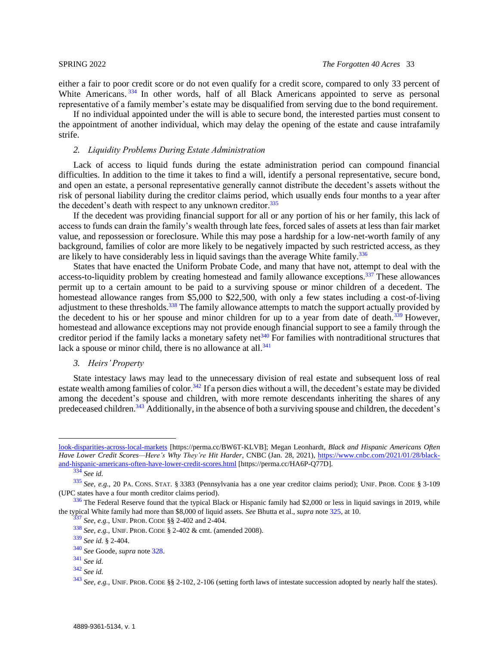either a fair to poor credit score or do not even qualify for a credit score, compared to only 33 percent of White Americans. <sup>334</sup> In other words, half of all Black Americans appointed to serve as personal representative of a family member's estate may be disqualified from serving due to the bond requirement.

If no individual appointed under the will is able to secure bond, the interested parties must consent to the appointment of another individual, which may delay the opening of the estate and cause intrafamily strife.

## <span id="page-32-0"></span>*2. Liquidity Problems During Estate Administration*

Lack of access to liquid funds during the estate administration period can compound financial difficulties. In addition to the time it takes to find a will, identify a personal representative, secure bond, and open an estate, a personal representative generally cannot distribute the decedent's assets without the risk of personal liability during the creditor claims period, which usually ends four months to a year after the decedent's death with respect to any unknown creditor. $335$ 

If the decedent was providing financial support for all or any portion of his or her family, this lack of access to funds can drain the family's wealth through late fees, forced sales of assets at less than fair market value, and repossession or foreclosure. While this may pose a hardship for a low-net-worth family of any background, families of color are more likely to be negatively impacted by such restricted access, as they are likely to have considerably less in liquid savings than the average White family.<sup>336</sup>

States that have enacted the Uniform Probate Code, and many that have not, attempt to deal with the access-to-liquidity problem by creating homestead and family allowance exceptions.<sup>337</sup> These allowances permit up to a certain amount to be paid to a surviving spouse or minor children of a decedent. The homestead allowance ranges from \$5,000 to \$22,500, with only a few states including a cost-of-living adjustment to these thresholds.<sup>338</sup> The family allowance attempts to match the support actually provided by the decedent to his or her spouse and minor children for up to a year from date of death. $339$  However, homestead and allowance exceptions may not provide enough financial support to see a family through the creditor period if the family lacks a monetary safety net<sup> $340$ </sup> For families with nontraditional structures that lack a spouse or minor child, there is no allowance at all. $341$ 

<span id="page-32-1"></span>*3. Heirs' Property*

State intestacy laws may lead to the unnecessary division of real estate and subsequent loss of real estate wealth among families of color.<sup>342</sup> If a person dies without a will, the decedent's estate may be divided among the decedent's spouse and children, with more remote descendants inheriting the shares of any predeceased children.<sup>343</sup> Additionally, in the absence of both a surviving spouse and children, the decedent's

[look-disparities-across-local-markets](https://perma.cc/BW6T-KLVB) [https://perma.cc/BW6T-KLVB]; Megan Leonhardt, *Black and Hispanic Americans Often Have Lower Credit Scores—Here's Why They're Hit Harder*, CNBC (Jan. 28, 2021), [https://www.cnbc.com/2021/01/28/black](https://perma.cc/HA6P-Q77D)[and-hispanic-americans-often-have-lower-credit-scores.html](https://perma.cc/HA6P-Q77D) [https://perma.cc/HA6P-Q77D].

<sup>334</sup> *See id.*

<sup>335</sup> *See, e.g.*, 20 PA. CONS. STAT. § 3383 (Pennsylvania has a one year creditor claims period); UNIF. PROB. CODE § 3-109 (UPC states have a four month creditor claims period).

 $336$  The Federal Reserve found that the typical Black or Hispanic family had \$2,000 or less in liquid savings in 2019, while the typical White family had more than \$8,000 of liquid assets. *See* Bhutta et al., *supra* not[e 325,](#page-31-2) at 10.

<sup>337</sup> *See, e.g.*, UNIF. PROB. CODE §§ 2-402 and 2-404.

<sup>338</sup> *See, e.g.*, UNIF. PROB. CODE § 2-402 & cmt. (amended 2008).

<sup>339</sup> *See id.* § 2-404.

<sup>340</sup> *See* Goode, *supra* not[e 328.](#page-31-3)

<sup>341</sup> *See id.*

<sup>342</sup> *See id.*

<sup>343</sup> *See, e.g.*, UNIF. PROB. CODE §§ 2-102, 2-106 (setting forth laws of intestate succession adopted by nearly half the states).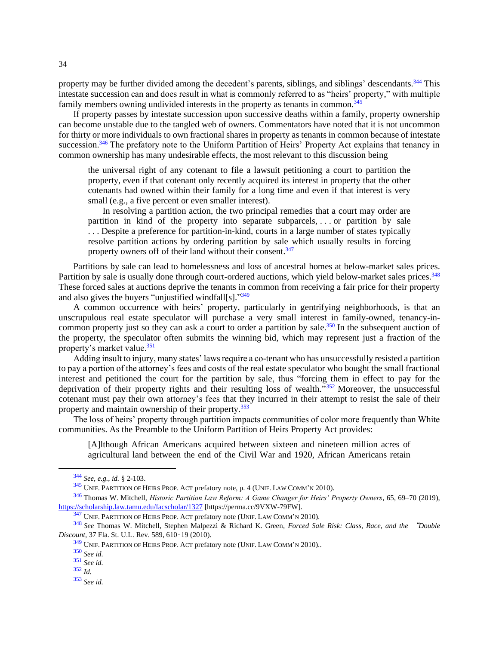property may be further divided among the decedent's parents, siblings, and siblings' descendants.<sup>344</sup> This intestate succession can and does result in what is commonly referred to as "heirs' property," with multiple family members owning undivided interests in the property as tenants in common.<sup>345</sup>

If property passes by intestate succession upon successive deaths within a family, property ownership can become unstable due to the tangled web of owners. Commentators have noted that it is not uncommon for thirty or more individuals to own fractional shares in property as tenants in common because of intestate succession.<sup>346</sup> The prefatory note to the Uniform Partition of Heirs' Property Act explains that tenancy in common ownership has many undesirable effects, the most relevant to this discussion being

the universal right of any cotenant to file a lawsuit petitioning a court to partition the property, even if that cotenant only recently acquired its interest in property that the other cotenants had owned within their family for a long time and even if that interest is very small (e.g., a five percent or even smaller interest).

In resolving a partition action, the two principal remedies that a court may order are partition in kind of the property into separate subparcels, . . . or partition by sale ... Despite a preference for partition-in-kind, courts in a large number of states typically resolve partition actions by ordering partition by sale which usually results in forcing property owners off of their land without their consent.<sup>347</sup>

Partitions by sale can lead to homelessness and loss of ancestral homes at below-market sales prices. Partition by sale is usually done through court-ordered auctions, which yield below-market sales prices.<sup>348</sup> These forced sales at auctions deprive the tenants in common from receiving a fair price for their property and also gives the buyers "unjustified windfall[s]."349

A common occurrence with heirs' property, particularly in gentrifying neighborhoods, is that an unscrupulous real estate speculator will purchase a very small interest in family-owned, tenancy-incommon property just so they can ask a court to order a partition by sale.<sup>350</sup> In the subsequent auction of the property, the speculator often submits the winning bid, which may represent just a fraction of the property's market value.<sup>351</sup>

Adding insult to injury, many states' laws require a co-tenant who has unsuccessfully resisted a partition to pay a portion of the attorney's fees and costs of the real estate speculator who bought the small fractional interest and petitioned the court for the partition by sale, thus "forcing them in effect to pay for the deprivation of their property rights and their resulting loss of wealth."<sup>352</sup> Moreover, the unsuccessful cotenant must pay their own attorney's fees that they incurred in their attempt to resist the sale of their property and maintain ownership of their property.<sup>353</sup>

The loss of heirs' property through partition impacts communities of color more frequently than White communities. As the Preamble to the Uniform Partition of Heirs Property Act provides:

[A]lthough African Americans acquired between sixteen and nineteen million acres of agricultural land between the end of the Civil War and 1920, African Americans retain

<sup>344</sup> *See, e.g.*, *id.* § 2-103.

<sup>345</sup> UNIF. PARTITION OF HEIRS PROP. ACT prefatory note, p. 4 (UNIF. LAW COMM'<sup>N</sup> 2010).

<sup>346</sup> Thomas W. Mitchell, *Historic Partition Law Reform: A Game Changer for Heirs' Property Owners*, 65, 69–70 (2019), [https://scholarship.law.tamu.edu/facscholar/1327](https://perma.cc/9VXW-79FW) [https://perma.cc/9VXW-79FW].

<sup>&</sup>lt;sup>347</sup> UNIF. PARTITION OF HEIRS PROP. ACT prefatory note (UNIF. LAW COMM'N 2010).

<sup>348</sup> *See* Thomas W. Mitchell, Stephen Malpezzi & Richard K. Green, *Forced Sale Risk: Class, Race, and the* "*Double Discount*, 37 Fla. St. U.L. Rev. 589, 610–19 (2010).

<sup>&</sup>lt;sup>349</sup> UNIF. PARTITION OF HEIRS PROP. ACT prefatory note (UNIF. LAW COMM'N 2010)..

<sup>350</sup> *See id.*

<sup>351</sup> *See id.*

<sup>352</sup> *Id.*

<sup>353</sup> *See id.*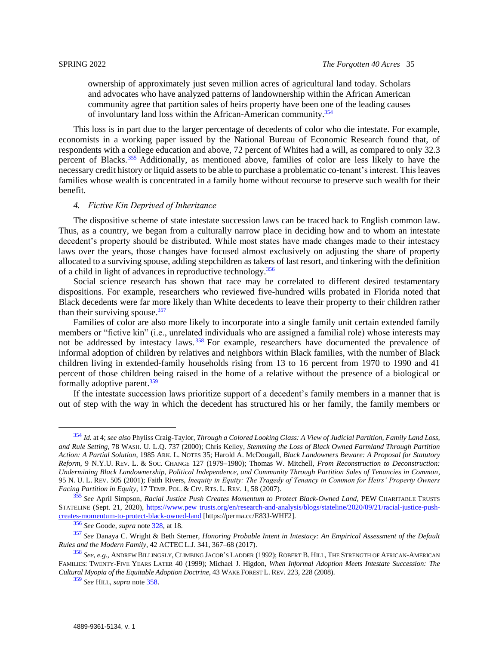ownership of approximately just seven million acres of agricultural land today. Scholars and advocates who have analyzed patterns of landownership within the African American community agree that partition sales of heirs property have been one of the leading causes of involuntary land loss within the African-American community.<sup>354</sup>

This loss is in part due to the larger percentage of decedents of color who die intestate. For example, economists in a working paper issued by the National Bureau of Economic Research found that, of respondents with a college education and above, 72 percent of Whites had a will, as compared to only 32.3 percent of Blacks. <sup>355</sup> Additionally, as mentioned above, families of color are less likely to have the necessary credit history or liquid assets to be able to purchase a problematic co-tenant's interest. This leaves families whose wealth is concentrated in a family home without recourse to preserve such wealth for their benefit.

### <span id="page-34-0"></span>*4. Fictive Kin Deprived of Inheritance*

The dispositive scheme of state intestate succession laws can be traced back to English common law. Thus, as a country, we began from a culturally narrow place in deciding how and to whom an intestate decedent's property should be distributed. While most states have made changes made to their intestacy laws over the years, those changes have focused almost exclusively on adjusting the share of property allocated to a surviving spouse, adding stepchildren as takers of last resort, and tinkering with the definition of a child in light of advances in reproductive technology.<sup>356</sup>

Social science research has shown that race may be correlated to different desired testamentary dispositions. For example, researchers who reviewed five-hundred wills probated in Florida noted that Black decedents were far more likely than White decedents to leave their property to their children rather than their surviving spouse. $357$ 

<span id="page-34-1"></span>Families of color are also more likely to incorporate into a single family unit certain extended family members or "fictive kin" (i.e., unrelated individuals who are assigned a familial role) whose interests may not be addressed by intestacy laws.<sup>358</sup> For example, researchers have documented the prevalence of informal adoption of children by relatives and neighbors within Black families, with the number of Black children living in extended-family households rising from 13 to 16 percent from 1970 to 1990 and 41 percent of those children being raised in the home of a relative without the presence of a biological or formally adoptive parent.<sup>359</sup>

If the intestate succession laws prioritize support of a decedent's family members in a manner that is out of step with the way in which the decedent has structured his or her family, the family members or

<sup>354</sup> *Id.* at 4; *see also* Phyliss Craig-Taylor, *Through a Colored Looking Glass: A View of Judicial Partition, Family Land Loss, and Rule Setting*, 78 WASH. U. L.Q. 737 (2000); Chris Kelley, *Stemming the Loss of Black Owned Farmland Through Partition Action: A Partial Solution*, 1985 ARK. L. NOTES 35; Harold A. McDougall, *Black Landowners Beware: A Proposal for Statutory Reform*, 9 N.Y.U. REV. L. & SOC. CHANGE 127 (1979–1980); Thomas W. Mitchell, *From Reconstruction to Deconstruction: Undermining Black Landownership, Political Independence, and Community Through Partition Sales of Tenancies in Common*, 95 N. U. L. REV. 505 (2001); Faith Rivers, *Inequity in Equity: The Tragedy of Tenancy in Common for Heirs' Property Owners Facing Partition in Equity*, 17 TEMP. POL. & CIV. RTS. L. REV. 1, 58 (2007).

<sup>355</sup> *See* April Simpson, *Racial Justice Push Creates Momentum to Protect Black-Owned Land*, PEW CHARITABLE TRUSTS STATELINE (Sept. 21, 2020), [https://www.pew trusts.org/en/research-and-analysis/blogs/stateline/2020/09/21/racial-justice-push](https://perma.cc/E83J-WHF2)[creates-momentum-to-protect-black-owned-land](https://perma.cc/E83J-WHF2) [https://perma.cc/E83J-WHF2].

<sup>356</sup> *See* Goode, *supra* not[e 328,](#page-31-3) at 18.

<sup>357</sup> *See* Danaya C. Wright & Beth Sterner, *Honoring Probable Intent in Intestacy: An Empirical Assessment of the Default Rules and the Modern Family*, 42 ACTEC L.J. 341, 367–68 (2017).

<sup>358</sup> *See, e.g.*, ANDREW BILLINGSLY, CLIMBING JACOB'S LADDER (1992); ROBERT B. HILL, THE STRENGTH OF AFRICAN-AMERICAN FAMILIES: TWENTY-FIVE YEARS LATER 40 (1999); Michael J. Higdon, *When Informal Adoption Meets Intestate Succession: The Cultural Myopia of the Equitable Adoption Doctrine*, 43 WAKE FOREST L. REV. 223, 228 (2008).

<sup>359</sup> *See* HILL, *supra* note [358.](#page-34-1)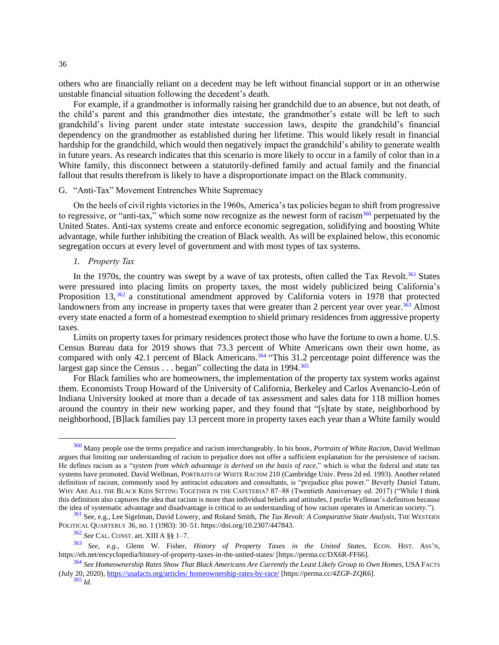others who are financially reliant on a decedent may be left without financial support or in an otherwise unstable financial situation following the decedent's death.

For example, if a grandmother is informally raising her grandchild due to an absence, but not death, of the child's parent and this grandmother dies intestate, the grandmother's estate will be left to such grandchild's living parent under state intestate succession laws, despite the grandchild's financial dependency on the grandmother as established during her lifetime. This would likely result in financial hardship for the grandchild, which would then negatively impact the grandchild's ability to generate wealth in future years. As research indicates that this scenario is more likely to occur in a family of color than in a White family, this disconnect between a statutorily-defined family and actual family and the financial fallout that results therefrom is likely to have a disproportionate impact on the Black community.

### <span id="page-35-0"></span>G. "Anti-Tax" Movement Entrenches White Supremacy

On the heels of civil rights victories in the 1960s, America's tax policies began to shift from progressive to regressive, or "anti-tax," which some now recognize as the newest form of racism $360$  perpetuated by the United States. Anti-tax systems create and enforce economic segregation, solidifying and boosting White advantage, while further inhibiting the creation of Black wealth. As will be explained below, this economic segregation occurs at every level of government and with most types of tax systems.

#### <span id="page-35-1"></span>*1. Property Tax*

In the 1970s, the country was swept by a wave of tax protests, often called the Tax Revolt.<sup>361</sup> States were pressured into placing limits on property taxes, the most widely publicized being California's Proposition 13, <sup>362</sup> a constitutional amendment approved by California voters in 1978 that protected landowners from any increase in property taxes that were greater than 2 percent year over year.<sup>363</sup> Almost every state enacted a form of a homestead exemption to shield primary residences from aggressive property taxes.

Limits on property taxes for primary residences protect those who have the fortune to own a home. U.S. Census Bureau data for 2019 shows that 73.3 percent of White Americans own their own home, as compared with only 42.1 percent of Black Americans.<sup>364</sup> "This 31.2 percentage point difference was the largest gap since the Census  $\dots$  began" collecting the data in 1994.<sup>365</sup>

For Black families who are homeowners, the implementation of the property tax system works against them. Economists Troup Howard of the University of California, Berkeley and Carlos Avenancio-León of Indiana University looked at more than a decade of tax assessment and sales data for 118 million homes around the country in their new working paper, and they found that "[s]tate by state, neighborhood by neighborhood, [B]lack families pay 13 percent more in property taxes each year than a White family would

<sup>360</sup> Many people use the terms prejudice and racism interchangeably. In his booK, *Portraits of White Racism*, David Wellman argues that limiting our understanding of racism to prejudice does not offer a sufficient explanation for the persistence of racism. He defines racism as a "*system from which advantage is derived on the basis of race*," which is what the federal and state tax systems have promoted. David Wellman, PORTRAITS OF WHITE RACISM 210 (Cambridge Univ. Press 2d ed. 1993). Another related definition of racism, commonly used by antiracist educators and consultants, is "prejudice plus power." Beverly Daniel Tatum, WHY ARE ALL THE BLACK KIDS SITTING TOGETHER IN THE CAFETERIA? 87–88 (Twentieth Anniversary ed. 2017) ("While I think this definition also captures the idea that racism is more than individual beliefs and attitudes, I prefer Wellman's definition because the idea of systematic advantage and disadvantage is critical to an understanding of how racism operates in American society.").

<sup>361</sup> See, e.g., Lee Sigelman, David Lowery, and Roland Smith, *The Tax Revolt: A Comparative State Analysis*, THE WESTERN POLITICAL QUARTERLY 36, no. 1 (1983): 30–51. https://doi.org/10.2307/447843.

<sup>362</sup> *See* CAL. CONST. art. XIII A §§ 1–7.

<sup>363</sup> *See, e.g.*, Glenn W. Fisher, *History of Property Taxes in the United States*, ECON. HIST. ASS'N, https://eh.net/encyclopedia/history-of-property-taxes-in-the-united-states/ [https://perma.cc/DX6R-FF66].

<sup>364</sup> *See Homeownership Rates Show That Black Americans Are Currently the Least Likely Group to Own Homes*, USA FACTS (July 20, 2020)[, https://usafacts.org/articles/ homeownership-rates-by-race/](https://perma.cc/4ZGP-ZQR6) [https://perma.cc/4ZGP-ZQR6].

<sup>36</sup>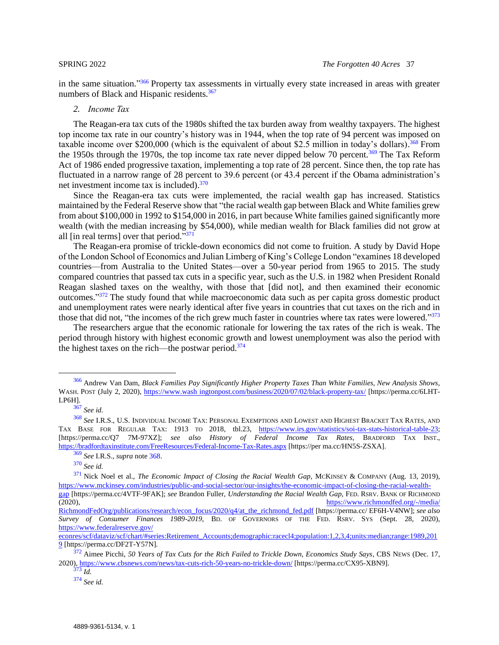in the same situation."<sup>366</sup> Property tax assessments in virtually every state increased in areas with greater numbers of Black and Hispanic residents.<sup>367</sup>

### <span id="page-36-1"></span><span id="page-36-0"></span>*2. Income Tax*

The Reagan-era tax cuts of the 1980s shifted the tax burden away from wealthy taxpayers. The highest top income tax rate in our country's history was in 1944, when the top rate of 94 percent was imposed on taxable income over \$200,000 (which is the equivalent of about \$2.5 million in today's dollars).<sup>368</sup> From the 1950s through the 1970s, the top income tax rate never dipped below 70 percent.<sup>369</sup> The Tax Reform Act of 1986 ended progressive taxation, implementing a top rate of 28 percent. Since then, the top rate has fluctuated in a narrow range of 28 percent to 39.6 percent (or 43.4 percent if the Obama administration's net investment income tax is included).<sup>370</sup>

Since the Reagan-era tax cuts were implemented, the racial wealth gap has increased. Statistics maintained by the Federal Reserve show that "the racial wealth gap between Black and White families grew from about \$100,000 in 1992 to \$154,000 in 2016, in part because White families gained significantly more wealth (with the median increasing by \$54,000), while median wealth for Black families did not grow at all [in real terms] over that period."<sup>371</sup>

The Reagan-era promise of trickle-down economics did not come to fruition. A study by David Hope of the London School of Economics and Julian Limberg of King's College London "examines 18 developed countries—from Australia to the United States—over a 50-year period from 1965 to 2015. The study compared countries that passed tax cuts in a specific year, such as the U.S. in 1982 when President Ronald Reagan slashed taxes on the wealthy, with those that [did not], and then examined their economic outcomes."<sup>372</sup> The study found that while macroeconomic data such as per capita gross domestic product and unemployment rates were nearly identical after five years in countries that cut taxes on the rich and in those that did not, "the incomes of the rich grew much faster in countries where tax rates were lowered."373

The researchers argue that the economic rationale for lowering the tax rates of the rich is weak. The period through history with highest economic growth and lowest unemployment was also the period with the highest taxes on the rich—the postwar period. $374$ 

<sup>366</sup> Andrew Van Dam, *Black Families Pay Significantly Higher Property Taxes Than White Families, New Analysis Shows*, WASH. POST (July 2, 2020), [https://www.wash ingtonpost.com/business/2020/07/02/black-property-tax/](https://perma.cc/6LHT-LP6H) [https://perma.cc/6LHT-LP6H].

<sup>367</sup> *See id.*

<sup>368</sup> *See* I.R.S., U.S. INDIVIDUAL INCOME TAX: PERSONAL EXEMPTIONS AND LOWEST AND HIGHEST BRACKET TAX RATES, AND TAX BASE FOR REGULAR TAX: 1913 TO 2018, tbl.23, [https://www.irs.gov/statistics/soi-tax-stats-historical-table-23;](https://perma.cc/HN5S-ZSXA) [https://perma.cc/Q7 7M-97XZ]; *see also History of Federal Income Tax Rates*, BRADFORD TAX INST., [https://bradfordtaxinstitute.com/FreeResources/Federal-Income-Tax-Rates.aspx](https://perma.cc/HN5S-ZSXA) [https://per ma.cc/HN5S-ZSXA].

<sup>369</sup> *See* I.R.S., *supra* not[e 368.](#page-36-1)

<sup>370</sup> *See id.*

<sup>&</sup>lt;sup>371</sup> Nick Noel et al., *The Economic Impact of Closing the Racial Wealth Gap*, MCKINSEY & COMPANY (Aug. 13, 2019), [https://www.mckinsey.com/industries/public-and-social-sector/our-insights/the-economic-impact-of-closing-the-racial-wealth](https://perma.cc/4VTF-9FAK)[gap](https://perma.cc/4VTF-9FAK) [https://perma.cc/4VTF-9FAK]; *see* Brandon Fuller, *Understanding the Racial Wealth Gap*, FED. RSRV. BANK OF RICHMOND

<sup>(2020),</sup> [https://www.richmondfed.org/-/media/](https://www.richmondfed.org/-/media/%20RichmondFedOrg/publications/research/econ_focus/2020/q4/at_the_richmond_fed.pdf)  [RichmondFedOrg/publications/research/econ\\_focus/2020/q4/at\\_the\\_richmond\\_fed.pdf](https://www.richmondfed.org/-/media/%20RichmondFedOrg/publications/research/econ_focus/2020/q4/at_the_richmond_fed.pdf) [https://perma.cc/ EF6H-V4NW]; *see also* 

*Survey of Consumer Finances 1989-2019*, BD. OF GOVERNORS OF THE FED. RSRV. SYS (Sept. 28, 2020), [https://www.federalreserve.gov/](https://perma.cc/DF2T-Y57N) 

[econres/scf/dataviz/scf/chart/#series:Retirement\\_Accounts;demographic:racecl4;population:1,2,3,4;units:median;range:1989,201](https://perma.cc/DF2T-Y57N) [9](https://perma.cc/DF2T-Y57N) [https://perma.cc/DF2T-Y57N].

<sup>372</sup> Aimee Picchi, *50 Years of Tax Cuts for the Rich Failed to Trickle Down, Economics Study Says*, CBS NEWS (Dec. 17, 2020)[, https://www.cbsnews.com/news/tax-cuts-rich-50-years-no-trickle-down/](https://perma.cc/CX95-XBN9) [https://perma.cc/CX95-XBN9].

<sup>373</sup> *Id.*

<sup>374</sup> *See id.*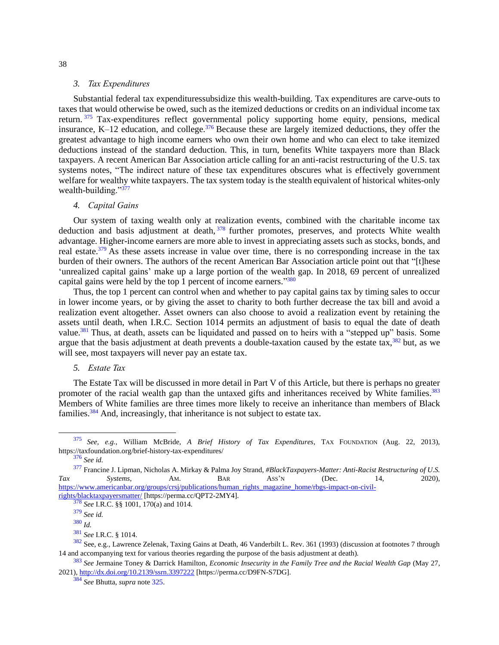#### *3. Tax Expenditures*

<span id="page-37-0"></span>Substantial federal tax expendituressubsidize this wealth-building. Tax expenditures are carve-outs to taxes that would otherwise be owed, such as the itemized deductions or credits on an individual income tax return. <sup>375</sup> Tax-expenditures reflect governmental policy supporting home equity, pensions, medical insurance, K–12 education, and college.<sup>376</sup> Because these are largely itemized deductions, they offer the greatest advantage to high income earners who own their own home and who can elect to take itemized deductions instead of the standard deduction. This, in turn, benefits White taxpayers more than Black taxpayers. A recent American Bar Association article calling for an anti-racist restructuring of the U.S. tax systems notes, "The indirect nature of these tax expenditures obscures what is effectively government welfare for wealthy white taxpayers. The tax system today is the stealth equivalent of historical whites-only wealth-building."<sup>377</sup>

### <span id="page-37-1"></span>*4. Capital Gains*

Our system of taxing wealth only at realization events, combined with the charitable income tax deduction and basis adjustment at death, <sup>378</sup> further promotes, preserves, and protects White wealth advantage. Higher-income earners are more able to invest in appreciating assets such as stocks, bonds, and real estate.<sup>379</sup> As these assets increase in value over time, there is no corresponding increase in the tax burden of their owners. The authors of the recent American Bar Association article point out that "[t]hese 'unrealized capital gains' make up a large portion of the wealth gap. In 2018, 69 percent of unrealized capital gains were held by the top 1 percent of income earners."<sup>380</sup>

Thus, the top 1 percent can control when and whether to pay capital gains tax by timing sales to occur in lower income years, or by giving the asset to charity to both further decrease the tax bill and avoid a realization event altogether. Asset owners can also choose to avoid a realization event by retaining the assets until death, when I.R.C. Section 1014 permits an adjustment of basis to equal the date of death value.<sup>381</sup> Thus, at death, assets can be liquidated and passed on to heirs with a "stepped up" basis. Some argue that the basis adjustment at death prevents a double-taxation caused by the estate tax, $382$  but, as we will see, most taxpayers will never pay an estate tax.

## <span id="page-37-2"></span>*5. Estate Tax*

The Estate Tax will be discussed in more detail in Part V of this Article, but there is perhaps no greater promoter of the racial wealth gap than the untaxed gifts and inheritances received by White families.<sup>383</sup> Members of White families are three times more likely to receive an inheritance than members of Black families.<sup>384</sup> And, increasingly, that inheritance is not subject to estate tax.

<sup>375</sup> *See, e.g.*, William McBride, *A Brief History of Tax Expenditures*, TAX FOUNDATION (Aug. 22, 2013), https://taxfoundation.org/brief-history-tax-expenditures/

<sup>376</sup> *See id.*

<sup>377</sup> Francine J. Lipman, Nicholas A. Mirkay & Palma Joy Strand, *#BlackTaxpayers-Matter: Anti-Racist Restructuring of U.S. Tax Systems*, AM. BAR ASS'N (Dec. 14, 2020), [https://www.americanbar.org/groups/crsj/publications/human\\_rights\\_magazine\\_home/rbgs-impact-on-civil](https://perma.cc/QPT2-2MY4)[rights/blacktaxpayersmatter/](https://perma.cc/QPT2-2MY4) [https://perma.cc/QPT2-2MY4].

<sup>378</sup> *See* I.R.C. §§ 1001, 170(a) and 1014.

<sup>379</sup> *See id.*

<sup>380</sup> *Id.*

<sup>381</sup> *See* I.R.C. § 1014.

<sup>382</sup> See, e.g., Lawrence Zelenak, Taxing Gains at Death, 46 Vanderbilt L. Rev. 361 (1993) (discussion at footnotes 7 through 14 and accompanying text for various theories regarding the purpose of the basis adjustment at death).

<sup>383</sup> *See* Jermaine Toney & Darrick Hamilton, *Economic Insecurity in the Family Tree and the Racial Wealth Gap* (May 27, 2021)[, http://dx.doi.org/10.2139/ssrn.3397222](https://perma.cc/D9FN-S7DG) [https://perma.cc/D9FN-S7DG].

<sup>384</sup> *See* Bhutta, *supra* not[e 325.](#page-31-2)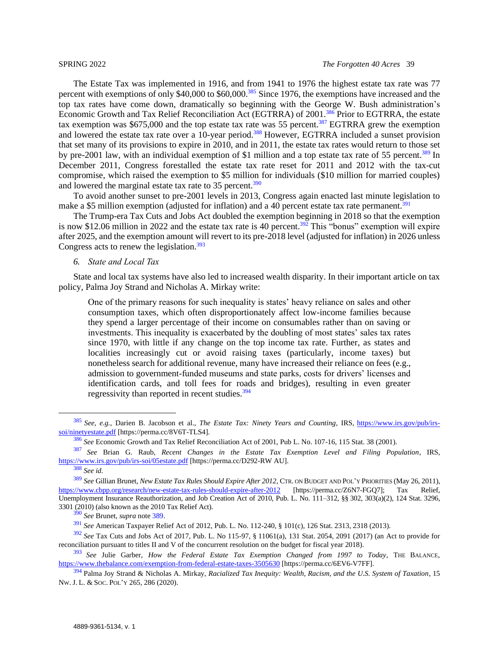<span id="page-38-2"></span>The Estate Tax was implemented in 1916, and from 1941 to 1976 the highest estate tax rate was 77 percent with exemptions of only \$40,000 to \$60,000.<sup>385</sup> Since 1976, the exemptions have increased and the top tax rates have come down, dramatically so beginning with the George W. Bush administration's Economic Growth and Tax Relief Reconciliation Act (EGTRRA) of 2001.<sup>386</sup> Prior to EGTRRA, the estate tax exemption was  $$675,000$  and the top estate tax rate was 55 percent.<sup>387</sup> EGTRRA grew the exemption and lowered the estate tax rate over a 10-year period.<sup>388</sup> However, EGTRRA included a sunset provision that set many of its provisions to expire in 2010, and in 2011, the estate tax rates would return to those set by pre-2001 law, with an individual exemption of \$1 million and a top estate tax rate of 55 percent.<sup>389</sup> In December 2011, Congress forestalled the estate tax rate reset for 2011 and 2012 with the tax-cut compromise, which raised the exemption to \$5 million for individuals (\$10 million for married couples) and lowered the marginal estate tax rate to 35 percent.<sup>390</sup>

To avoid another sunset to pre-2001 levels in 2013, Congress again enacted last minute legislation to make a \$5 million exemption (adjusted for inflation) and a 40 percent estate tax rate permanent.<sup>391</sup>

The Trump-era Tax Cuts and Jobs Act doubled the exemption beginning in 2018 so that the exemption is now \$12.06 million in 2022 and the estate tax rate is 40 percent.<sup>392</sup> This "bonus" exemption will expire after 2025, and the exemption amount will revert to its pre-2018 level (adjusted for inflation) in 2026 unless Congress acts to renew the legislation.<sup>393</sup>

## <span id="page-38-1"></span><span id="page-38-0"></span>*6. State and Local Tax*

State and local tax systems have also led to increased wealth disparity. In their important article on tax policy, Palma Joy Strand and Nicholas A. Mirkay write:

One of the primary reasons for such inequality is states' heavy reliance on sales and other consumption taxes, which often disproportionately affect low-income families because they spend a larger percentage of their income on consumables rather than on saving or investments. This inequality is exacerbated by the doubling of most states' sales tax rates since 1970, with little if any change on the top income tax rate. Further, as states and localities increasingly cut or avoid raising taxes (particularly, income taxes) but nonetheless search for additional revenue, many have increased their reliance on fees (e.g., admission to government-funded museums and state parks, costs for drivers' licenses and identification cards, and toll fees for roads and bridges), resulting in even greater regressivity than reported in recent studies.<sup>394</sup>

<sup>385</sup> *See, e.g.*, Darien B. Jacobson et al., *The Estate Tax: Ninety Years and Counting*, IRS, [https://www.irs.gov/pub/irs](https://perma.cc/8V6T-TLS4)[soi/ninetyestate.pdf](https://perma.cc/8V6T-TLS4) [https://perma.cc/8V6T-TLS4].

<sup>386</sup> *See* Economic Growth and Tax Relief Reconciliation Act of 2001, Pub L. No. 107-16, 115 Stat. 38 (2001).

<sup>387</sup> *See* Brian G. Raub, *Recent Changes in the Estate Tax Exemption Level and Filing Population*, IRS, [https://www.irs.gov/pub/irs-soi/05estate.pdf](https://perma.cc/D292-RWAU) [https://perma.cc/D292-RW AU].

<sup>388</sup> *See id.*

<sup>389</sup> *See* Gillian Brunet, *New Estate Tax Rules Should Expire After 2012*, CTR. ON BUDGET AND POL'Y PRIORITIES (May 26, 2011), [https://www.cbpp.org/research/new-estate-tax-rules-should-expire-after-2012](https://perma.cc/Z6N7-FGQ7) [https://perma.cc/Z6N7-FGO7]; Tax Relief, Unemployment Insurance Reauthorization, and Job Creation Act of 2010, [Pub. L.](https://en.wikipedia.org/wiki/Public_Law_(United_States)) No. 111–312, §§ [302, 303\(a\)\(2\), 1](https://www.govinfo.gov/link/plaw/111/public/312?link-type=html)24 [Stat.](https://en.wikipedia.org/wiki/United_States_Statutes_at_Large) [3296,](http://legislink.org/us/stat-124-3296) 3301 (2010) (also known as the 2010 Tax Relief Act).

<sup>390</sup> *See* Brunet, *supra* note [389.](#page-38-1)

<sup>391</sup> *See* American Taxpayer Relief Act of 2012, [Pub. L.](https://en.wikipedia.org/wiki/Public_Law_(United_States)) No. 112-240, § 101(c), 126 Stat. 2313, 2318 (2013).

<sup>392</sup> *See* Tax Cuts and Jobs Act of 2017, Pub. L. No 115-97, § 11061(a), 131 Stat. 2054, 2091 (2017) (an Act to provide for reconciliation pursuant to titles II and V of the concurrent resolution on the budget for fiscal year 2018).

<sup>393</sup> *See* Julie Garber, *How the Federal Estate Tax Exemption Changed from 1997 to Today*, THE BALANCE, [https://www.thebalance.com/exemption-from-federal-estate-taxes-3505630](https://perma.cc/6EV6-V7FF) [https://perma.cc/6EV6-V7FF].

<sup>394</sup> Palma Joy Strand & Nicholas A. Mirkay, *Racialized Tax Inequity: Wealth, Racism, and the U.S. System of Taxation*, 15 NW. J. L. & SOC. POL'Y 265, 286 (2020).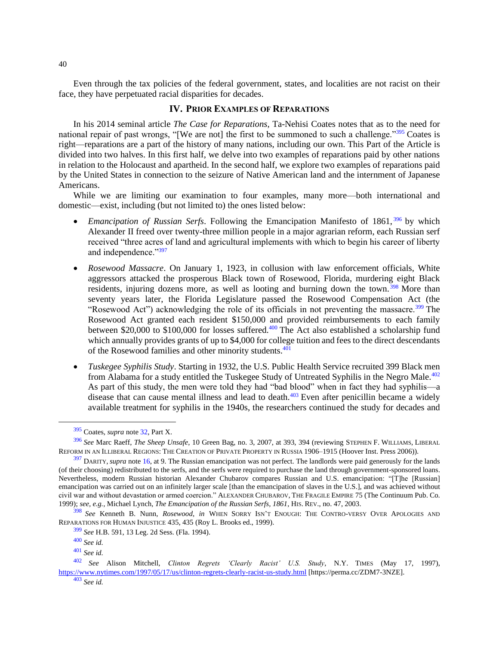Even through the tax policies of the federal government, states, and localities are not racist on their face, they have perpetuated racial disparities for decades.

## <span id="page-39-0"></span>**IV. PRIOR EXAMPLES OF REPARATIONS**

In his 2014 seminal article *The Case for Reparations*, Ta-Nehisi Coates notes that as to the need for national repair of past wrongs, "[We are not] the first to be summoned to such a challenge."<sup>395</sup> Coates is right—reparations are a part of the history of many nations, including our own. This Part of the Article is divided into two halves. In this first half, we delve into two examples of reparations paid by other nations in relation to the Holocaust and apartheid. In the second half, we explore two examples of reparations paid by the United States in connection to the seizure of Native American land and the internment of Japanese Americans.

While we are limiting our examination to four examples, many more—both international and domestic—exist, including (but not limited to) the ones listed below:

- *Emancipation of Russian Serfs*. Following the Emancipation Manifesto of 1861, <sup>396</sup> by which Alexander II freed over twenty-three million people in a major agrarian reform, each Russian serf received "three acres of land and agricultural implements with which to begin his career of liberty and independence."397
- *Rosewood Massacre*. On January 1, 1923, in collusion with law enforcement officials, White aggressors attacked the prosperous Black town of Rosewood, Florida, murdering eight Black residents, injuring dozens more, as well as looting and burning down the town.<sup>398</sup> More than seventy years later, the Florida Legislature passed the Rosewood Compensation Act (the "Rosewood Act") acknowledging the role of its officials in not preventing the massacre.<sup>399</sup> The Rosewood Act granted each resident \$150,000 and provided reimbursements to each family between \$20,000 to \$100,000 for losses suffered.<sup>400</sup> The Act also established a scholarship fund which annually provides grants of up to \$4,000 for college tuition and fees to the direct descendants of the Rosewood families and other minority students.<sup>401</sup>
- <span id="page-39-1"></span>• *Tuskegee Syphilis Study*. Starting in 1932, the U.S. Public Health Service recruited 399 Black men from Alabama for a study entitled the Tuskegee Study of Untreated Syphilis in the Negro Male.<sup>402</sup> As part of this study, the men were told they had "bad blood" when in fact they had syphilis—a disease that can cause mental illness and lead to death.<sup>403</sup> Even after penicillin became a widely available treatment for syphilis in the 1940s, the researchers continued the study for decades and

<sup>395</sup> Coates, *supra* not[e 32,](#page-6-1) Part X.

<sup>396</sup> *See* Marc Raeff, *The Sheep Unsafe*, 10 Green Bag, no. 3, 2007, at 393, 394 (reviewing STEPHEN F. WILLIAMS, LIBERAL REFORM IN AN ILLIBERAL REGIONS: THE CREATION OF PRIVATE PROPERTY IN RUSSIA 1906–1915 (Hoover Inst. Press 2006)).

<sup>&</sup>lt;sup>397</sup> DARITY, *supra* note [16,](#page-4-4) at 9. The Russian emancipation was not perfect. The landlords were paid generously for the lands (of their choosing) redistributed to the serfs, and the serfs were required to purchase the land through government-sponsored loans. Nevertheless, modern Russian historian Alexander Chubarov compares Russian and U.S. emancipation: "[T]he [Russian] emancipation was carried out on an infinitely larger scale [than the emancipation of slaves in the U.S.], and was achieved without civil war and without devastation or armed coercion." ALEXANDER CHUBAROV, THE FRAGILE EMPIRE 75 (The Continuum Pub. Co. 1999); *see, e.g.*, Michael Lynch, *The Emancipation of the Russian Serfs, 1861*, HIS. REV., no. 47, 2003.

<sup>398</sup> *See* Kenneth B. Nunn, *Rosewood*, *in* WHEN SORRY ISN'T ENOUGH: THE CONTRO-VERSY OVER APOLOGIES AND REPARATIONS FOR HUMAN INJUSTICE 435, 435 (Roy L. Brooks ed., 1999).

<sup>399</sup> *See* H.B. 591, 13 Leg. 2d Sess. (Fla. 1994).

<sup>400</sup> *See id.*

<sup>401</sup> *See id.*

<sup>402</sup> *See* Alison Mitchell, *Clinton Regrets 'Clearly Racist' U.S. Study*, N.Y. TIMES (May 17, 1997), [https://www.nytimes.com/1997/05/17/us/clinton-regrets-clearly-racist-us-study.html](https://perma.cc/ZDM7-3NZE) [https://perma.cc/ZDM7-3NZE].

<sup>403</sup> *See id.*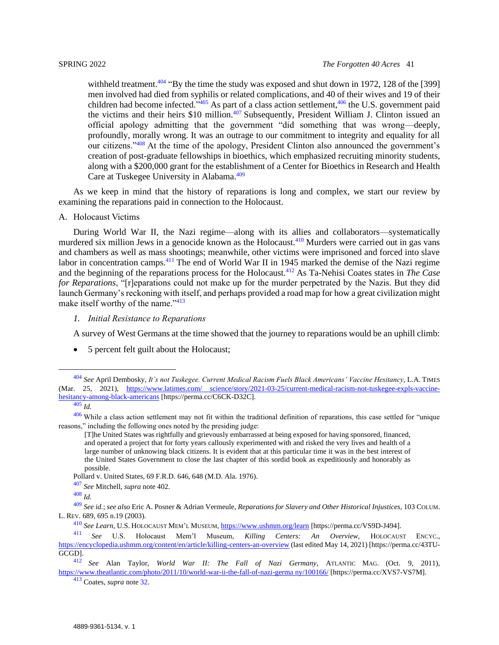<span id="page-40-2"></span>withheld treatment.<sup>404</sup> "By the time the study was exposed and shut down in 1972, 128 of the [399] men involved had died from syphilis or related complications, and 40 of their wives and 19 of their children had become infected.<sup>3405</sup> As part of a class action settlement,<sup>406</sup> the U.S. government paid the victims and their heirs \$10 million.<sup>407</sup> Subsequently, President William J. Clinton issued an official apology admitting that the government "did something that was wrong—deeply, profoundly, morally wrong. It was an outrage to our commitment to integrity and equality for all our citizens."<sup>408</sup> At the time of the apology, President Clinton also announced the government's creation of post-graduate fellowships in bioethics, which emphasized recruiting minority students, along with a \$200,000 grant for the establishment of a Center for Bioethics in Research and Health Care at Tuskegee University in Alabama.<sup>409</sup>

As we keep in mind that the history of reparations is long and complex, we start our review by examining the reparations paid in connection to the Holocaust.

<span id="page-40-0"></span>A. Holocaust Victims

During World War II, the Nazi regime—along with its allies and collaborators—systematically murdered six million Jews in a genocide known as the Holocaust.<sup>410</sup> Murders were carried out in gas vans and chambers as well as mass shootings; meanwhile, other victims were imprisoned and forced into slave labor in concentration camps.<sup>411</sup> The end of World War II in 1945 marked the demise of the Nazi regime and the beginning of the reparations process for the Holocaust.<sup>412</sup> As Ta-Nehisi Coates states in *The Case for Reparations*, "[r]eparations could not make up for the murder perpetrated by the Nazis. But they did launch Germany's reckoning with itself, and perhaps provided a road map for how a great civilization might make itself worthy of the name."<sup>413</sup>

<span id="page-40-1"></span>*1. Initial Resistance to Reparations*

A survey of West Germans at the time showed that the journey to reparations would be an uphill climb:

• 5 percent felt guilt about the Holocaust;

<sup>413</sup> Coates, *supra* not[e 32.](#page-6-1)

<sup>404</sup> *See* April Dembosky, *It's not Tuskegee. Current Medical Racism Fuels Black Americans' Vaccine Hesitancy*, L.A. TIMES (Mar. 25, 2021), [https://www.latimes.com/ science/story/2021-03-25/current-medical-racism-not-tuskegee-expls-vaccine](https://perma.cc/C6CK-D32C)[hesitancy-among-black-americans](https://perma.cc/C6CK-D32C) [https://perma.cc/C6CK-D32C].

<sup>405</sup> *Id.*

 $406$  While a class action settlement may not fit within the traditional definition of reparations, this case settled for "unique reasons," including the following ones noted by the presiding judge:

<sup>[</sup>T]he United States was rightfully and grievously embarrassed at being exposed for having sponsored, financed, and operated a project that for forty years callously experimented with and risked the very lives and health of a large number of unknowing black citizens. It is evident that at this particular time it was in the best interest of the United States Government to close the last chapter of this sordid book as expeditiously and honorably as possible.

Pollard v. United States, 69 F.R.D. 646, 648 (M.D. Ala. 1976).

<sup>407</sup> *See* Mitchell, *supra* note [402.](#page-39-1)

<sup>408</sup> *Id.*

<sup>409</sup> *See id.*; *see also* Eric A. Posner & Adrian Vermeule, *Reparations for Slavery and Other Historical Injustices*, 103 COLUM. L. REV. 689, 695 n.19 (2003).

<sup>410</sup> *See Learn*, U.S. HOLOCAUST MEM'<sup>L</sup> MUSEUM, [https://www.ushmm.org/learn](https://perma.cc/VS9D-J494) [https://perma.cc/VS9D-J494]. Mem'l Museum, *Killing Centers: An Overview*, HOLOCAUST ENCYC., [https://encyclopedia.ushmm.org/content/en/article/killing-centers-an-overview](https://perma.cc/43TU-GCGD) (last edited May 14, 2021) [https://perma.cc/43TU-GCGD].

<sup>412</sup> *See* Alan Taylor, *World War II: The Fall of Nazi Germany*, ATLANTIC MAG. (Oct. 9, 2011), [https://www.theatlantic.com/photo/2011/10/world-war-ii-the-fall-of-nazi-germa ny/100166/](https://perma.cc/XVS7-VS7M) [https://perma.cc/XVS7-VS7M].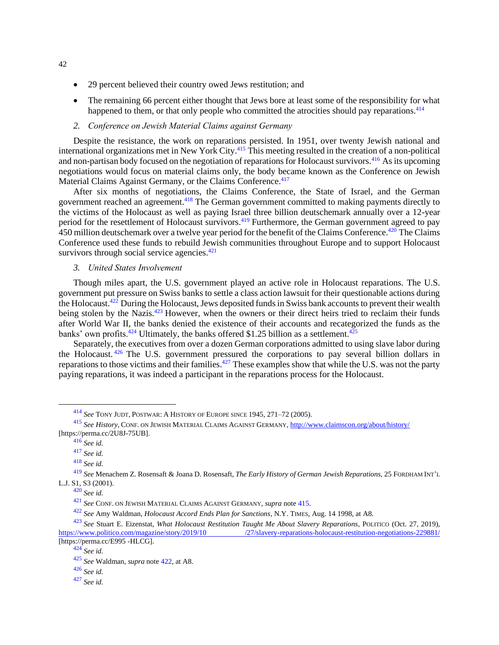- 29 percent believed their country owed Jews restitution; and
- The remaining 66 percent either thought that Jews bore at least some of the responsibility for what happened to them, or that only people who committed the atrocities should pay reparations.  $414$
- <span id="page-41-2"></span>*2. Conference on Jewish Material Claims against Germany*

<span id="page-41-0"></span>Despite the resistance, the work on reparations persisted. In 1951, over twenty Jewish national and international organizations met in New York City.<sup>415</sup> This meeting resulted in the creation of a non-political and non-partisan body focused on the negotiation of reparations for Holocaust survivors.<sup>416</sup> As its upcoming negotiations would focus on material claims only, the body became known as the Conference on Jewish Material Claims Against Germany, or the Claims Conference.<sup>417</sup>

After six months of negotiations, the Claims Conference, the State of Israel, and the German government reached an agreement.<sup>418</sup> The German government committed to making payments directly to the victims of the Holocaust as well as paying Israel three billion deutschemark annually over a 12-year period for the resettlement of Holocaust survivors.<sup>419</sup> Furthermore, the German government agreed to pay 450 million deutschemark over a twelve year period for the benefit of the Claims Conference.<sup>420</sup> The Claims Conference used these funds to rebuild Jewish communities throughout Europe and to support Holocaust survivors through social service agencies. $421$ 

<span id="page-41-3"></span><span id="page-41-1"></span>*3. United States Involvement*

Though miles apart, the U.S. government played an active role in Holocaust reparations. The U.S. government put pressure on Swiss banks to settle a class action lawsuit for their questionable actions during the Holocaust.<sup>422</sup> During the Holocaust, Jews deposited funds in Swiss bank accounts to prevent their wealth being stolen by the Nazis.<sup>423</sup> However, when the owners or their direct heirs tried to reclaim their funds after World War II, the banks denied the existence of their accounts and recategorized the funds as the banks' own profits.<sup>424</sup> Ultimately, the banks offered \$1.25 billion as a settlement.<sup>425</sup>

Separately, the executives from over a dozen German corporations admitted to using slave labor during the Holocaust. <sup>426</sup> The U.S. government pressured the corporations to pay several billion dollars in reparations to those victims and their families.<sup>427</sup> These examples show that while the U.S. was not the party paying reparations, it was indeed a participant in the reparations process for the Holocaust.

<sup>414</sup> *See* TONY JUDT, POSTWAR: A HISTORY OF EUROPE SINCE 1945, 271–72 (2005).

<sup>415</sup> *See History*, CONF. ON JEWISH MATERIAL CLAIMS AGAINST GERMANY, [http://www.claimscon.org/about/history/](https://perma.cc/2U8J-75UB) [https://perma.cc/2U8J-75UB].

<sup>416</sup> *See id.*

<sup>417</sup> *See id.*

<sup>418</sup> *See id.*

<sup>419</sup> *See* Menachem Z. Rosensaft & Joana D. Rosensaft, *The Early History of German Jewish Reparations*, 25 FORDHAM INT'<sup>L</sup> L.J. S1, S3 (2001).

<sup>420</sup> *See id.*

<sup>421</sup> *See* CONF. ON JEWISH MATERIAL CLAIMS AGAINST GERMANY, *supra* not[e 415.](#page-41-2)

<sup>422</sup> *See* Amy Waldman, *Holocaust Accord Ends Plan for Sanctions*, N.Y. TIMES, Aug. 14 1998, at A8.

<sup>423</sup> *See* Stuart E. Eizenstat, *What Holocaust Restitution Taught Me About Slavery Reparations*, POLITICO (Oct. 27, 2019), [https://www.politico.com/magazine/story/2019/10 /27/slavery-reparations-holocaust-restitution-negotiations-229881/](https://perma.cc/E995-HLCG) [https://perma.cc/E995 -HLCG].

<sup>424</sup> *See id.*

<sup>425</sup> *See* Waldman, *supra* note [422,](#page-41-3) at A8.

<sup>426</sup> *See id.*

<sup>427</sup> *See id.*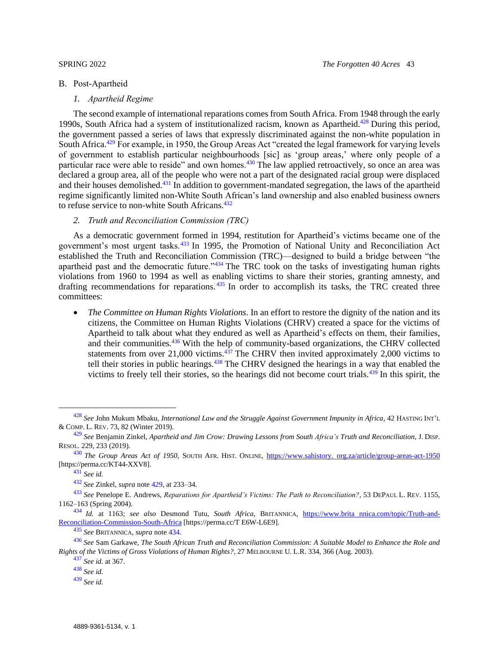#### <span id="page-42-1"></span><span id="page-42-0"></span>B. Post-Apartheid

## <span id="page-42-3"></span>*1. Apartheid Regime*

The second example of international reparations comes from South Africa. From 1948 through the early 1990s, South Africa had a system of institutionalized racism, known as Apartheid.<sup>428</sup> During this period, the government passed a series of laws that expressly discriminated against the non-white population in South Africa.<sup>429</sup> For example, in 1950, the Group Areas Act "created the legal framework for varying levels of government to establish particular neighbourhoods [sic] as 'group areas,' where only people of a particular race were able to reside" and own homes.<sup>430</sup> The law applied retroactively, so once an area was declared a group area, all of the people who were not a part of the designated racial group were displaced and their houses demolished.<sup>431</sup> In addition to government-mandated segregation, the laws of the apartheid regime significantly limited non-White South African's land ownership and also enabled business owners to refuse service to non-white South Africans.<sup>432</sup>

## <span id="page-42-5"></span><span id="page-42-4"></span><span id="page-42-2"></span>*2. Truth and Reconciliation Commission (TRC)*

As a democratic government formed in 1994, restitution for Apartheid's victims became one of the government's most urgent tasks.<sup>433</sup> In 1995, the Promotion of National Unity and Reconciliation Act established the Truth and Reconciliation Commission (TRC)—designed to build a bridge between "the apartheid past and the democratic future."<sup>434</sup> The TRC took on the tasks of investigating human rights violations from 1960 to 1994 as well as enabling victims to share their stories, granting amnesty, and drafting recommendations for reparations.<sup>435</sup> In order to accomplish its tasks, the TRC created three committees:

<span id="page-42-6"></span>• *The Committee on Human Rights Violations*. In an effort to restore the dignity of the nation and its citizens, the Committee on Human Rights Violations (CHRV) created a space for the victims of Apartheid to talk about what they endured as well as Apartheid's effects on them, their families, and their communities.<sup>436</sup> With the help of community-based organizations, the CHRV collected statements from over 21,000 victims. $437$  The CHRV then invited approximately 2,000 victims to tell their stories in public hearings.<sup>438</sup> The CHRV designed the hearings in a way that enabled the victims to freely tell their stories, so the hearings did not become court trials. $439$  In this spirit, the

<sup>435</sup> *See* BRITANNICA, *supra* note [434.](#page-42-4)

<sup>428</sup> *See* John Mukum Mbaku, *International Law and the Struggle Against Government Impunity in Africa*, 42 HASTING INT'<sup>L</sup> & COMP. L. REV. 73, 82 (Winter 2019).

<sup>429</sup> *See* Benjamin Zinkel, *Apartheid and Jim Crow: Drawing Lessons from South Africa's Truth and Reconciliation*, J. DISP. RESOL. 229, 233 (2019).

<sup>430</sup> *The Group Areas Act of 1950*, SOUTH AFR. HIST. ONLINE, [https://www.sahistory. org.za/article/group-areas-act-1950](https://perma.cc/KT44-XXV8) [https://perma.cc/KT44-XXV8].

<sup>431</sup> *See id.*

<sup>432</sup> *See* Zinkel, *supra* note [429,](#page-42-3) at 233–34.

<sup>433</sup> *See* Penelope E. Andrews, *Reparations for Apartheid's Victims: The Path to Reconciliation?*, 53 DEPAUL L. REV. 1155, 1162–163 (Spring 2004).

<sup>434</sup> *Id.* at 1163; *see also* Desmond Tutu, *South Africa*, BRITANNICA, [https://www.brita nnica.com/topic/Truth-and-](https://perma.cc/TE6W-L6E9)[Reconciliation-Commission-South-Africa](https://perma.cc/TE6W-L6E9) [https://perma.cc/T E6W-L6E9].

<sup>436</sup> *See* Sam Garkawe, *The South African Truth and Reconciliation Commission: A Suitable Model to Enhance the Role and Rights of the Victims of Gross Violations of Human Rights?*, 27 MELBOURNE U. L.R. 334, 366 (Aug. 2003).

<sup>437</sup> *See id.* at 367.

<sup>438</sup> *See id.*

<sup>439</sup> *See id.*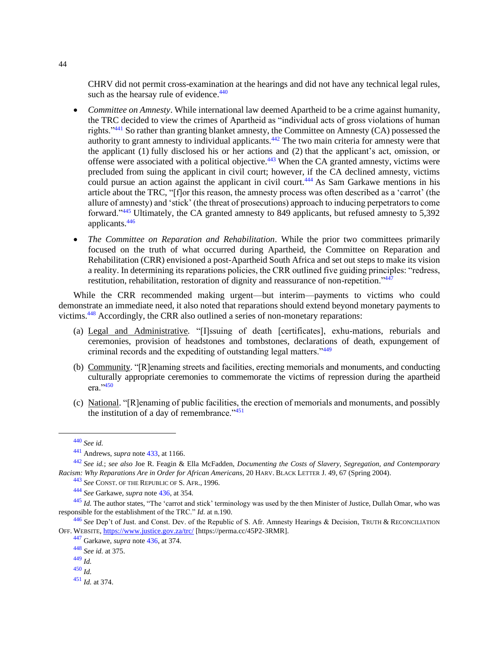<span id="page-43-0"></span>CHRV did not permit cross-examination at the hearings and did not have any technical legal rules, such as the hearsay rule of evidence. $440$ 

- *Committee on Amnesty*. While international law deemed Apartheid to be a crime against humanity, the TRC decided to view the crimes of Apartheid as "individual acts of gross violations of human rights."<sup>441</sup> So rather than granting blanket amnesty, the Committee on Amnesty (CA) possessed the authority to grant amnesty to individual applicants.<sup>442</sup> The two main criteria for amnesty were that the applicant (1) fully disclosed his or her actions and (2) that the applicant's act, omission, or offense were associated with a political objective.<sup>443</sup> When the CA granted amnesty, victims were precluded from suing the applicant in civil court; however, if the CA declined amnesty, victims could pursue an action against the applicant in civil court.<sup>444</sup> As Sam Garkawe mentions in his article about the TRC, "[f]or this reason, the amnesty process was often described as a 'carrot' (the allure of amnesty) and 'stick' (the threat of prosecutions) approach to inducing perpetrators to come forward."<sup>445</sup> Ultimately, the CA granted amnesty to 849 applicants, but refused amnesty to 5,392 applicants.<sup>446</sup>
- *The Committee on Reparation and Rehabilitation*. While the prior two committees primarily focused on the truth of what occurred during Apartheid, the Committee on Reparation and Rehabilitation (CRR) envisioned a post-Apartheid South Africa and set out steps to make its vision a reality. In determining its reparations policies, the CRR outlined five guiding principles: "redress, restitution, rehabilitation, restoration of dignity and reassurance of non-repetition."<sup>447</sup>

While the CRR recommended making urgent—but interim—payments to victims who could demonstrate an immediate need, it also noted that reparations should extend beyond monetary payments to victims.<sup>448</sup> Accordingly, the CRR also outlined a series of non-monetary reparations:

- (a) Legal and Administrative*.* "[I]ssuing of death [certificates], exhu-mations, reburials and ceremonies, provision of headstones and tombstones, declarations of death, expungement of criminal records and the expediting of outstanding legal matters."<sup>449</sup>
- (b) Community. "[R]enaming streets and facilities, erecting memorials and monuments, and conducting culturally appropriate ceremonies to commemorate the victims of repression during the apartheid era."450
- (c) National. "[R]enaming of public facilities, the erection of memorials and monuments, and possibly the institution of a day of remembrance." $451$

<sup>450</sup> *Id.*

<sup>451</sup> *Id.* at 374.

<sup>440</sup> *See id.*

<sup>441</sup> Andrews, *supra* note [433,](#page-42-5) at 1166.

<sup>442</sup> *See id.*; *see also* Joe R. Feagin & Ella McFadden, *Documenting the Costs of Slavery, Segregation, and Contemporary Racism: Why Reparations Are in Order for African Americans*, 20 HARV. BLACK LETTER J. 49, 67 (Spring 2004).

<sup>443</sup> *See* CONST. OF THE REPUBLIC OF S. AFR., 1996.

<sup>444</sup> *See* Garkawe, *supra* note [436,](#page-42-6) at 354.

<sup>&</sup>lt;sup>445</sup> *Id.* The author states, "The 'carrot and stick' terminology was used by the then Minister of Justice, Dullah Omar, who was responsible for the establishment of the TRC." *Id.* at n.190.

<sup>446</sup> *See* Dep't of Just. and Const. Dev. of the Republic of S. Afr. Amnesty Hearings & Decision, TRUTH & RECONCILIATION OFF. WEBSITE, [https://www.justice.gov.za/trc/](https://perma.cc/45P2-3RMR) [https://perma.cc/45P2-3RMR].

<sup>447</sup> Garkawe, *supra* note [436,](#page-42-6) at 374.

<sup>448</sup> *See id.* at 375.

<sup>449</sup> *Id.*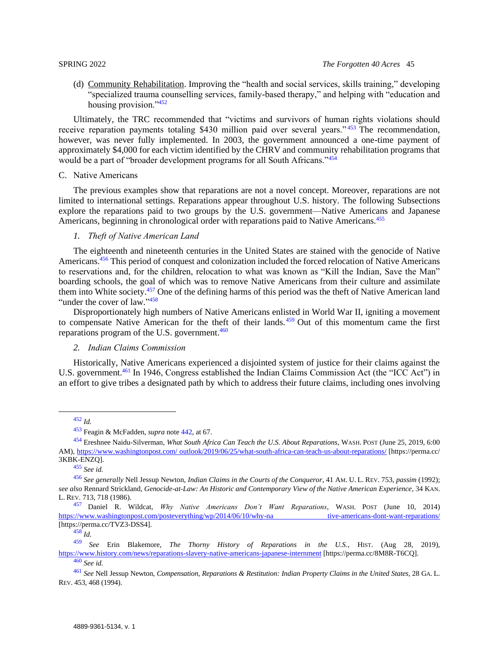(d) Community Rehabilitation. Improving the "health and social services, skills training," developing "specialized trauma counselling services, family-based therapy," and helping with "education and housing provision."<sup>452</sup>

Ultimately, the TRC recommended that "victims and survivors of human rights violations should receive reparation payments totaling \$430 million paid over several years."<sup>453</sup> The recommendation, however, was never fully implemented. In 2003, the government announced a one-time payment of approximately \$4,000 for each victim identified by the CHRV and community rehabilitation programs that would be a part of "broader development programs for all South Africans."<sup>454</sup>

## <span id="page-44-0"></span>C. Native Americans

The previous examples show that reparations are not a novel concept. Moreover, reparations are not limited to international settings. Reparations appear throughout U.S. history. The following Subsections explore the reparations paid to two groups by the U.S. government—Native Americans and Japanese Americans, beginning in chronological order with reparations paid to Native Americans.<sup>455</sup>

### <span id="page-44-4"></span><span id="page-44-1"></span>*1. Theft of Native American Land*

The eighteenth and nineteenth centuries in the United States are stained with the genocide of Native Americans.<sup>456</sup> This period of conquest and colonization included the forced relocation of Native Americans to reservations and, for the children, relocation to what was known as "Kill the Indian, Save the Man" boarding schools, the goal of which was to remove Native Americans from their culture and assimilate them into White society.<sup>457</sup> One of the defining harms of this period was the theft of Native American land "under the cover of law."<sup>458</sup>

Disproportionately high numbers of Native Americans enlisted in World War II, igniting a movement to compensate Native American for the theft of their lands. <sup>459</sup> Out of this momentum came the first reparations program of the U.S. government.<sup>460</sup>

### <span id="page-44-5"></span><span id="page-44-3"></span><span id="page-44-2"></span>*2. Indian Claims Commission*

Historically, Native Americans experienced a disjointed system of justice for their claims against the U.S. government.<sup>461</sup> In 1946, Congress established the Indian Claims Commission Act (the "ICC Act") in an effort to give tribes a designated path by which to address their future claims, including ones involving

<sup>453</sup> Feagin & McFadden, *supra* note [442,](#page-43-0) at 67.

<sup>454</sup> Ereshnee Naidu-Silverman, *What South Africa Can Teach the U.S. About Reparations*, WASH. POST (June 25, 2019, 6:00 AM), [https://www.washingtonpost.com/ outlook/2019/06/25/what-south-africa-can-teach-us-about-reparations/](https://perma.cc/3KBK-ENZQ) [https://perma.cc/ 3KBK-ENZQ].

<sup>455</sup> *See id.*

<sup>456</sup> *See generally* Nell Jessup Newton, *Indian Claims in the Courts of the Conqueror*, 41 AM. U. L. REV. 753, *passim* (1992); *see also* Rennard Strickland, *Genocide-at-Law: An Historic and Contemporary View of the Native American Experience*, 34 KAN. L. REV. 713, 718 (1986).

<sup>457</sup> Daniel R. Wildcat, *Why Native Americans Don't Want Reparations*, WASH. POST (June 10, 2014) [https://www.washingtonpost.com/posteverything/wp/2014/06/10/why-na tive-americans-dont-want-reparations/](https://perma.cc/TVZ3-DSS4) [https://perma.cc/TVZ3-DSS4].

<sup>458</sup> *Id.*

<sup>459</sup> *See* Erin Blakemore, *The Thorny History of Reparations in the U.S.*, HIST. (Aug 28, 2019), [https://www.history.com/news/reparations-slavery-native-americans-japanese-internment](https://perma.cc/8M8R-T6CQ) [https://perma.cc/8M8R-T6CQ].

<sup>460</sup> *See id.*

<sup>461</sup> *See* Nell Jessup Newton, *Compensation, Reparations & Restitution: Indian Property Claims in the United States*, 28 GA. L. REV. 453, 468 (1994).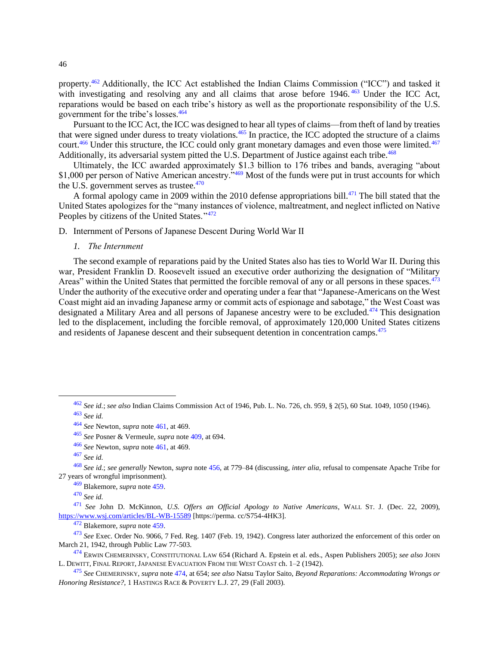property.<sup>462</sup> Additionally, the ICC Act established the Indian Claims Commission ("ICC") and tasked it with investigating and resolving any and all claims that arose before 1946.<sup>463</sup> Under the ICC Act, reparations would be based on each tribe's history as well as the proportionate responsibility of the U.S. government for the tribe's losses.<sup>464</sup>

Pursuant to the ICC Act, the ICC was designed to hear all types of claims—from theft of land by treaties that were signed under duress to treaty violations.<sup>465</sup> In practice, the ICC adopted the structure of a claims court.<sup>466</sup> Under this structure, the ICC could only grant monetary damages and even those were limited.<sup>467</sup> Additionally, its adversarial system pitted the U.S. Department of Justice against each tribe.<sup>468</sup>

Ultimately, the ICC awarded approximately \$1.3 billion to 176 tribes and bands, averaging "about \$1,000 per person of Native American ancestry.<sup>3469</sup> Most of the funds were put in trust accounts for which the U.S. government serves as trustee. $470$ 

A formal apology came in 2009 within the 2010 defense appropriations bill.<sup>471</sup> The bill stated that the United States apologizes for the "many instances of violence, maltreatment, and neglect inflicted on Native Peoples by citizens of the United States."<sup>472</sup>

<span id="page-45-1"></span><span id="page-45-0"></span>D. Internment of Persons of Japanese Descent During World War II

<span id="page-45-2"></span>*1. The Internment*

The second example of reparations paid by the United States also has ties to World War II. During this war, President Franklin D. Roosevelt issued an executive order authorizing the designation of "Military Areas" within the United States that permitted the forcible removal of any or all persons in these spaces.<sup>473</sup> Under the authority of the executive order and operating under a fear that "Japanese-Americans on the West Coast might aid an invading Japanese army or commit acts of espionage and sabotage," the West Coast was designated a Military Area and all persons of Japanese ancestry were to be excluded.<sup>474</sup> This designation led to the displacement, including the forcible removal, of approximately 120,000 United States citizens and residents of Japanese descent and their subsequent detention in concentration camps.<sup>475</sup>

<sup>469</sup> Blakemore, *supra* note [459.](#page-44-5)

<sup>470</sup> *See id.*

<span id="page-45-3"></span><sup>462</sup> *See id.*; *see also* Indian Claims Commission Act of 1946, Pub. L. No. 726, ch. 959, § 2(5), 60 Stat. 1049, 1050 (1946). <sup>463</sup> *See id.*

<sup>464</sup> *See* Newton, *supra* note [461,](#page-44-3) at 469.

<sup>465</sup> *See* Posner & Vermeule, *supra* note [409,](#page-40-2) at 694.

<sup>466</sup> *See* Newton, *supra* note [461,](#page-44-3) at 469.

<sup>467</sup> *See id.*

<sup>468</sup> *See id.*; *see generally* Newton, *supra* note [456,](#page-44-4) at 779–84 (discussing, *inter alia*, refusal to compensate Apache Tribe for 27 years of wrongful imprisonment).

<sup>471</sup> *See* John D. McKinnon, *U.S. Offers an Official Apology to Native Americans*, WALL ST. J. (Dec. 22, 2009), [https://www.wsj.com/articles/BL-WB-15589](https://perma.cc/S754-4HK3) [https://perma. cc/S754-4HK3].

<sup>472</sup> Blakemore, *supra* note [459.](#page-44-5)

<sup>473</sup> *See* Exec. Order No. 9066, 7 Fed. Reg. 1407 (Feb. 19, 1942). Congress later authorized the enforcement of this order on March 21, 1942, through Public Law 77-503.

<sup>474</sup> ERWIN CHEMERINSKY, CONSTITUTIONAL LAW 654 (Richard A. Epstein et al. eds., Aspen Publishers 2005); *see also* JOHN L. DEWITT, FINAL REPORT, JAPANESE EVACUATION FROM THE WEST COAST ch. 1–2 (1942).

<sup>475</sup> *See* CHEMERINSKY, *supra* note [474,](#page-45-2) at 654; *see also* Natsu Taylor Saito, *Beyond Reparations: Accommodating Wrongs or Honoring Resistance?*, 1 HASTINGS RACE & POVERTY L.J. 27, 29 (Fall 2003).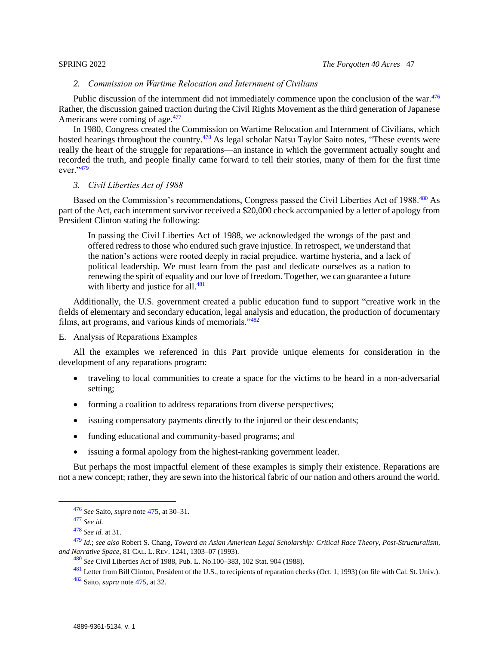## *2. Commission on Wartime Relocation and Internment of Civilians*

<span id="page-46-0"></span>Public discussion of the internment did not immediately commence upon the conclusion of the war.<sup>476</sup> Rather, the discussion gained traction during the Civil Rights Movement as the third generation of Japanese Americans were coming of age.<sup>477</sup>

In 1980, Congress created the Commission on Wartime Relocation and Internment of Civilians, which hosted hearings throughout the country.<sup>478</sup> As legal scholar Natsu Taylor Saito notes, "These events were really the heart of the struggle for reparations—an instance in which the government actually sought and recorded the truth, and people finally came forward to tell their stories, many of them for the first time ever."<sup>479</sup>

## <span id="page-46-1"></span>*3. Civil Liberties Act of 1988*

Based on the Commission's recommendations, Congress passed the Civil Liberties Act of 1988.<sup>480</sup> As part of the Act, each internment survivor received a \$20,000 check accompanied by a letter of apology from President Clinton stating the following:

In passing the Civil Liberties Act of 1988, we acknowledged the wrongs of the past and offered redress to those who endured such grave injustice. In retrospect, we understand that the nation's actions were rooted deeply in racial prejudice, wartime hysteria, and a lack of political leadership. We must learn from the past and dedicate ourselves as a nation to renewing the spirit of equality and our love of freedom. Together, we can guarantee a future with liberty and justice for all. $481$ 

Additionally, the U.S. government created a public education fund to support "creative work in the fields of elementary and secondary education, legal analysis and education, the production of documentary films, art programs, and various kinds of memorials."<sup>482</sup>

## <span id="page-46-2"></span>E. Analysis of Reparations Examples

All the examples we referenced in this Part provide unique elements for consideration in the development of any reparations program:

- traveling to local communities to create a space for the victims to be heard in a non-adversarial setting;
- forming a coalition to address reparations from diverse perspectives;
- issuing compensatory payments directly to the injured or their descendants;
- funding educational and community-based programs; and
- issuing a formal apology from the highest-ranking government leader.

But perhaps the most impactful element of these examples is simply their existence. Reparations are not a new concept; rather, they are sewn into the historical fabric of our nation and others around the world.

 $^{481}$  Letter from Bill Clinton, President of the U.S., to recipients of reparation checks (Oct. 1, 1993) (on file with Cal. St. Univ.).

<sup>476</sup> *See* Saito, *supra* note [475,](#page-45-3) at 30–31.

<sup>477</sup> *See id.*

<sup>478</sup> *See id.* at 31.

<sup>479</sup> *Id.*; *see also* Robert S. Chang, *Toward an Asian American Legal Scholarship: Critical Race Theory, Post-Structuralism, and Narrative Space*, 81 CAL. L. REV. 1241, 1303–07 (1993).

<sup>480</sup> *See* Civil Liberties Act of 1988[, Pub. L.](https://en.wikipedia.org/wiki/Public_Law_(United_States)) N[o.100–383,](https://uslaw.link/citation/us-law/public/100/383) 102 [Stat.](https://en.wikipedia.org/wiki/United_States_Statutes_at_Large) [904](http://legislink.org/us/stat-102-904) (1988).

<sup>482</sup> Saito, *supra* note [475,](#page-45-3) at 32.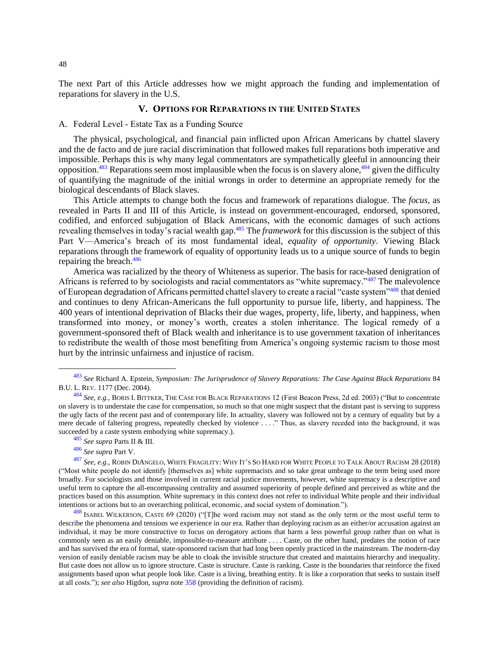<span id="page-47-0"></span>The next Part of this Article addresses how we might approach the funding and implementation of reparations for slavery in the U.S.

### <span id="page-47-2"></span>**V. OPTIONS FOR REPARATIONS IN THE UNITED STATES**

#### <span id="page-47-1"></span>A. Federal Level - Estate Tax as a Funding Source

The physical, psychological, and financial pain inflicted upon African Americans by chattel slavery and the de facto and de jure racial discrimination that followed makes full reparations both imperative and impossible. Perhaps this is why many legal commentators are sympathetically gleeful in announcing their opposition.<sup>483</sup> Reparations seem most implausible when the focus is on slavery alone,<sup>484</sup> given the difficulty of quantifying the magnitude of the initial wrongs in order to determine an appropriate remedy for the biological descendants of Black slaves.

This Article attempts to change both the focus and framework of reparations dialogue. The *focus*, as revealed in Parts II and III of this Article, is instead on government-encouraged, endorsed, sponsored, codified, and enforced subjugation of Black Americans, with the economic damages of such actions revealing themselves in today's racial wealth gap.<sup>485</sup> The *framework* for this discussion is the subject of this Part V—America's breach of its most fundamental ideal, *equality of opportunity*. Viewing Black reparations through the framework of equality of opportunity leads us to a unique source of funds to begin repairing the breach.<sup>486</sup>

America was racialized by the theory of Whiteness as superior. The basis for race-based denigration of Africans is referred to by sociologists and racial commentators as "white supremacy."<sup>487</sup> The malevolence of European degradation of Africans permitted chattel slavery to create a racial "caste system"<sup>488</sup> that denied and continues to deny African-Americans the full opportunity to pursue life, liberty, and happiness*.* The 400 years of intentional deprivation of Blacks their due wages, property, life, liberty, and happiness, when transformed into money, or money's worth, creates a stolen inheritance. The logical remedy of a government-sponsored theft of Black wealth and inheritance is to use government taxation of inheritances to redistribute the wealth of those most benefiting from America's ongoing systemic racism to those most hurt by the intrinsic unfairness and injustice of racism.

- <sup>485</sup> *See supra* Parts II & III.
- <sup>486</sup> *See supra* Part V.

<sup>483</sup> *See* Richard A. Epstein, *Symposium: The Jurisprudence of Slavery Reparations: The Case Against Black Reparations* 84 B.U. L. REV. 1177 (Dec. 2004).

<sup>484</sup> *See, e.g.*, BORIS I. BITTKER, THE CASE FOR BLACK REPARATIONS 12 (First Beacon Press, 2d ed. 2003) ("But to concentrate on slavery is to understate the case for compensation, so much so that one might suspect that the distant past is serving to suppress the ugly facts of the recent past and of contemporary life. In actuality, slavery was followed not by a century of equality but by a mere decade of faltering progress, repeatedly checked by violence . . . ." Thus, as slavery receded into the background, it was succeeded by a caste system embodying white supremacy.).

<sup>487</sup> *See, e.g*., ROBIN DIANGELO, WHITE FRAGILITY: WHY IT'S SO HARD FOR WHITE PEOPLE TO TALK ABOUT RACISM 28 (2018) ("Most white people do not identify [themselves as] white supremacists and so take great umbrage to the term being used more broadly. For sociologists and those involved in current racial justice movements, however, white supremacy is a descriptive and useful term to capture the all-encompassing centrality and assumed superiority of people defined and perceived as white and the practices based on this assumption. White supremacy in this context does not refer to individual White people and their individual intentions or actions but to an overarching political, economic, and social system of domination.").

 $488$  ISABEL WILKERSON, CASTE 69 (2020) ("[T]he word racism may not stand as the only term or the most useful term to describe the phenomena and tensions we experience in our era. Rather than deploying racism as an either/or accusation against an individual, it may be more constructive to focus on derogatory actions that harm a less powerful group rather than on what is commonly seen as an easily deniable, impossible-to-measure attribute . . . . Caste, on the other hand, predates the notion of race and has survived the era of formal, state-sponsored racism that had long been openly practiced in the mainstream. The modern-day version of easily deniable racism may be able to cloak the invisible structure that created and maintains hierarchy and inequality. But caste does not allow us to ignore structure. Caste is structure. Caste is ranking. Caste is the boundaries that reinforce the fixed assignments based upon what people look like. Caste is a living, breathing entity. It is like a corporation that seeks to sustain itself at all costs."); *see also* Higdon, *supra* note [358](#page-34-1) (providing the definition of racism).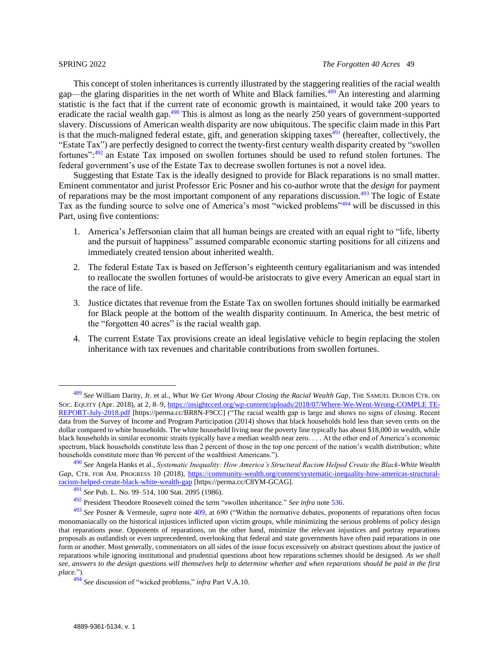<span id="page-48-0"></span>This concept of stolen inheritances is currently illustrated by the staggering realities of the racial wealth gap—the glaring disparities in the net worth of White and Black families.<sup>489</sup> An interesting and alarming statistic is the fact that if the current rate of economic growth is maintained, it would take 200 years to eradicate the racial wealth gap.<sup>490</sup> This is almost as long as the nearly 250 years of government-supported slavery. Discussions of American wealth disparity are now ubiquitous. The specific claim made in this Part is that the much-maligned federal estate, gift, and generation skipping taxes $\frac{491}{1}$  (hereafter, collectively, the "Estate Tax") are perfectly designed to correct the twenty-first century wealth disparity created by "swollen fortunes": <sup>492</sup> an Estate Tax imposed on swollen fortunes should be used to refund stolen fortunes. The federal government's use of the Estate Tax to decrease swollen fortunes is not a novel idea.

Suggesting that Estate Tax is the ideally designed to provide for Black reparations is no small matter. Eminent commentator and jurist Professor Eric Posner and his co-author wrote that the *design* for payment of reparations may be the most important component of any reparations discussion.<sup>493</sup> The logic of Estate Tax as the funding source to solve one of America's most "wicked problems"<sup>494</sup> will be discussed in this Part, using five contentions:

- 1. America's Jeffersonian claim that all human beings are created with an equal right to "life, liberty and the pursuit of happiness" assumed comparable economic starting positions for all citizens and immediately created tension about inherited wealth.
- 2. The federal Estate Tax is based on Jefferson's eighteenth century egalitarianism and was intended to reallocate the swollen fortunes of would-be aristocrats to give every American an equal start in the race of life.
- 3. Justice dictates that revenue from the Estate Tax on swollen fortunes should initially be earmarked for Black people at the bottom of the wealth disparity continuum. In America, the best metric of the "forgotten 40 acres" is the racial wealth gap.
- 4. The current Estate Tax provisions create an ideal legislative vehicle to begin replacing the stolen inheritance with tax revenues and charitable contributions from swollen fortunes.

<sup>489</sup> *See* William Darity, Jr. et al., *What We Get Wrong About Closing the Racial Wealth Gap*, THE SAMUEL DUBOIS CTR. ON SOC. EQUITY (Apr. 2018), at 2, 8–9[, https://insightcced.org/wp-content/uploads/2018/07/Where-We-Went-Wrong-COMPLE TE-](https://perma.cc/BR8N-F9CC)[REPORT-July-2018.pdf](https://perma.cc/BR8N-F9CC) [https://perma.cc/BR8N-F9CC] ("The racial wealth gap is large and shows no signs of closing. Recent data from the Survey of Income and Program Participation (2014) shows that black households hold less than seven cents on the dollar compared to white households. The white household living near the poverty line typically has about \$18,000 in wealth, while black households in similar economic straits typically have a median wealth near zero. . . . At the other end of America's economic spectrum, black households constitute less than 2 percent of those in the top one percent of the nation's wealth distribution; white households constitute more than 96 percent of the wealthiest Americans.")*.*

<sup>490</sup> *See* Angela Hanks et al., *Systematic Inequality: How America's Structural Racism Helped Create the Black-White Wealth Gap*, CTR. FOR AM. PROGRESS 10 (2018), [https://community-wealth.org/content/systematic-inequality-how-americas-structural](https://perma.cc/C8YM-GCAG)[racism-helped-create-black-white-wealth-gap](https://perma.cc/C8YM-GCAG) [https://perma.cc/C8YM-GCAG].

<sup>491</sup> *See* Pub. L. No. 99–514, 100 Stat. 2095 (1986).

<sup>492</sup> President Theodore Roosevelt coined the term "swollen inheritance." *See infra* note [536.](#page-54-1)

<sup>493</sup> *See* Posner & Vermeule, *supra* note [409,](#page-40-2) at 690 ("Within the normative debates, proponents of reparations often focus monomaniacally on the historical injustices inflicted upon victim groups, while minimizing the serious problems of policy design that reparations pose. Opponents of reparations, on the other hand, minimize the relevant injustices and portray reparations proposals as outlandish or even unprecedented, overlooking that federal and state governments have often paid reparations in one form or another. Most generally, commentators on all sides of the issue focus excessively on abstract questions about the justice of reparations while ignoring institutional and prudential questions about how reparations schemes should be designed. *As we shall see, answers to the design questions will themselves help to determine whether and when reparations should be paid in the first place.*").

<sup>494</sup> *See* discussion of "wicked problems," *infra* Part V.A.10.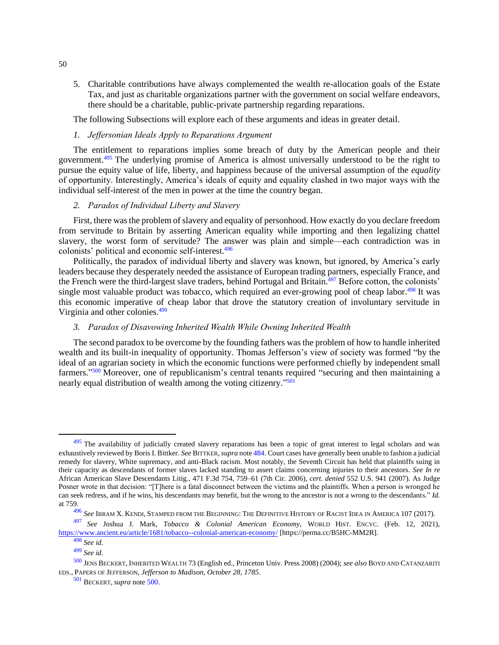5. Charitable contributions have always complemented the wealth re-allocation goals of the Estate Tax, and just as charitable organizations partner with the government on social welfare endeavors, there should be a charitable, public-private partnership regarding reparations.

<span id="page-49-0"></span>The following Subsections will explore each of these arguments and ideas in greater detail.

## *1. Jeffersonian Ideals Apply to Reparations Argument*

The entitlement to reparations implies some breach of duty by the American people and their government.<sup>495</sup> The underlying promise of America is almost universally understood to be the right to pursue the equity value of life, liberty, and happiness because of the universal assumption of the *equality* of opportunity. Interestingly, America's ideals of equity and equality clashed in two major ways with the individual self-interest of the men in power at the time the country began.

### <span id="page-49-1"></span>*2. Paradox of Individual Liberty and Slavery*

First, there was the problem of slavery and equality of personhood. How exactly do you declare freedom from servitude to Britain by asserting American equality while importing and then legalizing chattel slavery, the worst form of servitude? The answer was plain and simple—each contradiction was in colonists' political and economic self-interest.<sup>496</sup>

Politically, the paradox of individual liberty and slavery was known, but ignored, by America's early leaders because they desperately needed the assistance of European trading partners, especially France, and the French were the third-largest slave traders, behind Portugal and Britain.<sup>497</sup> Before cotton, the colonists' single most valuable product was tobacco, which required an ever-growing pool of cheap labor.<sup>498</sup> It was this economic imperative of cheap labor that drove the statutory creation of involuntary servitude in Virginia and other colonies.<sup>499</sup>

## <span id="page-49-2"></span>*3. Paradox of Disavowing Inherited Wealth While Owning Inherited Wealth*

<span id="page-49-3"></span>The second paradox to be overcome by the founding fathers was the problem of how to handle inherited wealth and its built-in inequality of opportunity. Thomas Jefferson's view of society was formed "by the ideal of an agrarian society in which the economic functions were performed chiefly by independent small farmers."<sup>500</sup> Moreover, one of republicanism's central tenants required "securing and then maintaining a nearly equal distribution of wealth among the voting citizenry."<sup>501</sup>

50

<sup>495</sup> The availability of judicially created slavery reparations has been a topic of great interest to legal scholars and was exhaustively reviewed by Boris I. Bittker. *See* BITTKER, *supra* note [484.](#page-47-2) Court cases have generally been unable to fashion a judicial remedy for slavery, White supremacy, and anti-Black racism. Most notably, the Seventh Circuit has held that plaintiffs suing in their capacity as descendants of former slaves lacked standing to assert claims concerning injuries to their ancestors. *See In re* African American Slave Descendants Litig*.*, 471 F.3d 754, 759–61 (7th Cir. 2006), *cert. denied* 552 U.S. 941 (2007). As Judge Posner wrote in that decision: "[T]here is a fatal disconnect between the victims and the plaintiffs. When a person is wronged he can seek redress, and if he wins, his descendants may benefit, but the wrong to the ancestor is not a wrong to the descendants." *Id.* at 759.

<sup>496</sup> *See* IBRAM X. KENDI, STAMPED FROM THE BEGINNING: THE DEFINITIVE HISTORY OF RACIST IDEA IN AMERICA 107 (2017).

<sup>497</sup> *See* Joshua J. Mark, *Tobacco & Colonial American Economy*, WORLD HIST. ENCYC. (Feb. 12, 2021), [https://www.ancient.eu/article/1681/tobacco--colonial-american-economy/](https://perma.cc/B5HC-MM2R) [https://perma.cc/B5HC-MM2R].

<sup>498</sup> *See id.*

<sup>499</sup> *See id.*

<sup>500</sup> JENS BECKERT, INHERITED WEALTH 73 (English ed., Princeton Univ. Press 2008) (2004); *see also* BOYD AND CATANZARITI EDS., PAPERS OF JEFFERSON, *Jefferson to Madison, October 28*, *1785*.

<sup>501</sup> BECKERT*, supra* note [500.](#page-49-3)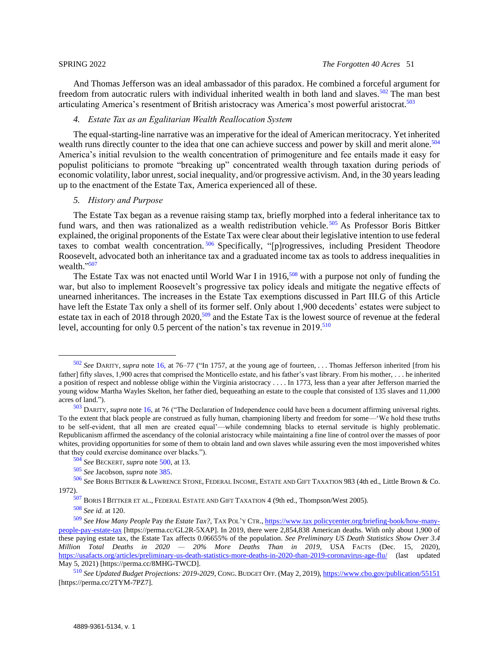And Thomas Jefferson was an ideal ambassador of this paradox. He combined a forceful argument for freedom from autocratic rulers with individual inherited wealth in both land and slaves.<sup>502</sup> The man best articulating America's resentment of British aristocracy was America's most powerful aristocrat.<sup>503</sup>

## <span id="page-50-0"></span>*4. Estate Tax as an Egalitarian Wealth Reallocation System*

The equal-starting-line narrative was an imperative for the ideal of American meritocracy. Yet inherited wealth runs directly counter to the idea that one can achieve success and power by skill and merit alone.<sup>504</sup> America's initial revulsion to the wealth concentration of primogeniture and fee entails made it easy for populist politicians to promote "breaking up" concentrated wealth through taxation during periods of economic volatility, labor unrest, social inequality, and/or progressive activism. And, in the 30 years leading up to the enactment of the Estate Tax, America experienced all of these.

### <span id="page-50-2"></span><span id="page-50-1"></span>*5. History and Purpose*

The Estate Tax began as a revenue raising stamp tax, briefly morphed into a federal inheritance tax to fund wars, and then was rationalized as a wealth redistribution vehicle.<sup>505</sup> As Professor Boris Bittker explained, the original proponents of the Estate Tax were clear about their legislative intention to use federal taxes to combat wealth concentration.<sup>506</sup> Specifically, "[p]rogressives, including President Theodore Roosevelt, advocated both an inheritance tax and a graduated income tax as tools to address inequalities in wealth."<sup>507</sup>

The Estate Tax was not enacted until World War I in 1916,<sup>508</sup> with a purpose not only of funding the war, but also to implement Roosevelt's progressive tax policy ideals and mitigate the negative effects of unearned inheritances. The increases in the Estate Tax exemptions discussed in Part III.G of this Article have left the Estate Tax only a shell of its former self. Only about 1,900 decedents' estates were subject to estate tax in each of 2018 through 2020,<sup>509</sup> and the Estate Tax is the lowest source of revenue at the federal level, accounting for only 0.5 percent of the nation's tax revenue in 2019.<sup>510</sup>

<sup>502</sup> *See* DARITY, *supra* note [16,](#page-4-4) at 76–77 ("In 1757, at the young age of fourteen, . . . Thomas Jefferson inherited [from his father] fifty slaves, 1,900 acres that comprised the Monticello estate, and his father's vast library. From his mother, . . . he inherited a position of respect and noblesse oblige within the Virginia aristocracy . . . . In 1773, less than a year after Jefferson married the young widow Martha Wayles Skelton, her father died, bequeathing an estate to the couple that consisted of 135 slaves and 11,000 acres of land.").

<sup>503</sup> DARITY, *supra* note [16,](#page-4-4) at 76 ("The Declaration of Independence could have been a document affirming universal rights. To the extent that black people are construed as fully human, championing liberty and freedom for some—'We hold these truths to be self-evident, that all men are created equal'—while condemning blacks to eternal servitude is highly problematic. Republicanism affirmed the ascendancy of the colonial aristocracy while maintaining a fine line of control over the masses of poor whites, providing opportunities for some of them to obtain land and own slaves while assuring even the most impoverished whites that they could exercise dominance over blacks.").

<sup>504</sup> *See* BECKERT, *supra* note [500,](#page-49-3) at 13.

<sup>505</sup> *See* Jacobson, *supra* note [385.](#page-38-2)

<sup>506</sup> *See* BORIS BITTKER & LAWRENCE STONE, FEDERAL INCOME, ESTATE AND GIFT TAXATION 983 (4th ed., Little Brown & Co. 1972).

<sup>507</sup> BORIS I BITTKER ET AL., FEDERAL ESTATE AND GIFT TAXATION 4 (9th ed., Thompson/West 2005).

<sup>508</sup> *See id.* at 120.

<sup>509</sup> *See How Many People* Pay *the Estate Tax?*, TAX POL'Y CTR.[, https://www.tax policycenter.org/briefing-book/how-many](https://perma.cc/GL2R-5XAP)[people-pay-estate-tax](https://perma.cc/GL2R-5XAP) [https://perma.cc/GL2R-5XAP]. In 2019, there were 2,854,838 American deaths. With only about 1,900 of these paying estate tax, the Estate Tax affects 0.06655% of the population. *See Preliminary US Death Statistics Show Over 3.4 Million Total Deaths in 2020 — 20% More Deaths Than in 2019*, USA FACTS (Dec. 15, 2020), [https://usafacts.org/articles/preliminary-us-death-statistics-more-deaths-in-2020-than-2019-coronavirus-age-flu/](https://perma.cc/8MHG-TWCD) (last updated May 5, 2021) [https://perma.cc/8MHG-TWCD].

<sup>510</sup> *See Updated Budget Projections: 2019-2029*, CONG. BUDGET OFF. (May 2, 2019), [https://www.cbo.gov/publication/55151](https://perma.cc/2TYM-7PZ7) [https://perma.cc/2TYM-7PZ7].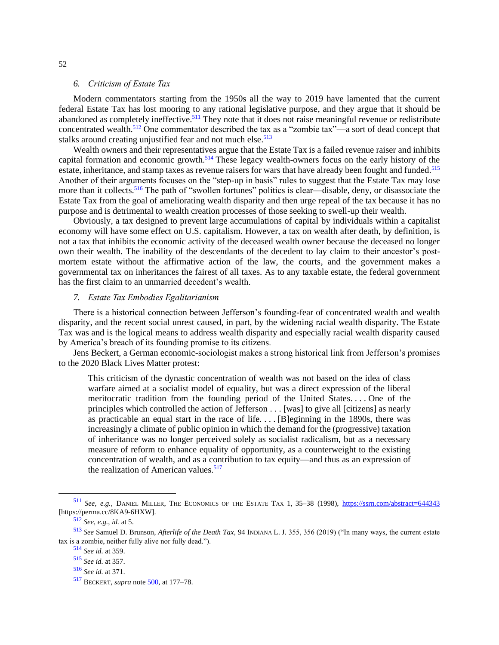#### *6. Criticism of Estate Tax*

<span id="page-51-0"></span>Modern commentators starting from the 1950s all the way to 2019 have lamented that the current federal Estate Tax has lost mooring to any rational legislative purpose, and they argue that it should be abandoned as completely ineffective.<sup>511</sup> They note that it does not raise meaningful revenue or redistribute concentrated wealth.<sup>512</sup> One commentator described the tax as a "zombie tax"—a sort of dead concept that stalks around creating unjustified fear and not much else.<sup>513</sup>

Wealth owners and their representatives argue that the Estate Tax is a failed revenue raiser and inhibits capital formation and economic growth.<sup>514</sup> These legacy wealth-owners focus on the early history of the estate, inheritance, and stamp taxes as revenue raisers for wars that have already been fought and funded.<sup>515</sup> Another of their arguments focuses on the "step-up in basis" rules to suggest that the Estate Tax may lose more than it collects.<sup>516</sup> The path of "swollen fortunes" politics is clear—disable, deny, or disassociate the Estate Tax from the goal of ameliorating wealth disparity and then urge repeal of the tax because it has no purpose and is detrimental to wealth creation processes of those seeking to swell-up their wealth.

Obviously, a tax designed to prevent large accumulations of capital by individuals within a capitalist economy will have some effect on U.S. capitalism. However, a tax on wealth after death, by definition, is not a tax that inhibits the economic activity of the deceased wealth owner because the deceased no longer own their wealth. The inability of the descendants of the decedent to lay claim to their ancestor's postmortem estate without the affirmative action of the law, the courts, and the government makes a governmental tax on inheritances the fairest of all taxes. As to any taxable estate, the federal government has the first claim to an unmarried decedent's wealth.

### <span id="page-51-1"></span>*7. Estate Tax Embodies Egalitarianism*

There is a historical connection between Jefferson's founding-fear of concentrated wealth and wealth disparity, and the recent social unrest caused, in part, by the widening racial wealth disparity. The Estate Tax was and is the logical means to address wealth disparity and especially racial wealth disparity caused by America's breach of its founding promise to its citizens.

Jens Beckert, a German economic-sociologist makes a strong historical link from Jefferson's promises to the 2020 Black Lives Matter protest:

This criticism of the dynastic concentration of wealth was not based on the idea of class warfare aimed at a socialist model of equality, but was a direct expression of the liberal meritocratic tradition from the founding period of the United States. . . . One of the principles which controlled the action of Jefferson . . . [was] to give all [citizens] as nearly as practicable an equal start in the race of life. . . . [B]eginning in the 1890s, there was increasingly a climate of public opinion in which the demand for the (progressive) taxation of inheritance was no longer perceived solely as socialist radicalism, but as a necessary measure of reform to enhance equality of opportunity, as a counterweight to the existing concentration of wealth, and as a contribution to tax equity—and thus as an expression of the realization of American values. $517$ 

<sup>511</sup> *See, e.g.*, DANIEL MILLER, THE ECONOMICS OF THE ESTATE TAX 1, 35–38 (1998), [https://ssrn.com/abstract=644343](https://perma.cc/8KA9-6HXW) [https://perma.cc/8KA9-6HXW].

<sup>512</sup> *See, e.g.*, *id.* at 5.

<sup>513</sup> *See* Samuel D. Brunson, *Afterlife of the Death Tax*, 94 INDIANA L. J. 355, 356 (2019) ("In many ways, the current estate tax is a zombie, neither fully alive nor fully dead.").

<sup>514</sup> *See id.* at 359.

<sup>515</sup> *See id.* at 357.

<sup>516</sup> *See id.* at 371.

<sup>517</sup> BECKERT, *supra* note [500,](#page-49-3) at 177–78.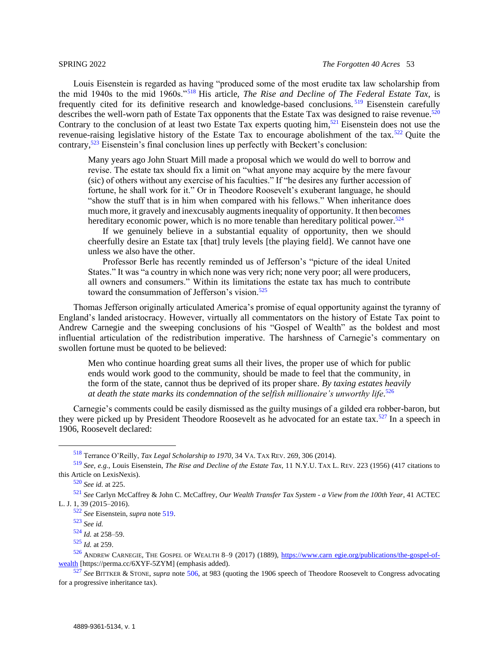Louis Eisenstein is regarded as having "produced some of the most erudite tax law scholarship from the mid 1940s to the mid 1960s."<sup>518</sup> His article, *The Rise and Decline of The Federal Estate Tax*, is frequently cited for its definitive research and knowledge-based conclusions. <sup>519</sup> Eisenstein carefully describes the well-worn path of Estate Tax opponents that the Estate Tax was designed to raise revenue.<sup>520</sup> Contrary to the conclusion of at least two Estate Tax experts quoting him,<sup>521</sup> Eisenstein does not use the revenue-raising legislative history of the Estate Tax to encourage abolishment of the tax.<sup>522</sup> Quite the contrary,  $523$  Eisenstein's final conclusion lines up perfectly with Beckert's conclusion:

<span id="page-52-0"></span>Many years ago John Stuart Mill made a proposal which we would do well to borrow and revise. The estate tax should fix a limit on "what anyone may acquire by the mere favour (sic) of others without any exercise of his faculties." If "he desires any further accession of fortune, he shall work for it." Or in Theodore Roosevelt's exuberant language, he should "show the stuff that is in him when compared with his fellows." When inheritance does much more, it gravely and inexcusably augments inequality of opportunity. It then becomes hereditary economic power, which is no more tenable than hereditary political power.<sup>524</sup>

If we genuinely believe in a substantial equality of opportunity, then we should cheerfully desire an Estate tax [that] truly levels [the playing field]. We cannot have one unless we also have the other.

Professor Berle has recently reminded us of Jefferson's "picture of the ideal United States." It was "a country in which none was very rich; none very poor; all were producers, all owners and consumers." Within its limitations the estate tax has much to contribute toward the consummation of Jefferson's vision.<sup>525</sup>

Thomas Jefferson originally articulated America's promise of equal opportunity against the tyranny of England's landed aristocracy. However, virtually all commentators on the history of Estate Tax point to Andrew Carnegie and the sweeping conclusions of his "Gospel of Wealth" as the boldest and most influential articulation of the redistribution imperative. The harshness of Carnegie's commentary on swollen fortune must be quoted to be believed:

Men who continue hoarding great sums all their lives, the proper use of which for public ends would work good to the community, should be made to feel that the community, in the form of the state, cannot thus be deprived of its proper share. *By taxing estates heavily*  at death the state marks its condemnation of the selfish millionaire's unworthy life.<sup>526</sup>

Carnegie's comments could be easily dismissed as the guilty musings of a gilded era robber-baron, but they were picked up by President Theodore Roosevelt as he advocated for an estate tax.<sup>527</sup> In a speech in 1906, Roosevelt declared:

<sup>522</sup> *See* Eisenstein, *supra* note [519.](#page-52-0)

<sup>518</sup> Terrance O'Reilly, *Tax Legal Scholarship to 1970*, 34 VA. TAX REV. 269, 306 (2014).

<sup>519</sup> *See, e.g.*, Louis Eisenstein, *The Rise and Decline of the Estate Tax*, 11 N.Y.U. TAX L. REV. 223 (1956) (417 citations to this Article on LexisNexis).

<sup>520</sup> *See id.* at 225.

<sup>521</sup> *See* Carlyn McCaffrey & John C. McCaffrey, *Our Wealth Transfer Tax System - a View from the 100th Year*, 41 ACTEC L. J. 1, 39 (2015–2016).

<sup>523</sup> *See id.*

<sup>524</sup> *Id.* at 258–59.

<sup>525</sup> *Id.* at 259.

 $526$  ANDREW CARNEGIE, THE GOSPEL OF WEALTH 8–9 (2017) (1889), [https://www.carn egie.org/publications/the-gospel-of](https://perma.cc/6XYF-5ZYM)[wealth](https://perma.cc/6XYF-5ZYM) [https://perma.cc/6XYF-5ZYM] (emphasis added).

<sup>527</sup> *See* BITTKER & STONE, *supra* note [506,](#page-50-2) at 983 (quoting the 1906 speech of Theodore Roosevelt to Congress advocating for a progressive inheritance tax).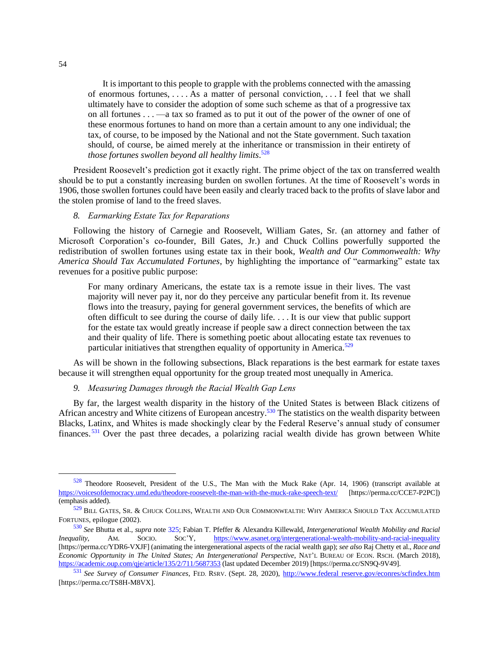It is important to this people to grapple with the problems connected with the amassing of enormous fortunes, . . . . As a matter of personal conviction, . . . I feel that we shall ultimately have to consider the adoption of some such scheme as that of a progressive tax on all fortunes . . . —a tax so framed as to put it out of the power of the owner of one of these enormous fortunes to hand on more than a certain amount to any one individual; the tax, of course, to be imposed by the National and not the State government. Such taxation should, of course, be aimed merely at the inheritance or transmission in their entirety of *those fortunes swollen beyond all healthy limits*. 528

President Roosevelt's prediction got it exactly right. The prime object of the tax on transferred wealth should be to put a constantly increasing burden on swollen fortunes. At the time of Roosevelt's words in 1906, those swollen fortunes could have been easily and clearly traced back to the profits of slave labor and the stolen promise of land to the freed slaves.

## <span id="page-53-0"></span>*8. Earmarking Estate Tax for Reparations*

Following the history of Carnegie and Roosevelt, William Gates, Sr. (an attorney and father of Microsoft Corporation's co-founder, Bill Gates, Jr.) and Chuck Collins powerfully supported the redistribution of swollen fortunes using estate tax in their book, *Wealth and Our Commonwealth: Why America Should Tax Accumulated Fortunes*, by highlighting the importance of "earmarking" estate tax revenues for a positive public purpose:

For many ordinary Americans, the estate tax is a remote issue in their lives. The vast majority will never pay it, nor do they perceive any particular benefit from it. Its revenue flows into the treasury, paying for general government services, the benefits of which are often difficult to see during the course of daily life. . . . It is our view that public support for the estate tax would greatly increase if people saw a direct connection between the tax and their quality of life. There is something poetic about allocating estate tax revenues to particular initiatives that strengthen equality of opportunity in America.<sup>529</sup>

As will be shown in the following subsections, Black reparations is the best earmark for estate taxes because it will strengthen equal opportunity for the group treated most unequally in America.

## <span id="page-53-1"></span>*9. Measuring Damages through the Racial Wealth Gap Lens*

By far, the largest wealth disparity in the history of the United States is between Black citizens of African ancestry and White citizens of European ancestry.<sup>530</sup> The statistics on the wealth disparity between Blacks, Latinx, and Whites is made shockingly clear by the Federal Reserve's annual study of consumer finances. <sup>531</sup> Over the past three decades, a polarizing racial wealth divide has grown between White

<sup>528</sup> Theodore Roosevelt, President of the U.S., The Man with the Muck Rake (Apr. 14, 1906) (transcript available at [https://voicesofdemocracy.umd.edu/theodore-roosevelt-the-man-with-the-muck-rake-speech-text/](https://perma.cc/CCE7-P2PC) [https://perma.cc/CCE7-P2PC]) (emphasis added).

<sup>529</sup> BILL GATES, SR. & CHUCK COLLINS, WEALTH AND OUR COMMONWEALTH: WHY AMERICA SHOULD TAX ACCUMULATED FORTUNES, epilogue (2002).

<sup>530</sup> *See* Bhutta et al., *supra* note [325;](#page-31-2) Fabian T. Pfeffer & Alexandra Killewald, *Intergenerational Wealth Mobility and Racial Inequality*, AM. SOCIO. SOC'Y, [https://www.asanet.org/intergenerational-wealth-mobility-and-racial-inequality](https://perma.cc/YDR6-VXJF) [https://perma.cc/YDR6-VXJF] (animating the intergenerational aspects of the racial wealth gap); *see also* Raj Chetty et al., *Race and Economic Opportunity in The United States; An Intergenerational Perspective*, NAT'L BUREAU OF ECON. RSCH. (March 2018), [https://academic.oup.com/qje/article/135/2/711/5687353](https://perma.cc/SN9Q-9V49) (last updated December 2019) [https://perma.cc/SN9Q-9V49].

<sup>531</sup> *See Survey of Consumer Finances*, FED. RSRV. (Sept. 28, 2020), [http://www.federal reserve.gov/econres/scfindex.htm](https://perma.cc/TS8H-M8VX) [https://perma.cc/TS8H-M8VX].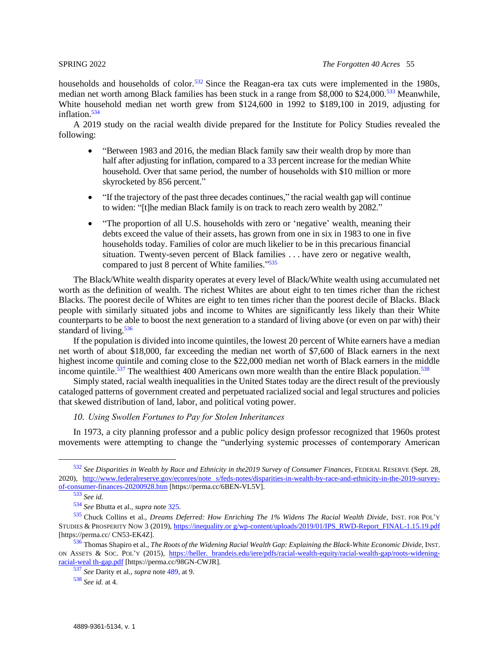households and households of color.<sup>532</sup> Since the Reagan-era tax cuts were implemented in the 1980s, median net worth among Black families has been stuck in a range from \$8,000 to \$24,000.<sup>533</sup> Meanwhile, White household median net worth grew from \$124,600 in 1992 to \$189,100 in 2019, adjusting for inflation.<sup>534</sup>

A 2019 study on the racial wealth divide prepared for the Institute for Policy Studies revealed the following:

- "Between 1983 and 2016, the median Black family saw their wealth drop by more than half after adjusting for inflation, compared to a 33 percent increase for the median White household. Over that same period, the number of households with \$10 million or more skyrocketed by 856 percent."
- "If the trajectory of the past three decades continues," the racial wealth gap will continue to widen: "[t]he median Black family is on track to reach zero wealth by 2082."
- <span id="page-54-2"></span>• "The proportion of all U.S. households with zero or 'negative' wealth, meaning their debts exceed the value of their assets, has grown from one in six in 1983 to one in five households today. Families of color are much likelier to be in this precarious financial situation. Twenty-seven percent of Black families . . . have zero or negative wealth, compared to just 8 percent of White families."<sup>535</sup>

The Black/White wealth disparity operates at every level of Black/White wealth using accumulated net worth as the definition of wealth. The richest Whites are about eight to ten times richer than the richest Blacks. The poorest decile of Whites are eight to ten times richer than the poorest decile of Blacks. Black people with similarly situated jobs and income to Whites are significantly less likely than their White counterparts to be able to boost the next generation to a standard of living above (or even on par with) their standard of living*.* 536

<span id="page-54-1"></span>If the population is divided into income quintiles, the lowest 20 percent of White earners have a median net worth of about \$18,000, far exceeding the median net worth of \$7,600 of Black earners in the next highest income quintile and coming close to the \$22,000 median net worth of Black earners in the middle income quintile.<sup>537</sup> The wealthiest 400 Americans own more wealth than the entire Black population.<sup>538</sup>

Simply stated, racial wealth inequalities in the United States today are the direct result of the previously cataloged patterns of government created and perpetuated racialized social and legal structures and policies that skewed distribution of land, labor, and political voting power.

## <span id="page-54-0"></span>*10. Using Swollen Fortunes to Pay for Stolen Inheritances*

In 1973, a city planning professor and a public policy design professor recognized that 1960s protest movements were attempting to change the "underlying systemic processes of contemporary American

<sup>532</sup> *See Disparities in Wealth by Race and Ethnicity in the2019 Survey of Consumer Finances*, FEDERAL RESERVE (Sept. 28, 2020), [http://www.federalreserve.gov/econres/note s/feds-notes/disparities-in-wealth-by-race-and-ethnicity-in-the-2019-survey](https://perma.cc/6BEN-VL5V)[of-consumer-finances-20200928.htm](https://perma.cc/6BEN-VL5V) [https://perma.cc/6BEN-VL5V].

<sup>533</sup> *See id.*

<sup>534</sup> *See* Bhutta et al., *supra* note [325.](#page-31-2)

<sup>535</sup> Chuck Collins et al., *Dreams Deferred: How Enriching The 1% Widens The Racial Wealth Divide*, INST. FOR POL'<sup>Y</sup> STUDIES & PROSPERITY NOW 3 (2019), [https://inequality.or g/wp-content/uploads/2019/01/IPS\\_RWD-Report\\_FINAL-1.15.19.pdf](https://perma.cc/CN53-EK4Z) [https://perma.cc/ CN53-EK4Z].

<sup>536</sup> Thomas Shapiro et al., *The Roots of the Widening Racial Wealth Gap: Explaining the Black-White Economic Divide*, INST. ON ASSETS & SOC. POL'Y (2015), [https://heller. brandeis.edu/iere/pdfs/racial-wealth-equity/racial-wealth-gap/roots-widening](https://perma.cc/98GN-CWJR)[racial-weal th-gap.pdf](https://perma.cc/98GN-CWJR) [https://perma.cc/98GN-CWJR].

<sup>537</sup> *See* Darity et al., *supra* note [489,](#page-48-0) at 9.

<sup>538</sup> *See id.* at 4.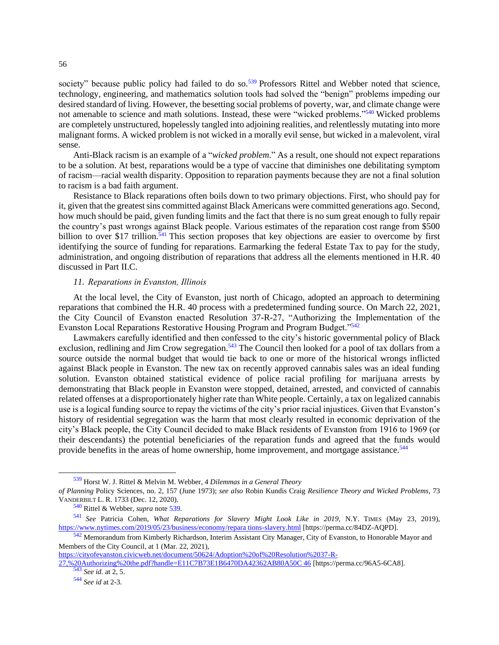<span id="page-55-1"></span>society" because public policy had failed to do so.<sup>539</sup> Professors Rittel and Webber noted that science, technology, engineering, and mathematics solution tools had solved the "benign" problems impeding our desired standard of living. However, the besetting social problems of poverty, war, and climate change were not amenable to science and math solutions. Instead, these were "wicked problems."<sup>540</sup> Wicked problems are completely unstructured, hopelessly tangled into adjoining realities, and relentlessly mutating into more malignant forms. A wicked problem is not wicked in a morally evil sense, but wicked in a malevolent, viral sense.

Anti-Black racism is an example of a "*wicked problem*." As a result, one should not expect reparations to be a solution. At best, reparations would be a type of vaccine that diminishes one debilitating symptom of racism—racial wealth disparity. Opposition to reparation payments because they are not a final solution to racism is a bad faith argument.

Resistance to Black reparations often boils down to two primary objections. First, who should pay for it, given that the greatest sins committed against Black Americans were committed generations ago. Second, how much should be paid, given funding limits and the fact that there is no sum great enough to fully repair the country's past wrongs against Black people. Various estimates of the reparation cost range from \$500 billion to over \$17 trillion.<sup>541</sup> This section proposes that key objections are easier to overcome by first identifying the source of funding for reparations. Earmarking the federal Estate Tax to pay for the study, administration, and ongoing distribution of reparations that address all the elements mentioned in H.R. 40 discussed in Part II.C.

## <span id="page-55-2"></span><span id="page-55-0"></span>*11. Reparations in Evanston, Illinois*

At the local level, the City of Evanston, just north of Chicago, adopted an approach to determining reparations that combined the H.R. 40 process with a predetermined funding source. On March 22, 2021, the City Council of Evanston enacted Resolution 37-R-27, "Authorizing the Implementation of the Evanston Local Reparations Restorative Housing Program and Program Budget."<sup>542</sup>

Lawmakers carefully identified and then confessed to the city's historic governmental policy of Black exclusion, redlining and Jim Crow segregation.<sup>543</sup> The Council then looked for a pool of tax dollars from a source outside the normal budget that would tie back to one or more of the historical wrongs inflicted against Black people in Evanston. The new tax on recently approved cannabis sales was an ideal funding solution. Evanston obtained statistical evidence of police racial profiling for marijuana arrests by demonstrating that Black people in Evanston were stopped, detained, arrested, and convicted of cannabis related offenses at a disproportionately higher rate than White people. Certainly, a tax on legalized cannabis use is a logical funding source to repay the victims of the city's prior racial injustices. Given that Evanston's history of residential segregation was the harm that most clearly resulted in economic deprivation of the city's Black people, the City Council decided to make Black residents of Evanston from 1916 to 1969 (or their descendants) the potential beneficiaries of the reparation funds and agreed that the funds would provide benefits in the areas of home ownership, home improvement, and mortgage assistance.<sup>544</sup>

[https://cityofevanston.civicweb.net/document/50624/Adoption%20of%20Resolution%2037-R-](https://perma.cc/96A5-6CA8)

[27,%20Authorizing%20the.pdf?handle=E11C7B73E1B6470DA42362AB80A50C 46](https://perma.cc/96A5-6CA8) [https://perma.cc/96A5-6CA8]. <sup>543</sup> *See id.* at 2, 5.

<sup>539</sup> Horst W. J. Rittel & Melvin M. Webber, 4 *Dilemmas in a General Theory* 

*of Planning* Policy Sciences, no. 2, 157 (June 1973); *see also* Robin Kundis Craig *Resilience Theory and Wicked Problems*, 73 VANDERBILT L. R. 1733 (Dec. 12, 2020).

<sup>540</sup> Rittel & Webber, *supra* not[e 539.](#page-55-1)

<sup>541</sup> *See* Patricia Cohen, *What Reparations for Slavery Might Look Like in 2019*, N.Y. TIMES (May 23, 2019), [https://www.nytimes.com/2019/05/23/business/economy/repara tions-slavery.html](https://perma.cc/84DZ-AQPD) [https://perma.cc/84DZ-AQPD].

<sup>&</sup>lt;sup>542</sup> Memorandum from Kimberly Richardson, Interim Assistant City Manager, City of Evanston, to Honorable Mayor and Members of the City Council, at 1 (Mar. 22, 2021),

<sup>544</sup> *See id* at 2-3.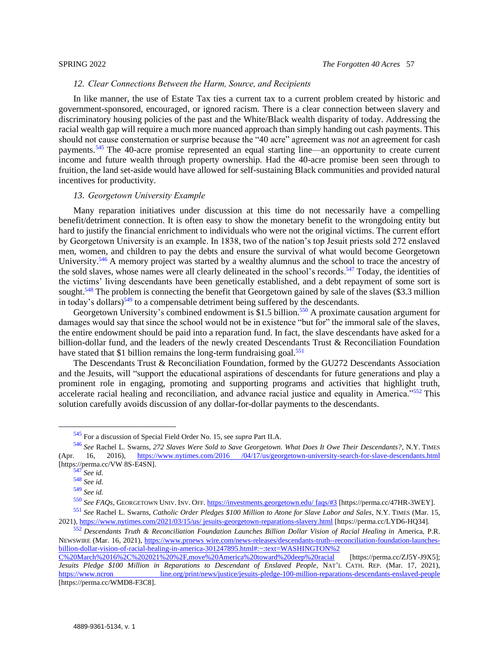### *12. Clear Connections Between the Harm, Source, and Recipients*

<span id="page-56-0"></span>In like manner, the use of Estate Tax ties a current tax to a current problem created by historic and government-sponsored, encouraged, or ignored racism. There is a clear connection between slavery and discriminatory housing policies of the past and the White/Black wealth disparity of today. Addressing the racial wealth gap will require a much more nuanced approach than simply handing out cash payments. This should not cause consternation or surprise because the "40 acre" agreement was *not* an agreement for cash payments.<sup>545</sup> The 40-acre promise represented an equal starting line—an opportunity to create current income and future wealth through property ownership. Had the 40-acre promise been seen through to fruition, the land set-aside would have allowed for self-sustaining Black communities and provided natural incentives for productivity.

### <span id="page-56-1"></span>*13. Georgetown University Example*

Many reparation initiatives under discussion at this time do not necessarily have a compelling benefit/detriment connection. It is often easy to show the monetary benefit to the wrongdoing entity but hard to justify the financial enrichment to individuals who were not the original victims. The current effort by Georgetown University is an example. In 1838, two of the nation's top Jesuit priests sold 272 enslaved men, women, and children to pay the debts and ensure the survival of what would become Georgetown University.<sup>546</sup> A memory project was started by a wealthy alumnus and the school to trace the ancestry of the sold slaves, whose names were all clearly delineated in the school's records.<sup>547</sup> Today, the identities of the victims' living descendants have been genetically established, and a debt repayment of some sort is sought.<sup>548</sup> The problem is connecting the benefit that Georgetown gained by sale of the slaves (\$3.3 million in today's dollars) $549$  to a compensable detriment being suffered by the descendants.

Georgetown University's combined endowment is \$1.5 billion.<sup>550</sup> A proximate causation argument for damages would say that since the school would not be in existence "but for" the immoral sale of the slaves, the entire endowment should be paid into a reparation fund. In fact, the slave descendants have asked for a billion-dollar fund, and the leaders of the newly created Descendants Trust & Reconciliation Foundation have stated that \$1 billion remains the long-term fundraising goal.<sup>551</sup>

The Descendants Trust & Reconciliation Foundation, formed by the GU272 Descendants Association and the Jesuits, will "support the educational aspirations of descendants for future generations and play a prominent role in engaging, promoting and supporting programs and activities that highlight truth, accelerate racial healing and reconciliation, and advance racial justice and equality in America."<sup>552</sup> This solution carefully avoids discussion of any dollar-for-dollar payments to the descendants.

<sup>545</sup> For a discussion of Special Field Order No. 15, see *supra* Part II.A.

<sup>546</sup> *See* Rachel L. Swarns, *272 Slaves Were Sold to Save Georgetown. What Does It Owe Their Descendants?*, N.Y. TIMES (Apr. 16, 2016), [https://www.nytimes.com/2016 /04/17/us/georgetown-university-search-for-slave-descendants.html](https://perma.cc/VW8S-E4SN) [https://perma.cc/VW 8S-E4SN].

<sup>547</sup> *See id.*

<sup>548</sup> *See id.*

<sup>549</sup> *See id.*

<sup>550</sup> *See FAQs*, GEORGETOWN UNIV. INV. OFF. [https://investments.georgetown.edu/ faqs/#3](https://perma.cc/47HR-3WEY) [https://perma.cc/47HR-3WEY]. <sup>551</sup> *See* Rachel L. Swarns, *Catholic Order Pledges \$100 Million to Atone for Slave Labor and Sales*, N.Y. TIMES (Mar. 15,

<sup>2021)</sup>[, https://www.nytimes.com/2021/03/15/us/ jesuits-georgetown-reparations-slavery.html](https://perma.cc/LYD6-HQ34) [https://perma.cc/LYD6-HQ34]. <sup>552</sup> *Descendants Truth & Reconciliation Foundation Launches Billion Dollar Vision of Racial Healing in* America, P.R.

NEWSWIRE (Mar. 16, 2021), [https://www.prnews wire.com/news-releases/descendants-truth--reconciliation-foundation-launches](https://perma.cc/ZJ5Y-J9X5)[billion-dollar-vision-of-racial-healing-in-america-301247895.html#:~:text=WASHINGTON%2](https://perma.cc/ZJ5Y-J9X5)  [C%20March%2016%2C%202021%20%2F,move%20America%20toward%20deep%20racial](https://perma.cc/ZJ5Y-J9X5) [https://perma.cc/ZJ5Y-J9X5];

*Jesuits Pledge \$100 Million in Reparations to Descendant of Enslaved People*, NAT'L CATH. REP. (Mar. 17, 2021), [https://www.ncron line.org/print/news/justice/jesuits-pledge-100-million-reparations-descendants-enslaved-people](https://perma.cc/WMD8-F3C8) [https://perma.cc/WMD8-F3C8].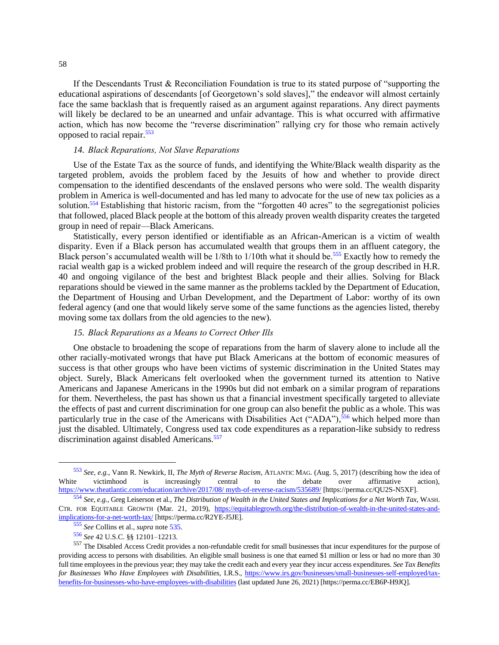If the Descendants Trust & Reconciliation Foundation is true to its stated purpose of "supporting the educational aspirations of descendants [of Georgetown's sold slaves]," the endeavor will almost certainly face the same backlash that is frequently raised as an argument against reparations. Any direct payments will likely be declared to be an unearned and unfair advantage. This is what occurred with affirmative action, which has now become the "reverse discrimination" rallying cry for those who remain actively opposed to racial repair.<sup>553</sup>

## <span id="page-57-0"></span>*14. Black Reparations, Not Slave Reparations*

Use of the Estate Tax as the source of funds, and identifying the White/Black wealth disparity as the targeted problem, avoids the problem faced by the Jesuits of how and whether to provide direct compensation to the identified descendants of the enslaved persons who were sold. The wealth disparity problem in America is well-documented and has led many to advocate for the use of new tax policies as a solution.<sup>554</sup> Establishing that historic racism, from the "forgotten 40 acres" to the segregationist policies that followed, placed Black people at the bottom of this already proven wealth disparity creates the targeted group in need of repair—Black Americans.

Statistically, every person identified or identifiable as an African-American is a victim of wealth disparity. Even if a Black person has accumulated wealth that groups them in an affluent category, the Black person's accumulated wealth will be 1/8th to 1/10th what it should be.<sup>555</sup> Exactly how to remedy the racial wealth gap is a wicked problem indeed and will require the research of the group described in H.R. 40 and ongoing vigilance of the best and brightest Black people and their allies. Solving for Black reparations should be viewed in the same manner as the problems tackled by the Department of Education, the Department of Housing and Urban Development, and the Department of Labor: worthy of its own federal agency (and one that would likely serve some of the same functions as the agencies listed, thereby moving some tax dollars from the old agencies to the new).

### <span id="page-57-1"></span>*15. Black Reparations as a Means to Correct Other Ills*

One obstacle to broadening the scope of reparations from the harm of slavery alone to include all the other racially-motivated wrongs that have put Black Americans at the bottom of economic measures of success is that other groups who have been victims of systemic discrimination in the United States may object. Surely, Black Americans felt overlooked when the government turned its attention to Native Americans and Japanese Americans in the 1990s but did not embark on a similar program of reparations for them. Nevertheless, the past has shown us that a financial investment specifically targeted to alleviate the effects of past and current discrimination for one group can also benefit the public as a whole. This was particularly true in the case of the Americans with Disabilities Act ("ADA"),<sup>556</sup> which helped more than just the disabled. Ultimately, Congress used tax code expenditures as a reparation-like subsidy to redress discrimination against disabled Americans.<sup>557</sup>

<sup>553</sup> *See, e.g.*, Vann R. Newkirk, II, *The Myth of Reverse Racism*, ATLANTIC MAG. (Aug. 5, 2017) (describing how the idea of White victimhood is increasingly central to the debate over affirmative action), [https://www.theatlantic.com/education/archive/2017/08/ myth-of-reverse-racism/535689/](https://perma.cc/QU2S-N5XF) [https://perma.cc/QU2S-N5XF].

<sup>554</sup> *See, e.g.*, Greg Leiserson et al., *The Distribution of Wealth in the United States and Implications for a Net Worth Tax*, WASH. CTR. FOR EQUITABLE GROWTH (Mar. 21, 2019), [https://equitablegrowth.org/the-distribution-of-wealth-in-the-united-states-and](https://perma.cc/R2YE-J5JE)[implications-for-a-net-worth-tax/](https://perma.cc/R2YE-J5JE) [https://perma.cc/R2YE-J5JE].

<sup>555</sup> *See* Collins et al., *supra* not[e 535.](#page-54-2)

<sup>556</sup> *See* 42 U.S.C. §§ 12101–12213.

<sup>557</sup> The Disabled Access Credit provides a non-refundable credit for small businesses that incur expenditures for the purpose of providing access to persons with disabilities. An eligible small business is one that earned \$1 million or less or had no more than 30 full time employees in the previous year; they may take the credit each and every year they incur access expenditures. *See Tax Benefits for Businesses Who Have Employees with Disabilities*, I.R.S., [https://www.irs.gov/businesses/small-businesses-self-employed/tax](https://perma.cc/EB6P-H9JQ)[benefits-for-businesses-who-have-employees-with-disabilities](https://perma.cc/EB6P-H9JQ) (last updated June 26, 2021) [https://perma.cc/EB6P-H9JQ].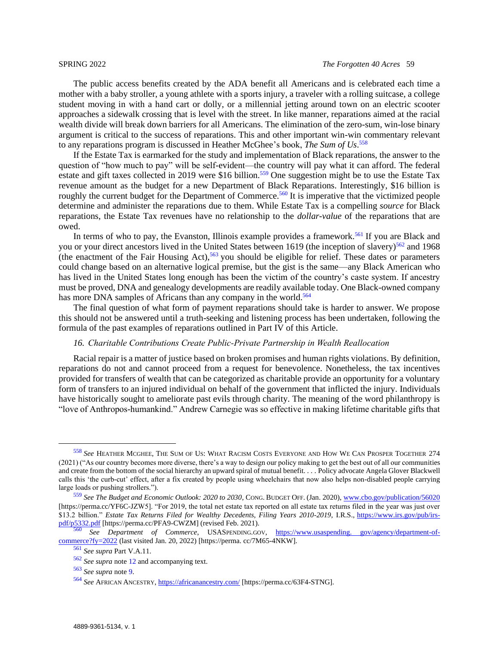The public access benefits created by the ADA benefit all Americans and is celebrated each time a mother with a baby stroller, a young athlete with a sports injury, a traveler with a rolling suitcase, a college student moving in with a hand cart or dolly, or a millennial jetting around town on an electric scooter approaches a sidewalk crossing that is level with the street. In like manner, reparations aimed at the racial wealth divide will break down barriers for all Americans. The elimination of the zero-sum, win-lose binary argument is critical to the success of reparations. This and other important win-win commentary relevant to any reparations program is discussed in Heather McGhee's book, *The Sum of Us*. 558

If the Estate Tax is earmarked for the study and implementation of Black reparations, the answer to the question of "how much to pay" will be self-evident—the country will pay what it can afford. The federal estate and gift taxes collected in 2019 were \$16 billion.<sup>559</sup> One suggestion might be to use the Estate Tax revenue amount as the budget for a new Department of Black Reparations. Interestingly, \$16 billion is roughly the current budget for the Department of Commerce.<sup>560</sup> It is imperative that the victimized people determine and administer the reparations due to them. While Estate Tax is a compelling *source* for Black reparations, the Estate Tax revenues have no relationship to the *dollar-value* of the reparations that are owed.

In terms of who to pay, the Evanston, Illinois example provides a framework.<sup>561</sup> If you are Black and you or your direct ancestors lived in the United States between 1619 (the inception of slavery)<sup>562</sup> and 1968 (the enactment of the Fair Housing Act),  $563$  you should be eligible for relief. These dates or parameters could change based on an alternative logical premise, but the gist is the same—any Black American who has lived in the United States long enough has been the victim of the country's caste system. If ancestry must be proved, DNA and genealogy developments are readily available today. One Black-owned company has more DNA samples of Africans than any company in the world.<sup>564</sup>

The final question of what form of payment reparations should take is harder to answer. We propose this should not be answered until a truth-seeking and listening process has been undertaken, following the formula of the past examples of reparations outlined in Part IV of this Article.

### <span id="page-58-0"></span>*16. Charitable Contributions Create Public-Private Partnership in Wealth Reallocation*

Racial repair is a matter of justice based on broken promises and human rights violations. By definition, reparations do not and cannot proceed from a request for benevolence. Nonetheless, the tax incentives provided for transfers of wealth that can be categorized as charitable provide an opportunity for a voluntary form of transfers to an injured individual on behalf of the government that inflicted the injury. Individuals have historically sought to ameliorate past evils through charity. The meaning of the word philanthropy is "love of Anthropos-humankind." Andrew Carnegie was so effective in making lifetime charitable gifts that

<sup>558</sup> *See* HEATHER MCGHEE, THE SUM OF US: WHAT RACISM COSTS EVERYONE AND HOW WE CAN PROSPER TOGETHER 274 (2021) ("As our country becomes more diverse, there's a way to design our policy making to get the best out of all our communities and create from the bottom of the social hierarchy an upward spiral of mutual benefit. . . . Policy advocate Angela Glover Blackwell calls this 'the curb-cut' effect, after a fix created by people using wheelchairs that now also helps non-disabled people carrying large loads or pushing strollers.").

<sup>559</sup> *See The Budget and Economic Outlook: 2020 to 2030*, CONG. BUDGET OFF. (Jan. 2020)[, www.cbo.gov/publication/56020](https://perma.cc/YF6C-JZW5) [https://perma.cc/YF6C-JZW5]. "For 2019, the total net estate tax reported on all estate tax returns filed in the year was just over \$13.2 billion." *Estate Tax Returns Filed for Wealthy Decedents, Filing Years 2010-2019*, I.R.S., [https://www.irs.gov/pub/irs](https://perma.cc/PFA9-CWZM)[pdf/p5332.pdf](https://perma.cc/PFA9-CWZM) [https://perma.cc/PFA9-CWZM] (revised Feb. 2021).

<sup>560</sup> *See Department of Commerce*, USASPENDING.GOV, [https://www.usaspending. gov/agency/department-of](https://perma.cc/7M65-4NKW)[commerce?fy=2022](https://perma.cc/7M65-4NKW) (last visited Jan. 20, 2022) [https://perma. cc/7M65-4NKW].

<sup>561</sup> *See supra* Part V.A.11.

<sup>562</sup> *See supra* note [12](#page-4-3) and accompanying text.

<sup>563</sup> *See supra* note [9.](#page-3-1)

<sup>564</sup> *See* AFRICAN ANCESTRY, [https://africanancestry.com/](https://perma.cc/63F4-STNG) [https://perma.cc/63F4-STNG].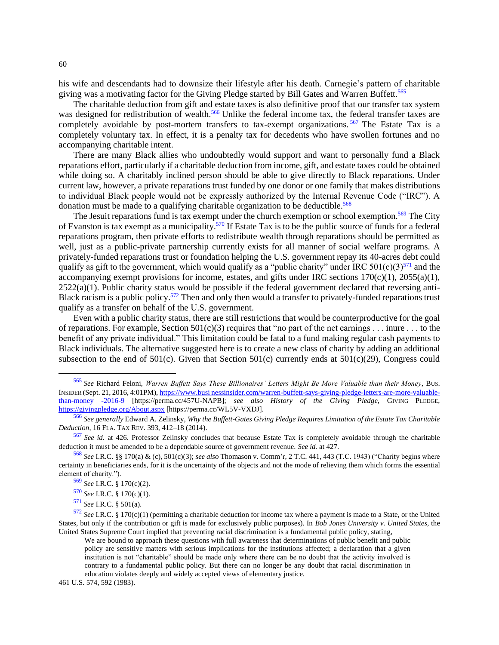his wife and descendants had to downsize their lifestyle after his death. Carnegie's pattern of charitable giving was a motivating factor for the Giving Pledge started by Bill Gates and Warren Buffett.<sup>565</sup>

The charitable deduction from gift and estate taxes is also definitive proof that our transfer tax system was designed for redistribution of wealth.<sup>566</sup> Unlike the federal income tax, the federal transfer taxes are completely avoidable by post-mortem transfers to tax-exempt organizations.<sup>567</sup> The Estate Tax is a completely voluntary tax. In effect, it is a penalty tax for decedents who have swollen fortunes and no accompanying charitable intent.

There are many Black allies who undoubtedly would support and want to personally fund a Black reparations effort, particularly if a charitable deduction from income, gift, and estate taxes could be obtained while doing so. A charitably inclined person should be able to give directly to Black reparations. Under current law, however, a private reparations trust funded by one donor or one family that makes distributions to individual Black people would not be expressly authorized by the Internal Revenue Code ("IRC"). A donation must be made to a qualifying charitable organization to be deductible.<sup>568</sup>

The Jesuit reparations fund is tax exempt under the church exemption or school exemption.<sup>569</sup> The City of Evanston is tax exempt as a municipality.<sup>570</sup> If Estate Tax is to be the public source of funds for a federal reparations program, then private efforts to redistribute wealth through reparations should be permitted as well, just as a public-private partnership currently exists for all manner of social welfare programs. A privately-funded reparations trust or foundation helping the U.S. government repay its 40-acres debt could qualify as gift to the government, which would qualify as a "public charity" under IRC 501(c)(3)<sup>571</sup> and the accompanying exempt provisions for income, estates, and gifts under IRC sections 170(c)(1), 2055(a)(1),  $2522(a)(1)$ . Public charity status would be possible if the federal government declared that reversing anti-Black racism is a public policy.<sup>572</sup> Then and only then would a transfer to privately-funded reparations trust qualify as a transfer on behalf of the U.S. government.

Even with a public charity status, there are still restrictions that would be counterproductive for the goal of reparations. For example, Section  $501(c)(3)$  requires that "no part of the net earnings . . . inure . . . to the benefit of any private individual." This limitation could be fatal to a fund making regular cash payments to Black individuals. The alternative suggested here is to create a new class of charity by adding an additional subsection to the end of 501(c). Given that Section 501(c) currently ends at 501(c)(29), Congress could

461 U.S. 574, 592 (1983).

<sup>565</sup> *See* Richard Feloni, *Warren Buffett Says These Billionaires' Letters Might Be More Valuable than their Money*, BUS. INSIDER (Sept. 21, 2016, 4:01PM)[, https://www.busi nessinsider.com/warren-buffett-says-giving-pledge-letters-are-more-valuable](https://perma.cc/457U-NAPB)[than-money -2016-9](https://perma.cc/457U-NAPB) [https://perma.cc/457U-NAPB]; *see also History of the Giving Pledge*, GIVING PLEDGE, [https://givingpledge.org/About.aspx](https://perma.cc/WL5V-VXDJ) [https://perma.cc/WL5V-VXDJ].

<sup>566</sup> *See generally* Edward A. Zelinsky, *Why the Buffett-Gates Giving Pledge Requires Limitation of the Estate Tax Charitable Deduction*, 16 FLA. TAX REV. 393, 412–18 (2014).

<sup>567</sup> *See id.* at 426. Professor Zelinsky concludes that because Estate Tax is completely avoidable through the charitable deduction it must be amended to be a dependable source of government revenue. *See id.* at 427.

<sup>568</sup> *See* I.R.C. §§ 170(a) & (c), 501(c)(3); *see also* Thomason v. Comm'r, 2 T.C. 441, 443 (T.C. 1943) ("Charity begins where certainty in beneficiaries ends, for it is the uncertainty of the objects and not the mode of relieving them which forms the essential element of charity.").

<sup>569</sup> *See* I.R.C. § 170(c)(2).

<sup>570</sup> *See* I.R.C. § 170(c)(1).

<sup>571</sup> *See* I.R.C. § 501(a).

<sup>572</sup> *See* I.R.C. § 170(c)(1) (permitting a charitable deduction for income tax where a payment is made to a State, or the United States, but only if the contribution or gift is made for exclusively public purposes). In *Bob Jones University v. United States*, the United States Supreme Court implied that preventing racial discrimination is a fundamental public policy, stating,

We are bound to approach these questions with full awareness that determinations of public benefit and public policy are sensitive matters with serious implications for the institutions affected; a declaration that a given institution is not "charitable" should be made only where there can be no doubt that the activity involved is contrary to a fundamental public policy. But there can no longer be any doubt that racial discrimination in education violates deeply and widely accepted views of elementary justice.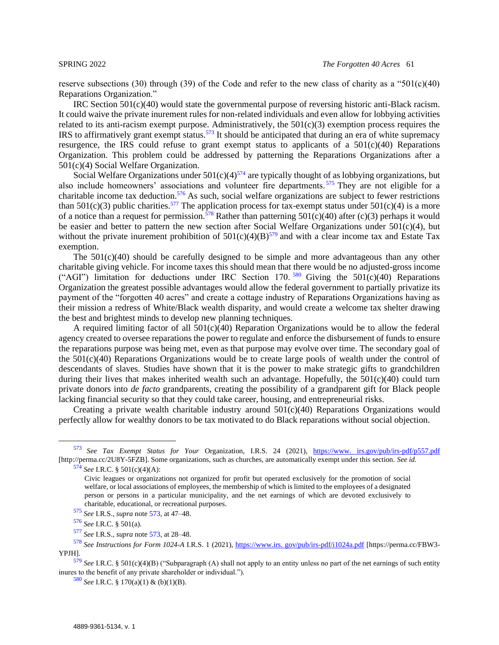reserve subsections (30) through (39) of the Code and refer to the new class of charity as a "501(c)(40) Reparations Organization."

<span id="page-60-0"></span>IRC Section 501(c)(40) would state the governmental purpose of reversing historic anti-Black racism. It could waive the private inurement rules for non-related individuals and even allow for lobbying activities related to its anti-racism exempt purpose. Administratively, the  $501(c)(3)$  exemption process requires the IRS to affirmatively grant exempt status.<sup>573</sup> It should be anticipated that during an era of white supremacy resurgence, the IRS could refuse to grant exempt status to applicants of a  $501(c)(40)$  Reparations Organization. This problem could be addressed by patterning the Reparations Organizations after a 501(c)(4) Social Welfare Organization.

Social Welfare Organizations under  $501(c)(4)^{574}$  are typically thought of as lobbying organizations, but also include homeowners' associations and volunteer fire departments.<sup>575</sup> They are not eligible for a charitable income tax deduction.<sup>576</sup> As such, social welfare organizations are subject to fewer restrictions than  $501(c)(3)$  public charities.<sup>577</sup> The application process for tax-exempt status under  $501(c)(4)$  is a more of a notice than a request for permission.<sup>578</sup> Rather than patterning 501(c)(40) after (c)(3) perhaps it would be easier and better to pattern the new section after Social Welfare Organizations under 501(c)(4), but without the private inurement prohibition of  $501(c)(4)(B)^{579}$  and with a clear income tax and Estate Tax exemption.

The  $501(c)(40)$  should be carefully designed to be simple and more advantageous than any other charitable giving vehicle. For income taxes this should mean that there would be no adjusted-gross income ("AGI") limitation for deductions under IRC Section 170.<sup>580</sup> Giving the  $501(c)(40)$  Reparations Organization the greatest possible advantages would allow the federal government to partially privatize its payment of the "forgotten 40 acres" and create a cottage industry of Reparations Organizations having as their mission a redress of White/Black wealth disparity, and would create a welcome tax shelter drawing the best and brightest minds to develop new planning techniques.

A required limiting factor of all  $501(c)(40)$  Reparation Organizations would be to allow the federal agency created to oversee reparations the power to regulate and enforce the disbursement of funds to ensure the reparations purpose was being met, even as that purpose may evolve over time. The secondary goal of the 501(c)(40) Reparations Organizations would be to create large pools of wealth under the control of descendants of slaves. Studies have shown that it is the power to make strategic gifts to grandchildren during their lives that makes inherited wealth such an advantage. Hopefully, the  $501(c)(40)$  could turn private donors into *de facto* grandparents, creating the possibility of a grandparent gift for Black people lacking financial security so that they could take career, housing, and entrepreneurial risks.

Creating a private wealth charitable industry around 501(c)(40) Reparations Organizations would perfectly allow for wealthy donors to be tax motivated to do Black reparations without social objection.

<sup>575</sup> *See* I.R.S., *supra* note [573,](#page-60-0) at 47–48.

<sup>576</sup> *See* I.R.C. § 501(a).

<sup>573</sup> *See Tax Exempt Status for Your* Organization, I.R.S. 24 (2021), [https://www. irs.gov/pub/irs-pdf/p557.pdf](https://perma.cc/2U8Y-5FZB) [http://perma.cc/2U8Y-5FZB]. Some organizations, such as churches, are automatically exempt under this section. *See id.*

<sup>574</sup> *See* I.R.C. § 501(c)(4)(A):

Civic leagues or organizations not organized for profit but operated exclusively for the promotion of social welfare, or local associations of employees, the membership of which is limited to the employees of a designated person or persons in a particular municipality, and the net earnings of which are devoted exclusively to charitable, educational, or recreational purposes.

<sup>577</sup> *See* I.R.S., *supra* note [573,](#page-60-0) at 28–48.

<sup>578</sup> *See Instructions for Form 1024-A* I.R.S. 1 (2021), [https://www.irs. gov/pub/irs-pdf/i1024a.pdf](https://perma.cc/FBW3-YPJH) [https://perma.cc/FBW3- YPJH].

<sup>579</sup> *See* I.R.C. § 501(c)(4)(B) ("Subparagraph (A) shall not apply to an entity unless no part of the net earnings of such entity inures to the benefit of any private shareholder or individual.").

<sup>580</sup> *See* I.R.C. § 170(a)(1) & (b)(1)(B).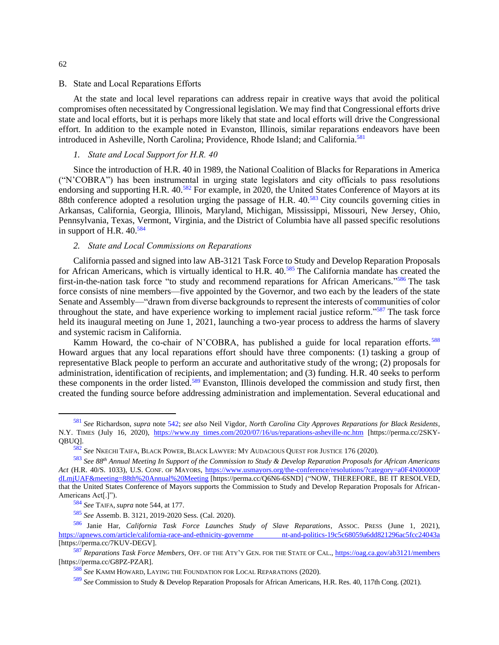#### <span id="page-61-0"></span>B. State and Local Reparations Efforts

At the state and local level reparations can address repair in creative ways that avoid the political compromises often necessitated by Congressional legislation. We may find that Congressional efforts drive state and local efforts, but it is perhaps more likely that state and local efforts will drive the Congressional effort. In addition to the example noted in Evanston, Illinois, similar reparations endeavors have been introduced in Asheville, North Carolina; Providence, Rhode Island; and California.<sup>581</sup>

## <span id="page-61-1"></span>*1. State and Local Support for H.R. 40*

Since the introduction of H.R. 40 in 1989, the National Coalition of Blacks for Reparations in America ("N'COBRA") has been instrumental in urging state legislators and city officials to pass resolutions endorsing and supporting H.R. 40.<sup>582</sup> For example, in 2020, the United States Conference of Mayors at its 88th conference adopted a resolution urging the passage of H.R. 40.<sup>583</sup> City councils governing cities in Arkansas, California, Georgia, Illinois, Maryland, Michigan, Mississippi, Missouri, New Jersey, Ohio, Pennsylvania, Texas, Vermont, Virginia, and the District of Columbia have all passed specific resolutions in support of H.R. 40.<sup>584</sup>

#### *2. State and Local Commissions on Reparations*

<span id="page-61-2"></span>California passed and signed into law AB-3121 Task Force to Study and Develop Reparation Proposals for African Americans, which is virtually identical to H.R. 40.<sup>585</sup> The California mandate has created the first-in-the-nation task force "to study and recommend reparations for African Americans."<sup>586</sup> The task force consists of nine members—five appointed by the Governor, and two each by the leaders of the state Senate and Assembly—"drawn from diverse backgrounds to represent the interests of communities of color throughout the state, and have experience working to implement racial justice reform."<sup>587</sup> The task force held its inaugural meeting on June 1, 2021, launching a two-year process to address the harms of slavery and systemic racism in California.

Kamm Howard, the co-chair of N'COBRA, has published a guide for local reparation efforts.<sup>588</sup> Howard argues that any local reparations effort should have three components: (1) tasking a group of representative Black people to perform an accurate and authoritative study of the wrong; (2) proposals for administration, identification of recipients, and implementation; and (3) funding. H.R. 40 seeks to perform these components in the order listed.<sup>589</sup> Evanston, Illinois developed the commission and study first, then created the funding source before addressing administration and implementation. Several educational and

<sup>581</sup> *See* Richardson, *supra* note [542;](#page-55-2) *see also* Neil Vigdor, *North Carolina City Approves Reparations for Black Residents*, N.Y. TIMES (July 16, 2020), [https://www.ny times.com/2020/07/16/us/reparations-asheville-nc.htm](https://perma.cc/2SKY-QBUQ) [https://perma.cc/2SKY-QBUQ].

<sup>582</sup> *See* NKECHI TAIFA, BLACK POWER, BLACK LAWYER: MY AUDACIOUS QUEST FOR JUSTICE 176 (2020).

<sup>583</sup> *See 88th Annual Meeting In Support of the Commission to Study & Develop Reparation Proposals for African Americans Act* (H.R. 40/S. 1033), U.S. CONF. OF MAYORS, [https://www.usmayors.org/the-conference/resolutions/?category=a0F4N00000P](https://perma.cc/Q6N6-6SND)  [dLmjUAF&meeting=88th%20Annual%20Meeting](https://perma.cc/Q6N6-6SND) [https://perma.cc/Q6N6-6SND] ("NOW, THEREFORE, BE IT RESOLVED, that the United States Conference of Mayors supports the Commission to Study and Develop Reparation Proposals for African-Americans Act[.]").

<sup>584</sup> *See* TAIFA, *supra* note 544, at 177.

<sup>585</sup> *See* Assemb. B. 3121, 2019-2020 Sess. (Cal. 2020).

<sup>586</sup> Janie Har, *California Task Force Launches Study of Slave Reparations*, ASSOC. PRESS (June 1, 2021), [https://apnews.com/article/california-race-and-ethnicity-governme nt-and-politics-19c5c68059a6dd821296ac5fcc24043a](https://perma.cc/7KUV-DEGV) [https://perma.cc/7KUV-DEGV].

<sup>587</sup> *Reparations Task Force Members*, OFF. OF THE ATY'Y GEN. FOR THE STATE OF CAL., [https://oag.ca.gov/ab3121/members](https://perma.cc/G8PZ-PZAR) [https://perma.cc/G8PZ-PZAR].

<sup>588</sup> *See* KAMM HOWARD, LAYING THE FOUNDATION FOR LOCAL REPARATIONS (2020).

<sup>589</sup> *See* Commission to Study & Develop Reparation Proposals for African Americans, H.R. Res. 40, 117th Cong. (2021).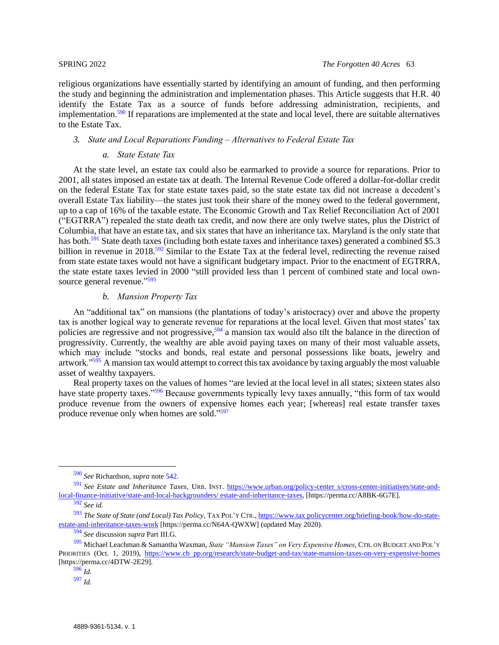religious organizations have essentially started by identifying an amount of funding, and then performing the study and beginning the administration and implementation phases. This Article suggests that H.R. 40 identify the Estate Tax as a source of funds before addressing administration, recipients, and implementation.<sup>590</sup> If reparations are implemented at the state and local level, there are suitable alternatives to the Estate Tax.

## <span id="page-62-0"></span>*3. State and Local Reparations Funding – Alternatives to Federal Estate Tax*

### *a. State Estate Tax*

<span id="page-62-1"></span>At the state level, an estate tax could also be earmarked to provide a source for reparations. Prior to 2001, all states imposed an estate tax at death. The Internal Revenue Code offered a dollar-for-dollar credit on the federal Estate Tax for state estate taxes paid, so the state estate tax did not increase a decedent's overall Estate Tax liability—the states just took their share of the money owed to the federal government, up to a cap of 16% of the taxable estate. The Economic Growth and Tax Relief Reconciliation Act of 2001 ("EGTRRA") repealed the state death tax credit, and now there are only twelve states, plus the District of Columbia, that have an estate tax, and six states that have an inheritance tax. Maryland is the only state that has both.<sup>591</sup> State death taxes (including both estate taxes and inheritance taxes) generated a combined \$5.3 billion in revenue in 2018.<sup>592</sup> Similar to the Estate Tax at the federal level, redirecting the revenue raised from state estate taxes would not have a significant budgetary impact. Prior to the enactment of EGTRRA, the state estate taxes levied in 2000 "still provided less than 1 percent of combined state and local ownsource general revenue."<sup>593</sup>

## *b. Mansion Property Tax*

<span id="page-62-2"></span>An "additional tax" on mansions (the plantations of today's aristocracy) over and above the property tax is another logical way to generate revenue for reparations at the local level. Given that most states' tax policies are regressive and not progressive,<sup>594</sup> a mansion tax would also tilt the balance in the direction of progressivity. Currently, the wealthy are able avoid paying taxes on many of their most valuable assets, which may include "stocks and bonds, real estate and personal possessions like boats, jewelry and artwork."<sup>595</sup> A mansion tax would attempt to correct this tax avoidance by taxing arguably the most valuable asset of wealthy taxpayers.

<span id="page-62-3"></span>Real property taxes on the values of homes "are levied at the local level in all states; sixteen states also have state property taxes."<sup>596</sup> Because governments typically levy taxes annually, "this form of tax would produce revenue from the owners of expensive homes each year; [whereas] real estate transfer taxes produce revenue only when homes are sold."<sup>597</sup>

<sup>590</sup> *See* Richardson, *supra* note [542.](#page-55-2)

<sup>591</sup> *See Estate and Inheritance Taxes*, URB. INST. [https://www.urban.org/policy-center s/cross-center-initiatives/state-and](https://perma.cc/A8BK-6G7E)[local-finance-initiative/state-and-local-backgrounders/ estate-and-inheritance-taxes,](https://perma.cc/A8BK-6G7E) [https://perma.cc/A8BK-6G7E].

<sup>592</sup> *See id.*

<sup>593</sup> *The State of State (and Local) Tax Policy*, TAX POL'Y CTR.[, https://www.tax policycenter.org/briefing-book/how-do-state](https://perma.cc/N64A-QWXW)[estate-and-inheritance-taxes-work](https://perma.cc/N64A-QWXW) [https://perma.cc/N64A-QWXW] (updated May 2020).

<sup>594</sup> *See* discussion *supra* Part III.G.

<sup>595</sup> Michael Leachman & Samantha Waxman, *State "Mansion Taxes" on Very Expensive Homes*, CTR. ON BUDGET AND POL'<sup>Y</sup> PRIORITIES (Oct. 1, 2019), [https://www.cb pp.org/research/state-budget-and-tax/state-mansion-taxes-on-very-expensive-homes](https://perma.cc/4DTW-2E29) [https://perma.cc/4DTW-2E29].

<sup>596</sup> *Id.*

<sup>597</sup> *Id.*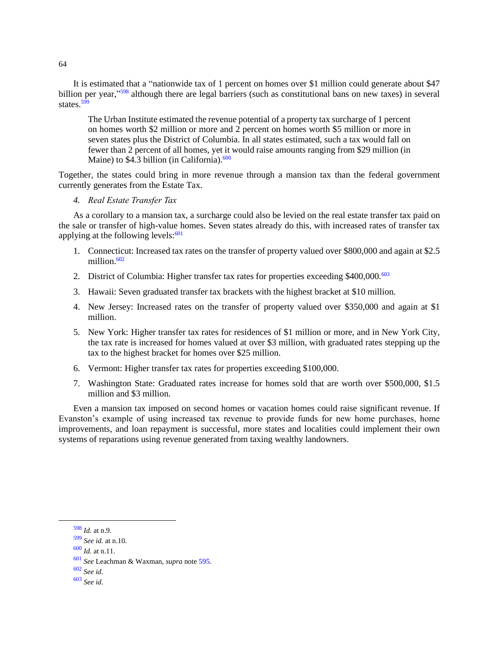It is estimated that a "nationwide tax of 1 percent on homes over \$1 million could generate about \$47 billion per year,"<sup>598</sup> although there are legal barriers (such as constitutional bans on new taxes) in several states $\frac{599}{99}$ 

The Urban Institute estimated the revenue potential of a property tax surcharge of 1 percent on homes worth \$2 million or more and 2 percent on homes worth \$5 million or more in seven states plus the District of Columbia. In all states estimated, such a tax would fall on fewer than 2 percent of all homes, yet it would raise amounts ranging from \$29 million (in Maine) to  $$4.3$  billion (in California).<sup>600</sup>

Together, the states could bring in more revenue through a mansion tax than the federal government currently generates from the Estate Tax.

<span id="page-63-0"></span>*4. Real Estate Transfer Tax*

As a corollary to a mansion tax, a surcharge could also be levied on the real estate transfer tax paid on the sale or transfer of high-value homes. Seven states already do this, with increased rates of transfer tax applying at the following levels: $601$ 

- 1. Connecticut: Increased tax rates on the transfer of property valued over \$800,000 and again at \$2.5 million. $602$
- 2. District of Columbia: Higher transfer tax rates for properties exceeding  $$400,000$ .<sup>603</sup>
- 3. Hawaii: Seven graduated transfer tax brackets with the highest bracket at \$10 million.
- 4. New Jersey: Increased rates on the transfer of property valued over \$350,000 and again at \$1 million.
- 5. New York: Higher transfer tax rates for residences of \$1 million or more, and in New York City, the tax rate is increased for homes valued at over \$3 million, with graduated rates stepping up the tax to the highest bracket for homes over \$25 million.
- 6. Vermont: Higher transfer tax rates for properties exceeding \$100,000.
- 7. Washington State: Graduated rates increase for homes sold that are worth over \$500,000, \$1.5 million and \$3 million.

Even a mansion tax imposed on second homes or vacation homes could raise significant revenue. If Evanston's example of using increased tax revenue to provide funds for new home purchases, home improvements, and loan repayment is successful, more states and localities could implement their own systems of reparations using revenue generated from taxing wealthy landowners.

<sup>598</sup> *Id.* at n.9.

<sup>599</sup> *See id.* at n.10.

<sup>600</sup> *Id.* at n.11.

<sup>601</sup> *See* Leachman & Waxman, *supra* note [595.](#page-62-3)

<sup>602</sup> *See id.*

<sup>603</sup> *See id.*